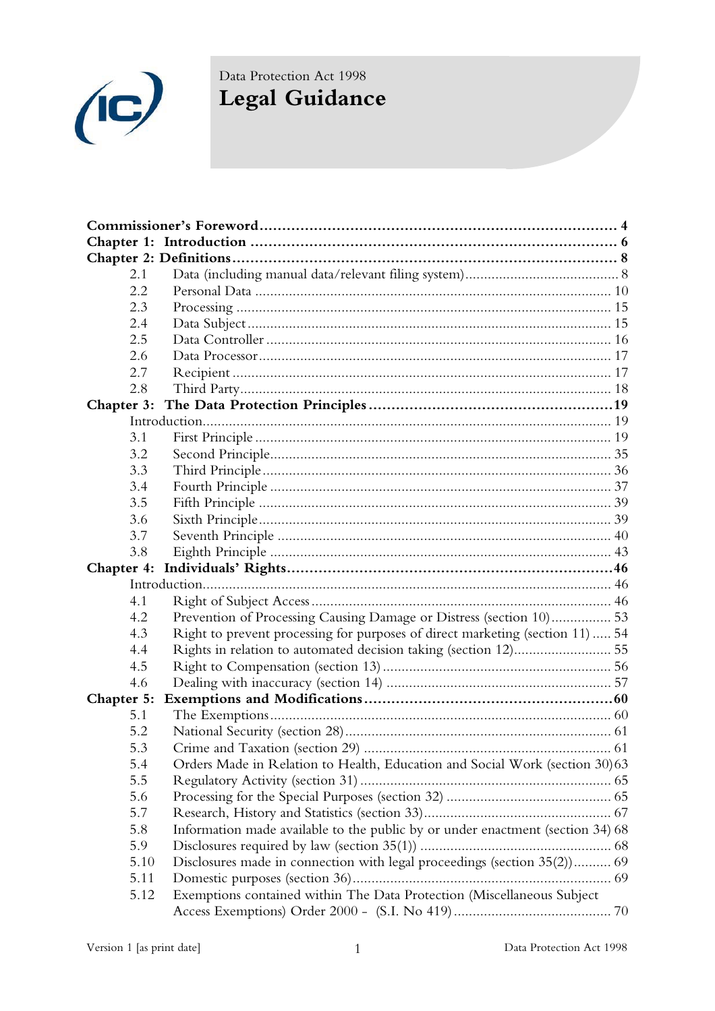

# Data Protection Act 1998 **Legal Guidance**

| 2.1        |                                                                                |  |  |  |
|------------|--------------------------------------------------------------------------------|--|--|--|
| 2.2        |                                                                                |  |  |  |
| 2.3        |                                                                                |  |  |  |
| 2.4        |                                                                                |  |  |  |
| 2.5        |                                                                                |  |  |  |
| 2.6        |                                                                                |  |  |  |
| 2.7        |                                                                                |  |  |  |
| 2.8        |                                                                                |  |  |  |
| Chapter 3: |                                                                                |  |  |  |
|            |                                                                                |  |  |  |
| 3.1        |                                                                                |  |  |  |
| 3.2        |                                                                                |  |  |  |
| 3.3        |                                                                                |  |  |  |
| 3.4        |                                                                                |  |  |  |
| 3.5        |                                                                                |  |  |  |
| 3.6        |                                                                                |  |  |  |
| 3.7        |                                                                                |  |  |  |
| 3.8        |                                                                                |  |  |  |
| Chapter 4: |                                                                                |  |  |  |
|            |                                                                                |  |  |  |
| 4.1        |                                                                                |  |  |  |
| 4.2        | Prevention of Processing Causing Damage or Distress (section 10) 53            |  |  |  |
| 4.3        | Right to prevent processing for purposes of direct marketing (section 11)  54  |  |  |  |
| 4.4        |                                                                                |  |  |  |
| 4.5        |                                                                                |  |  |  |
| 4.6        |                                                                                |  |  |  |
| Chapter 5: |                                                                                |  |  |  |
| 5.1        |                                                                                |  |  |  |
| 5.2        |                                                                                |  |  |  |
| 5.3        |                                                                                |  |  |  |
| 5.4        | Orders Made in Relation to Health, Education and Social Work (section 30)63    |  |  |  |
| 5.5        |                                                                                |  |  |  |
| 5.6        |                                                                                |  |  |  |
| 5.7        |                                                                                |  |  |  |
| 5.8        | Information made available to the public by or under enactment (section 34) 68 |  |  |  |
| 5.9        |                                                                                |  |  |  |
| 5.10       | Disclosures made in connection with legal proceedings (section 35(2)) 69       |  |  |  |
| 5.11       |                                                                                |  |  |  |
| 5.12       | Exemptions contained within The Data Protection (Miscellaneous Subject         |  |  |  |
|            |                                                                                |  |  |  |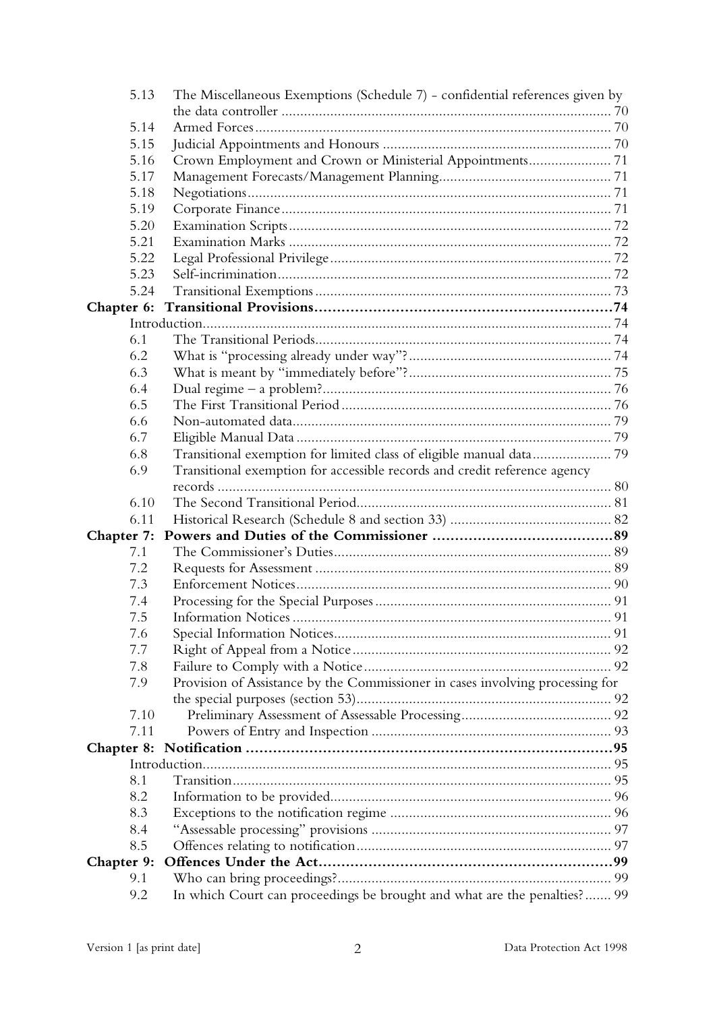| 5.13       | The Miscellaneous Exemptions (Schedule 7) - confidential references given by  |  |
|------------|-------------------------------------------------------------------------------|--|
|            |                                                                               |  |
| 5.14       |                                                                               |  |
| 5.15       |                                                                               |  |
| 5.16       | Crown Employment and Crown or Ministerial Appointments 71                     |  |
| 5.17       |                                                                               |  |
| 5.18       |                                                                               |  |
| 5.19       |                                                                               |  |
| 5.20       |                                                                               |  |
| 5.21       |                                                                               |  |
| 5.22       |                                                                               |  |
| 5.23       |                                                                               |  |
| 5.24       |                                                                               |  |
| Chapter 6: |                                                                               |  |
|            |                                                                               |  |
| 6.1        |                                                                               |  |
| 6.2        |                                                                               |  |
| 6.3        |                                                                               |  |
| 6.4        |                                                                               |  |
| 6.5        |                                                                               |  |
| 6.6        |                                                                               |  |
| 6.7        |                                                                               |  |
| 6.8        |                                                                               |  |
| 6.9        | Transitional exemption for accessible records and credit reference agency     |  |
|            |                                                                               |  |
| 6.10       |                                                                               |  |
| 6.11       |                                                                               |  |
| Chapter 7: |                                                                               |  |
| 7.1        |                                                                               |  |
| 7.2        |                                                                               |  |
| 7.3        |                                                                               |  |
| 7.4        |                                                                               |  |
| 7.5        |                                                                               |  |
| 7.6        |                                                                               |  |
| 7.7        |                                                                               |  |
| 7.8        |                                                                               |  |
| 7.9        | Provision of Assistance by the Commissioner in cases involving processing for |  |
|            |                                                                               |  |
| 7.10       |                                                                               |  |
| 7.11       |                                                                               |  |
| Chapter 8: |                                                                               |  |
|            |                                                                               |  |
| 8.1        |                                                                               |  |
| 8.2        |                                                                               |  |
| 8.3        |                                                                               |  |
| 8.4        |                                                                               |  |
| 8.5        |                                                                               |  |
| Chapter 9: |                                                                               |  |
| 9.1        |                                                                               |  |
| 9.2        | In which Court can proceedings be brought and what are the penalties? 99      |  |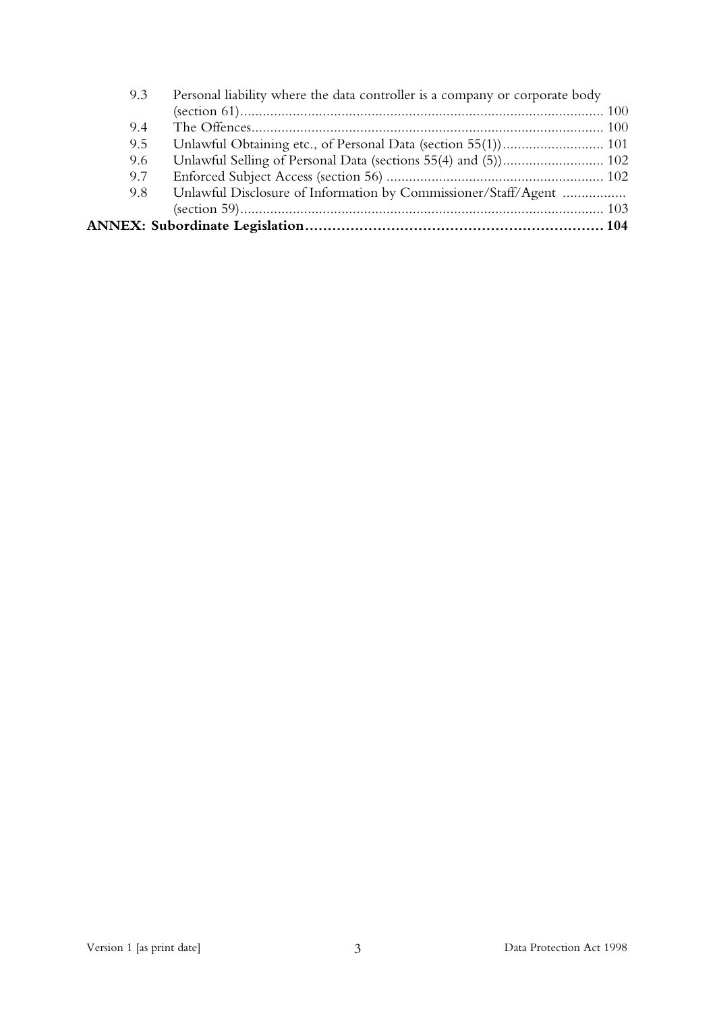| 9.3 | Personal liability where the data controller is a company or corporate body |  |
|-----|-----------------------------------------------------------------------------|--|
|     |                                                                             |  |
| 9.4 |                                                                             |  |
| 9.5 |                                                                             |  |
| 9.6 |                                                                             |  |
| 9.7 |                                                                             |  |
| 9.8 | Unlawful Disclosure of Information by Commissioner/Staff/Agent              |  |
|     |                                                                             |  |
|     |                                                                             |  |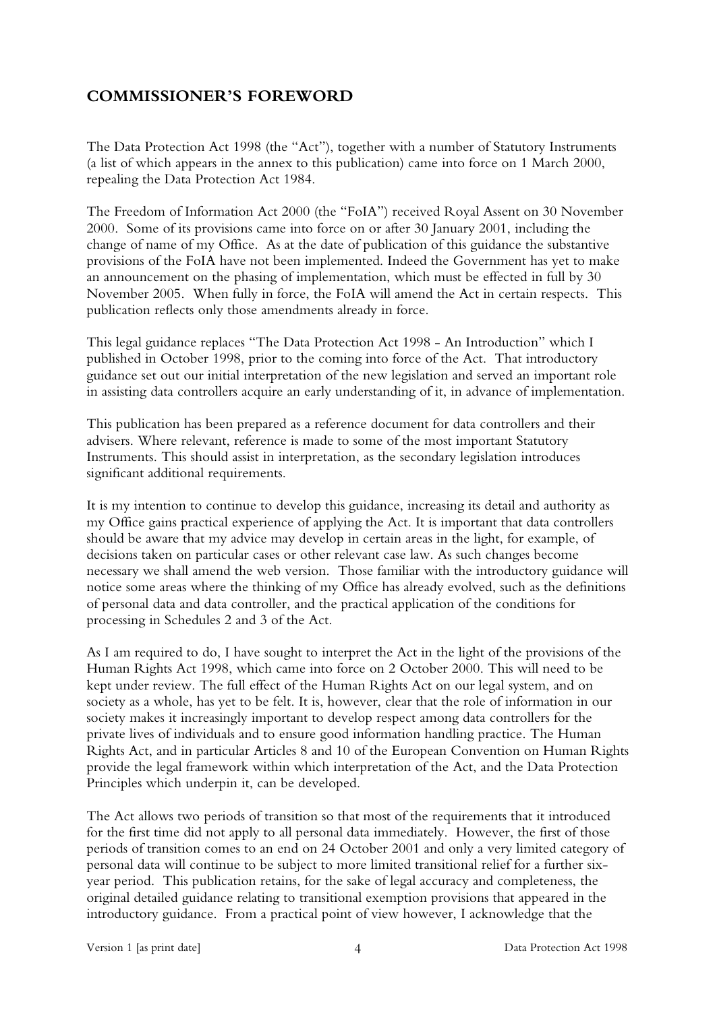# **COMMISSIONER'S FOREWORD**

The Data Protection Act 1998 (the "Act"), together with a number of Statutory Instruments (a list of which appears in the annex to this publication) came into force on 1 March 2000, repealing the Data Protection Act 1984.

The Freedom of Information Act 2000 (the "FoIA") received Royal Assent on 30 November 2000. Some of its provisions came into force on or after 30 January 2001, including the change of name of my Office. As at the date of publication of this guidance the substantive provisions of the FoIA have not been implemented. Indeed the Government has yet to make an announcement on the phasing of implementation, which must be effected in full by 30 November 2005. When fully in force, the FoIA will amend the Act in certain respects. This publication reflects only those amendments already in force.

This legal guidance replaces "The Data Protection Act 1998 - An Introduction" which I published in October 1998, prior to the coming into force of the Act. That introductory guidance set out our initial interpretation of the new legislation and served an important role in assisting data controllers acquire an early understanding of it, in advance of implementation.

This publication has been prepared as a reference document for data controllers and their advisers. Where relevant, reference is made to some of the most important Statutory Instruments. This should assist in interpretation, as the secondary legislation introduces significant additional requirements.

It is my intention to continue to develop this guidance, increasing its detail and authority as my Office gains practical experience of applying the Act. It is important that data controllers should be aware that my advice may develop in certain areas in the light, for example, of decisions taken on particular cases or other relevant case law. As such changes become necessary we shall amend the web version. Those familiar with the introductory guidance will notice some areas where the thinking of my Office has already evolved, such as the definitions of personal data and data controller, and the practical application of the conditions for processing in Schedules 2 and 3 of the Act.

As I am required to do, I have sought to interpret the Act in the light of the provisions of the Human Rights Act 1998, which came into force on 2 October 2000. This will need to be kept under review. The full effect of the Human Rights Act on our legal system, and on society as a whole, has yet to be felt. It is, however, clear that the role of information in our society makes it increasingly important to develop respect among data controllers for the private lives of individuals and to ensure good information handling practice. The Human Rights Act, and in particular Articles 8 and 10 of the European Convention on Human Rights provide the legal framework within which interpretation of the Act, and the Data Protection Principles which underpin it, can be developed.

The Act allows two periods of transition so that most of the requirements that it introduced for the first time did not apply to all personal data immediately. However, the first of those periods of transition comes to an end on 24 October 2001 and only a very limited category of personal data will continue to be subject to more limited transitional relief for a further sixyear period. This publication retains, for the sake of legal accuracy and completeness, the original detailed guidance relating to transitional exemption provisions that appeared in the introductory guidance. From a practical point of view however, I acknowledge that the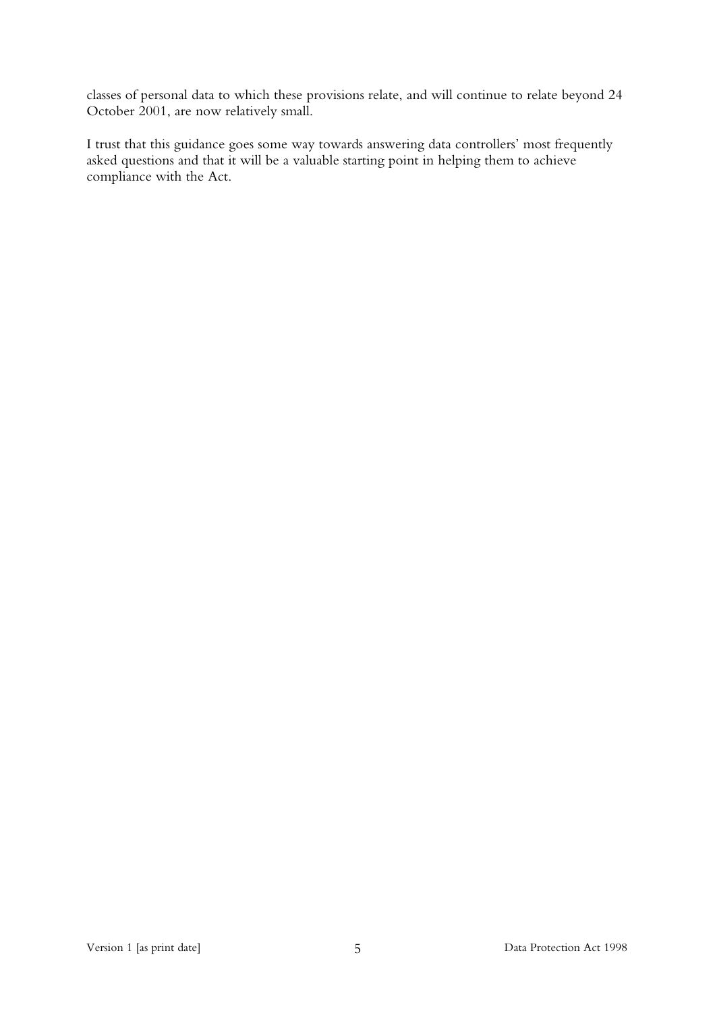classes of personal data to which these provisions relate, and will continue to relate beyond 24 October 2001, are now relatively small.

I trust that this guidance goes some way towards answering data controllers' most frequently asked questions and that it will be a valuable starting point in helping them to achieve compliance with the Act.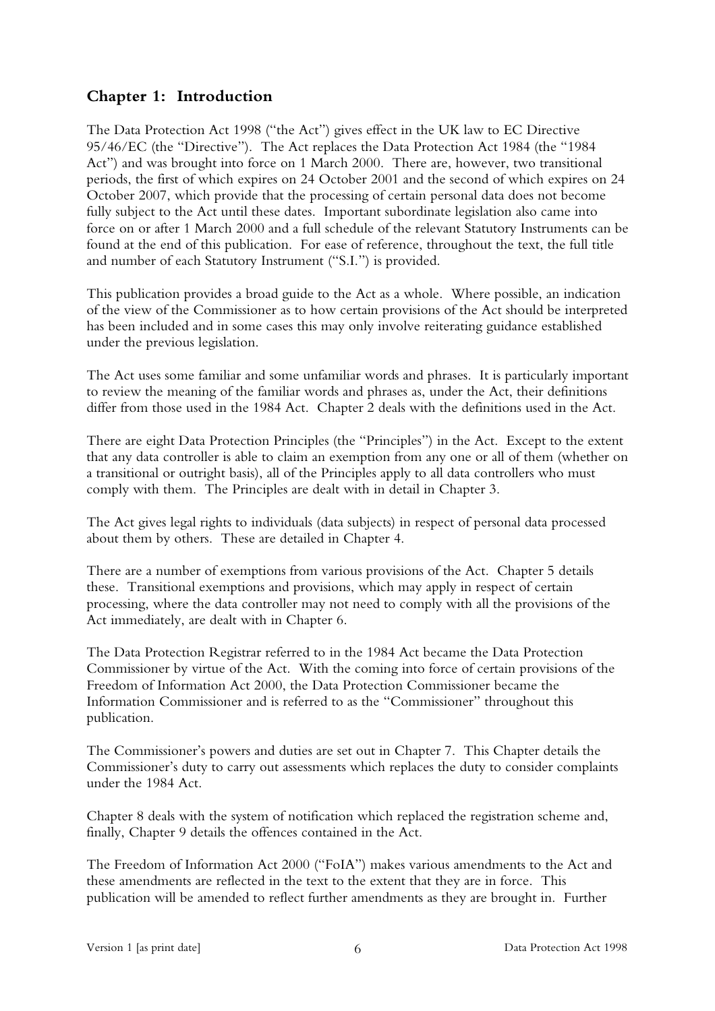# **Chapter 1: Introduction**

The Data Protection Act 1998 ("the Act") gives effect in the UK law to EC Directive 95/46/EC (the "Directive"). The Act replaces the Data Protection Act 1984 (the "1984 Act") and was brought into force on 1 March 2000. There are, however, two transitional periods, the first of which expires on 24 October 2001 and the second of which expires on 24 October 2007, which provide that the processing of certain personal data does not become fully subject to the Act until these dates. Important subordinate legislation also came into force on or after 1 March 2000 and a full schedule of the relevant Statutory Instruments can be found at the end of this publication. For ease of reference, throughout the text, the full title and number of each Statutory Instrument ("S.I.") is provided.

This publication provides a broad guide to the Act as a whole. Where possible, an indication of the view of the Commissioner as to how certain provisions of the Act should be interpreted has been included and in some cases this may only involve reiterating guidance established under the previous legislation.

The Act uses some familiar and some unfamiliar words and phrases. It is particularly important to review the meaning of the familiar words and phrases as, under the Act, their definitions differ from those used in the 1984 Act. Chapter 2 deals with the definitions used in the Act.

There are eight Data Protection Principles (the "Principles") in the Act. Except to the extent that any data controller is able to claim an exemption from any one or all of them (whether on a transitional or outright basis), all of the Principles apply to all data controllers who must comply with them. The Principles are dealt with in detail in Chapter 3.

The Act gives legal rights to individuals (data subjects) in respect of personal data processed about them by others. These are detailed in Chapter 4.

There are a number of exemptions from various provisions of the Act. Chapter 5 details these. Transitional exemptions and provisions, which may apply in respect of certain processing, where the data controller may not need to comply with all the provisions of the Act immediately, are dealt with in Chapter 6.

The Data Protection Registrar referred to in the 1984 Act became the Data Protection Commissioner by virtue of the Act. With the coming into force of certain provisions of the Freedom of Information Act 2000, the Data Protection Commissioner became the Information Commissioner and is referred to as the "Commissioner" throughout this publication.

The Commissioner's powers and duties are set out in Chapter 7. This Chapter details the Commissioner's duty to carry out assessments which replaces the duty to consider complaints under the 1984 Act.

Chapter 8 deals with the system of notification which replaced the registration scheme and, finally, Chapter 9 details the offences contained in the Act.

The Freedom of Information Act 2000 ("FoIA") makes various amendments to the Act and these amendments are reflected in the text to the extent that they are in force. This publication will be amended to reflect further amendments as they are brought in. Further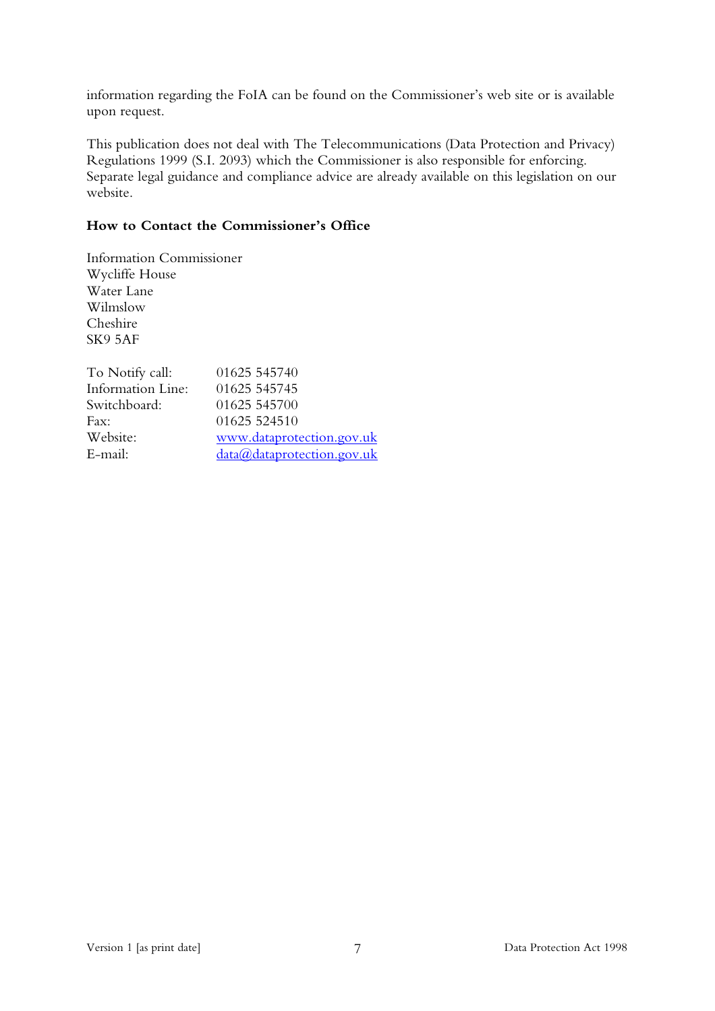information regarding the FoIA can be found on the Commissioner's web site or is available upon request.

This publication does not deal with The Telecommunications (Data Protection and Privacy) Regulations 1999 (S.I. 2093) which the Commissioner is also responsible for enforcing. Separate legal guidance and compliance advice are already available on this legislation on our website.

# **How to Contact the Commissioner's Office**

Information Commissioner Wycliffe House Water Lane Wilmslow Cheshire SK9 5AF

| 01625 545740               |
|----------------------------|
| 01625 545745               |
| 01625 545700               |
| 01625 524510               |
| www.dataprotection.gov.uk  |
| data@dataprotection.gov.uk |
|                            |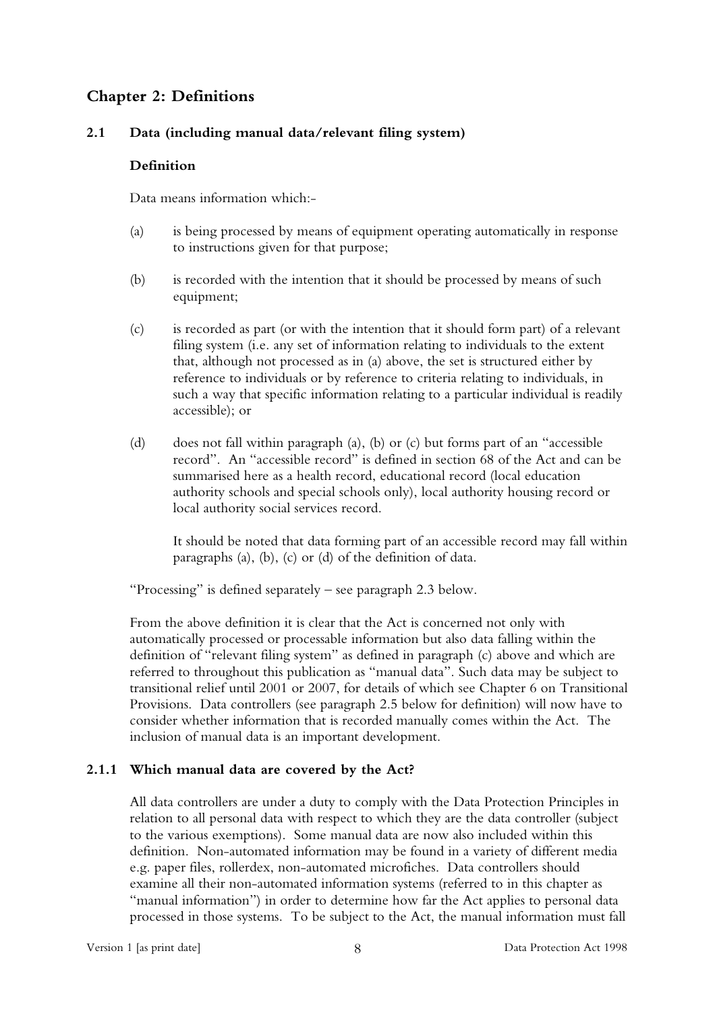# **Chapter 2: Definitions**

# **2.1 Data (including manual data/relevant filing system)**

#### **Definition**

Data means information which:-

- (a) is being processed by means of equipment operating automatically in response to instructions given for that purpose;
- (b) is recorded with the intention that it should be processed by means of such equipment;
- (c) is recorded as part (or with the intention that it should form part) of a relevant filing system (i.e. any set of information relating to individuals to the extent that, although not processed as in (a) above, the set is structured either by reference to individuals or by reference to criteria relating to individuals, in such a way that specific information relating to a particular individual is readily accessible); or
- (d) does not fall within paragraph (a), (b) or (c) but forms part of an "accessible record". An "accessible record" is defined in section 68 of the Act and can be summarised here as a health record, educational record (local education authority schools and special schools only), local authority housing record or local authority social services record.

It should be noted that data forming part of an accessible record may fall within paragraphs (a), (b), (c) or (d) of the definition of data.

"Processing" is defined separately – see paragraph 2.3 below.

From the above definition it is clear that the Act is concerned not only with automatically processed or processable information but also data falling within the definition of "relevant filing system" as defined in paragraph (c) above and which are referred to throughout this publication as "manual data". Such data may be subject to transitional relief until 2001 or 2007, for details of which see Chapter 6 on Transitional Provisions. Data controllers (see paragraph 2.5 below for definition) will now have to consider whether information that is recorded manually comes within the Act. The inclusion of manual data is an important development.

# **2.1.1 Which manual data are covered by the Act?**

All data controllers are under a duty to comply with the Data Protection Principles in relation to all personal data with respect to which they are the data controller (subject to the various exemptions). Some manual data are now also included within this definition. Non-automated information may be found in a variety of different media e.g. paper files, rollerdex, non-automated microfiches. Data controllers should examine all their non-automated information systems (referred to in this chapter as "manual information") in order to determine how far the Act applies to personal data processed in those systems. To be subject to the Act, the manual information must fall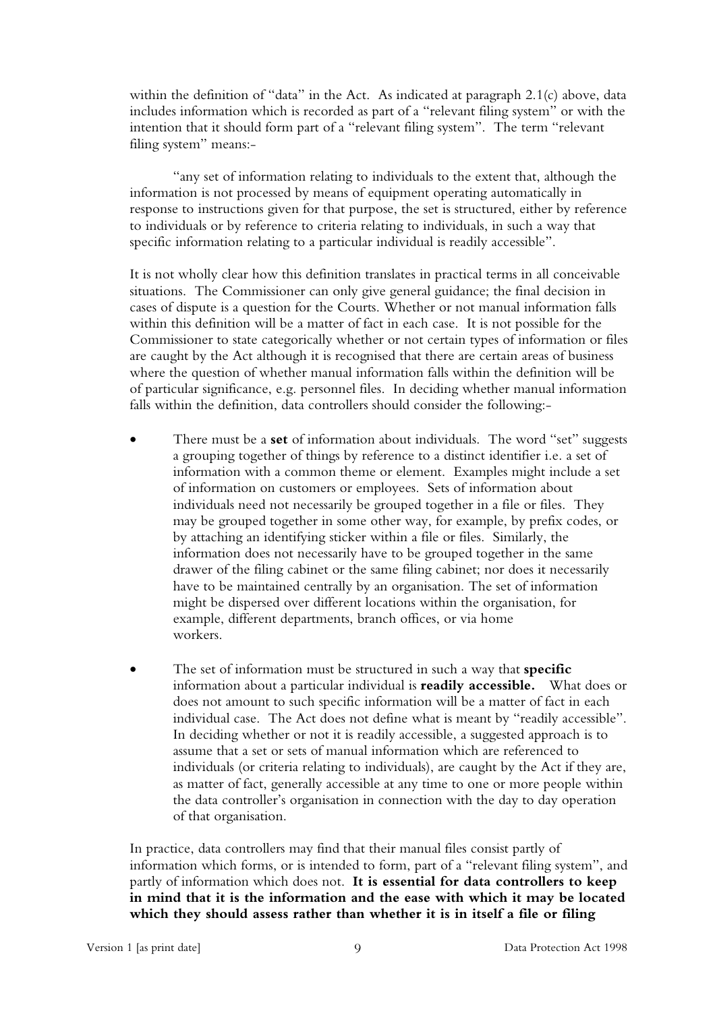within the definition of "data" in the Act. As indicated at paragraph 2.1(c) above, data includes information which is recorded as part of a "relevant filing system" or with the intention that it should form part of a "relevant filing system". The term "relevant filing system" means:-

"any set of information relating to individuals to the extent that, although the information is not processed by means of equipment operating automatically in response to instructions given for that purpose, the set is structured, either by reference to individuals or by reference to criteria relating to individuals, in such a way that specific information relating to a particular individual is readily accessible".

It is not wholly clear how this definition translates in practical terms in all conceivable situations. The Commissioner can only give general guidance; the final decision in cases of dispute is a question for the Courts. Whether or not manual information falls within this definition will be a matter of fact in each case. It is not possible for the Commissioner to state categorically whether or not certain types of information or files are caught by the Act although it is recognised that there are certain areas of business where the question of whether manual information falls within the definition will be of particular significance, e.g. personnel files. In deciding whether manual information falls within the definition, data controllers should consider the following:-

- $\bullet$ There must be a **set** of information about individuals. The word "set" suggests a grouping together of things by reference to a distinct identifier i.e. a set of information with a common theme or element. Examples might include a set of information on customers or employees. Sets of information about individuals need not necessarily be grouped together in a file or files. They may be grouped together in some other way, for example, by prefix codes, or by attaching an identifying sticker within a file or files. Similarly, the information does not necessarily have to be grouped together in the same drawer of the filing cabinet or the same filing cabinet; nor does it necessarily have to be maintained centrally by an organisation. The set of information might be dispersed over different locations within the organisation, for example, different departments, branch offices, or via home workers.
- $\bullet$ The set of information must be structured in such a way that **specific** information about a particular individual is **readily accessible.** What does or does not amount to such specific information will be a matter of fact in each individual case. The Act does not define what is meant by "readily accessible". In deciding whether or not it is readily accessible, a suggested approach is to assume that a set or sets of manual information which are referenced to individuals (or criteria relating to individuals), are caught by the Act if they are, as matter of fact, generally accessible at any time to one or more people within the data controller's organisation in connection with the day to day operation of that organisation.

In practice, data controllers may find that their manual files consist partly of information which forms, or is intended to form, part of a "relevant filing system", and partly of information which does not. **It is essential for data controllers to keep in mind that it is the information and the ease with which it may be located which they should assess rather than whether it is in itself a file or filing**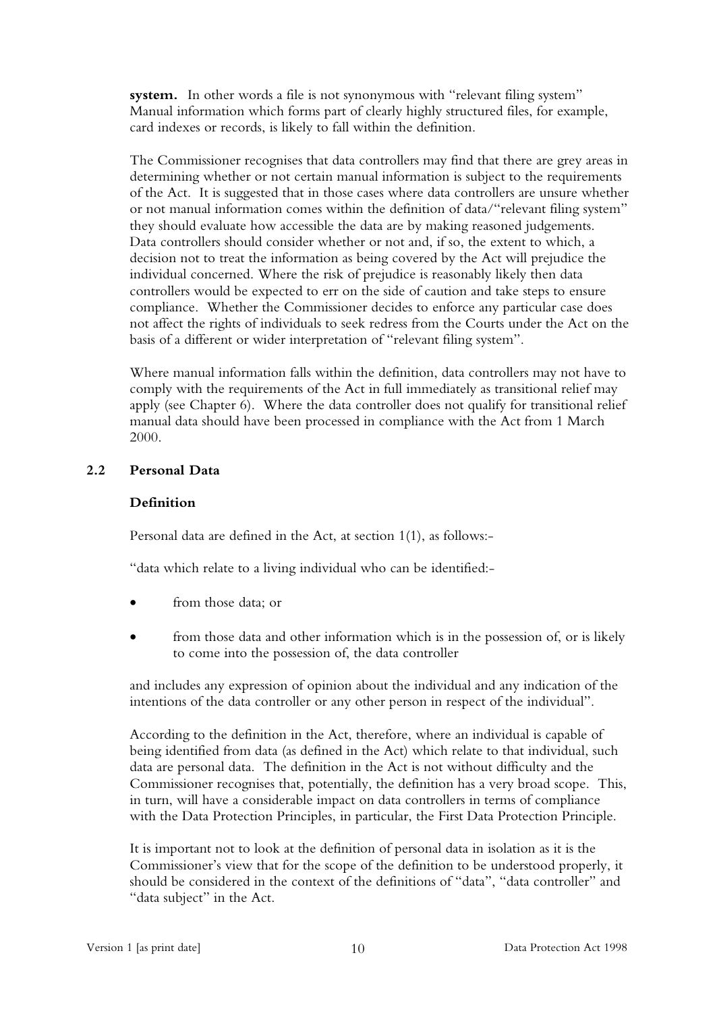**system.** In other words a file is not synonymous with "relevant filing system" Manual information which forms part of clearly highly structured files, for example, card indexes or records, is likely to fall within the definition.

The Commissioner recognises that data controllers may find that there are grey areas in determining whether or not certain manual information is subject to the requirements of the Act. It is suggested that in those cases where data controllers are unsure whether or not manual information comes within the definition of data/"relevant filing system" they should evaluate how accessible the data are by making reasoned judgements. Data controllers should consider whether or not and, if so, the extent to which, a decision not to treat the information as being covered by the Act will prejudice the individual concerned. Where the risk of prejudice is reasonably likely then data controllers would be expected to err on the side of caution and take steps to ensure compliance. Whether the Commissioner decides to enforce any particular case does not affect the rights of individuals to seek redress from the Courts under the Act on the basis of a different or wider interpretation of "relevant filing system".

Where manual information falls within the definition, data controllers may not have to comply with the requirements of the Act in full immediately as transitional relief may apply (see Chapter 6). Where the data controller does not qualify for transitional relief manual data should have been processed in compliance with the Act from 1 March 2000.

# **2.2 Personal Data**

# **Definition**

Personal data are defined in the Act, at section 1(1), as follows:-

"data which relate to a living individual who can be identified:-

- $\bullet$ from those data; or
- $\bullet$ from those data and other information which is in the possession of, or is likely to come into the possession of, the data controller

and includes any expression of opinion about the individual and any indication of the intentions of the data controller or any other person in respect of the individual".

According to the definition in the Act, therefore, where an individual is capable of being identified from data (as defined in the Act) which relate to that individual, such data are personal data. The definition in the Act is not without difficulty and the Commissioner recognises that, potentially, the definition has a very broad scope. This, in turn, will have a considerable impact on data controllers in terms of compliance with the Data Protection Principles, in particular, the First Data Protection Principle.

It is important not to look at the definition of personal data in isolation as it is the Commissioner's view that for the scope of the definition to be understood properly, it should be considered in the context of the definitions of "data", "data controller" and "data subject" in the Act.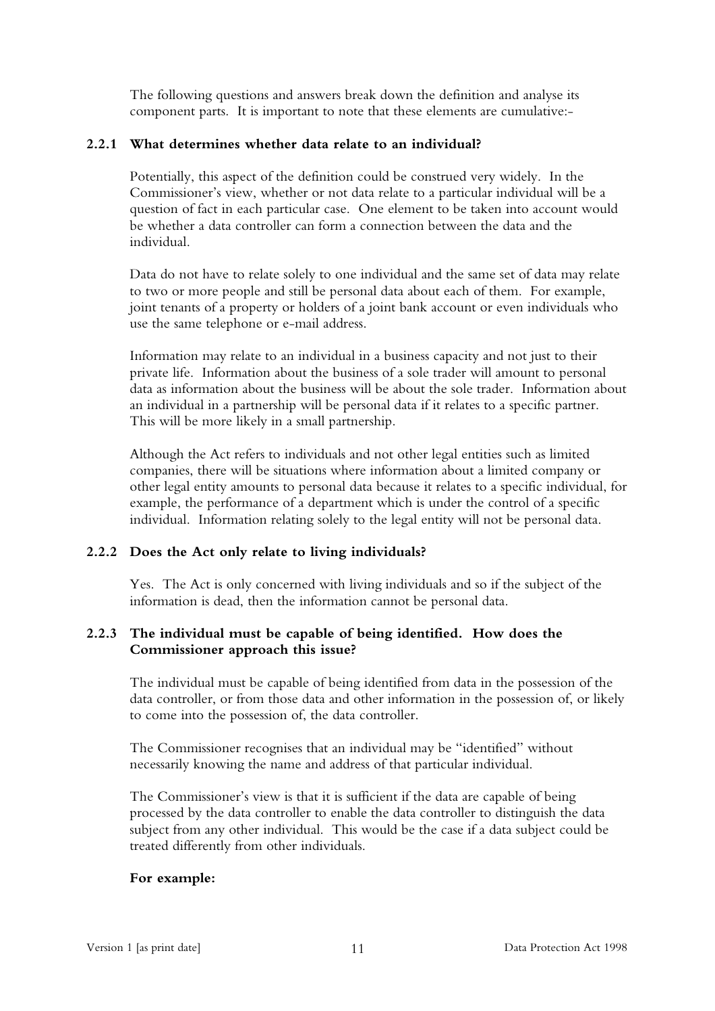The following questions and answers break down the definition and analyse its component parts. It is important to note that these elements are cumulative:-

# **2.2.1 What determines whether data relate to an individual?**

Potentially, this aspect of the definition could be construed very widely. In the Commissioner's view, whether or not data relate to a particular individual will be a question of fact in each particular case. One element to be taken into account would be whether a data controller can form a connection between the data and the individual.

Data do not have to relate solely to one individual and the same set of data may relate to two or more people and still be personal data about each of them. For example, joint tenants of a property or holders of a joint bank account or even individuals who use the same telephone or e-mail address.

Information may relate to an individual in a business capacity and not just to their private life. Information about the business of a sole trader will amount to personal data as information about the business will be about the sole trader. Information about an individual in a partnership will be personal data if it relates to a specific partner. This will be more likely in a small partnership.

Although the Act refers to individuals and not other legal entities such as limited companies, there will be situations where information about a limited company or other legal entity amounts to personal data because it relates to a specific individual, for example, the performance of a department which is under the control of a specific individual. Information relating solely to the legal entity will not be personal data.

# **2.2.2 Does the Act only relate to living individuals?**

Yes. The Act is only concerned with living individuals and so if the subject of the information is dead, then the information cannot be personal data.

# **2.2.3 The individual must be capable of being identified. How does the Commissioner approach this issue?**

The individual must be capable of being identified from data in the possession of the data controller, or from those data and other information in the possession of, or likely to come into the possession of, the data controller.

The Commissioner recognises that an individual may be "identified" without necessarily knowing the name and address of that particular individual.

The Commissioner's view is that it is sufficient if the data are capable of being processed by the data controller to enable the data controller to distinguish the data subject from any other individual. This would be the case if a data subject could be treated differently from other individuals.

# **For example:**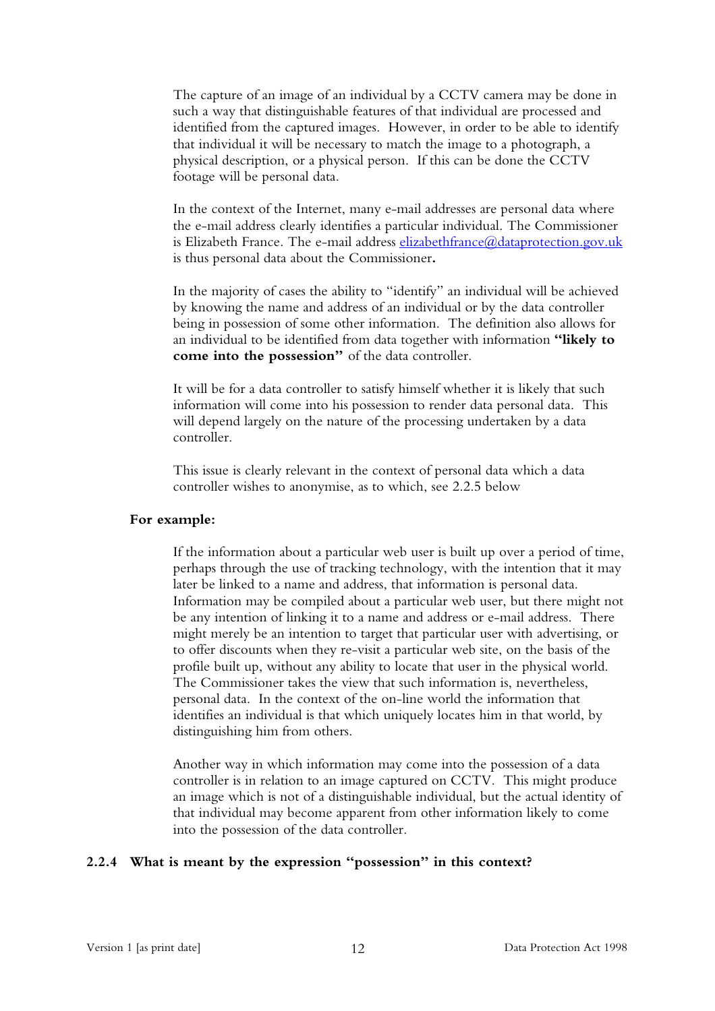The capture of an image of an individual by a CCTV camera may be done in such a way that distinguishable features of that individual are processed and identified from the captured images. However, in order to be able to identify that individual it will be necessary to match the image to a photograph, a physical description, or a physical person. If this can be done the CCTV footage will be personal data.

In the context of the Internet, many e-mail addresses are personal data where the e-mail address clearly identifies a particular individual. The Commissioner is Elizabeth France. The e-mail address  $\frac{\text{clizablethfrance}(a)\text{dataprotein.gov.uk}}{}$ is thus personal data about the Commissioner**.**

In the majority of cases the ability to "identify" an individual will be achieved by knowing the name and address of an individual or by the data controller being in possession of some other information. The definition also allows for an individual to be identified from data together with information **"likely to come into the possession"** of the data controller.

It will be for a data controller to satisfy himself whether it is likely that such information will come into his possession to render data personal data. This will depend largely on the nature of the processing undertaken by a data controller.

This issue is clearly relevant in the context of personal data which a data controller wishes to anonymise, as to which, see 2.2.5 below

#### **For example:**

If the information about a particular web user is built up over a period of time, perhaps through the use of tracking technology, with the intention that it may later be linked to a name and address, that information is personal data. Information may be compiled about a particular web user, but there might not be any intention of linking it to a name and address or e-mail address. There might merely be an intention to target that particular user with advertising, or to offer discounts when they re-visit a particular web site, on the basis of the profile built up, without any ability to locate that user in the physical world. The Commissioner takes the view that such information is, nevertheless, personal data. In the context of the on-line world the information that identifies an individual is that which uniquely locates him in that world, by distinguishing him from others.

Another way in which information may come into the possession of a data controller is in relation to an image captured on CCTV. This might produce an image which is not of a distinguishable individual, but the actual identity of that individual may become apparent from other information likely to come into the possession of the data controller.

#### **2.2.4 What is meant by the expression "possession" in this context?**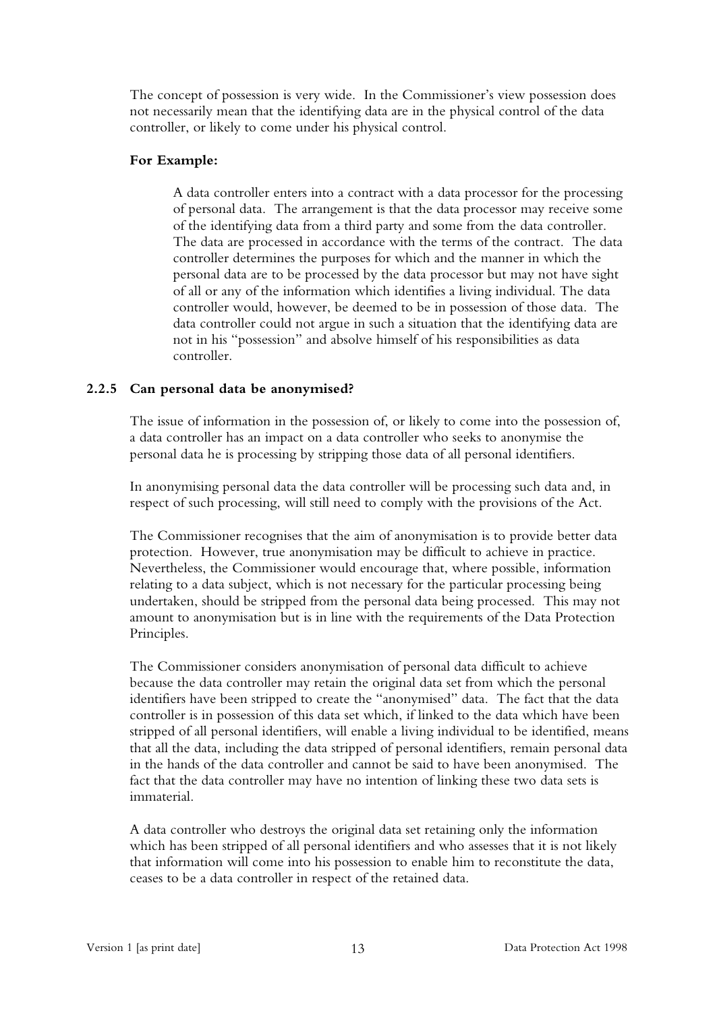The concept of possession is very wide. In the Commissioner's view possession does not necessarily mean that the identifying data are in the physical control of the data controller, or likely to come under his physical control.

# **For Example:**

A data controller enters into a contract with a data processor for the processing of personal data. The arrangement is that the data processor may receive some of the identifying data from a third party and some from the data controller. The data are processed in accordance with the terms of the contract. The data controller determines the purposes for which and the manner in which the personal data are to be processed by the data processor but may not have sight of all or any of the information which identifies a living individual. The data controller would, however, be deemed to be in possession of those data. The data controller could not argue in such a situation that the identifying data are not in his "possession" and absolve himself of his responsibilities as data controller.

# **2.2.5 Can personal data be anonymised?**

The issue of information in the possession of, or likely to come into the possession of, a data controller has an impact on a data controller who seeks to anonymise the personal data he is processing by stripping those data of all personal identifiers.

In anonymising personal data the data controller will be processing such data and, in respect of such processing, will still need to comply with the provisions of the Act.

The Commissioner recognises that the aim of anonymisation is to provide better data protection. However, true anonymisation may be difficult to achieve in practice. Nevertheless, the Commissioner would encourage that, where possible, information relating to a data subject, which is not necessary for the particular processing being undertaken, should be stripped from the personal data being processed. This may not amount to anonymisation but is in line with the requirements of the Data Protection Principles.

The Commissioner considers anonymisation of personal data difficult to achieve because the data controller may retain the original data set from which the personal identifiers have been stripped to create the "anonymised" data. The fact that the data controller is in possession of this data set which, if linked to the data which have been stripped of all personal identifiers, will enable a living individual to be identified, means that all the data, including the data stripped of personal identifiers, remain personal data in the hands of the data controller and cannot be said to have been anonymised. The fact that the data controller may have no intention of linking these two data sets is immaterial.

A data controller who destroys the original data set retaining only the information which has been stripped of all personal identifiers and who assesses that it is not likely that information will come into his possession to enable him to reconstitute the data, ceases to be a data controller in respect of the retained data.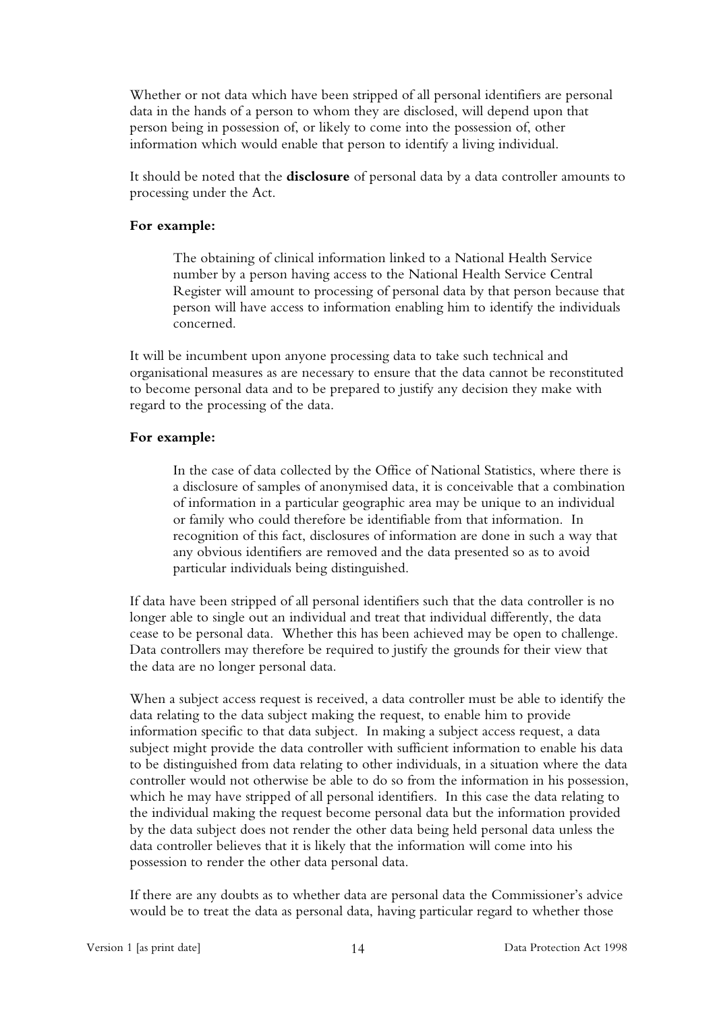Whether or not data which have been stripped of all personal identifiers are personal data in the hands of a person to whom they are disclosed, will depend upon that person being in possession of, or likely to come into the possession of, other information which would enable that person to identify a living individual.

It should be noted that the **disclosure** of personal data by a data controller amounts to processing under the Act.

#### **For example:**

The obtaining of clinical information linked to a National Health Service number by a person having access to the National Health Service Central Register will amount to processing of personal data by that person because that person will have access to information enabling him to identify the individuals concerned.

It will be incumbent upon anyone processing data to take such technical and organisational measures as are necessary to ensure that the data cannot be reconstituted to become personal data and to be prepared to justify any decision they make with regard to the processing of the data.

#### **For example:**

In the case of data collected by the Office of National Statistics, where there is a disclosure of samples of anonymised data, it is conceivable that a combination of information in a particular geographic area may be unique to an individual or family who could therefore be identifiable from that information. In recognition of this fact, disclosures of information are done in such a way that any obvious identifiers are removed and the data presented so as to avoid particular individuals being distinguished.

If data have been stripped of all personal identifiers such that the data controller is no longer able to single out an individual and treat that individual differently, the data cease to be personal data. Whether this has been achieved may be open to challenge. Data controllers may therefore be required to justify the grounds for their view that the data are no longer personal data.

When a subject access request is received, a data controller must be able to identify the data relating to the data subject making the request, to enable him to provide information specific to that data subject. In making a subject access request, a data subject might provide the data controller with sufficient information to enable his data to be distinguished from data relating to other individuals, in a situation where the data controller would not otherwise be able to do so from the information in his possession, which he may have stripped of all personal identifiers. In this case the data relating to the individual making the request become personal data but the information provided by the data subject does not render the other data being held personal data unless the data controller believes that it is likely that the information will come into his possession to render the other data personal data.

If there are any doubts as to whether data are personal data the Commissioner's advice would be to treat the data as personal data, having particular regard to whether those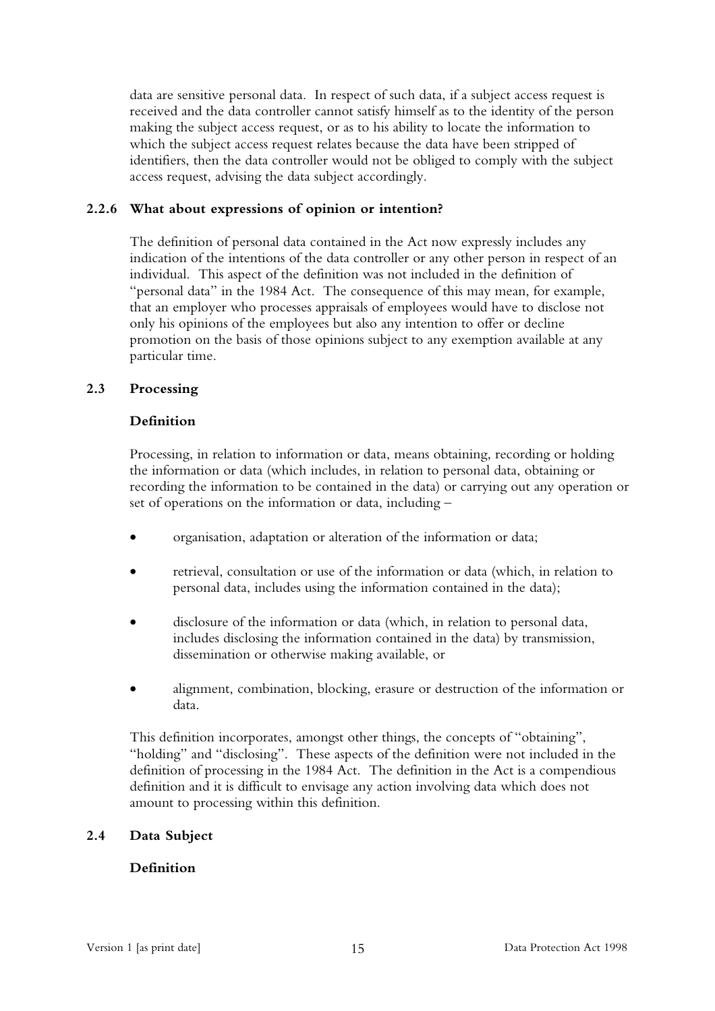data are sensitive personal data. In respect of such data, if a subject access request is received and the data controller cannot satisfy himself as to the identity of the person making the subject access request, or as to his ability to locate the information to which the subject access request relates because the data have been stripped of identifiers, then the data controller would not be obliged to comply with the subject access request, advising the data subject accordingly.

### **2.2.6 What about expressions of opinion or intention?**

The definition of personal data contained in the Act now expressly includes any indication of the intentions of the data controller or any other person in respect of an individual. This aspect of the definition was not included in the definition of "personal data" in the 1984 Act. The consequence of this may mean, for example, that an employer who processes appraisals of employees would have to disclose not only his opinions of the employees but also any intention to offer or decline promotion on the basis of those opinions subject to any exemption available at any particular time.

#### **2.3 Processing**

#### **Definition**

Processing, in relation to information or data, means obtaining, recording or holding the information or data (which includes, in relation to personal data, obtaining or recording the information to be contained in the data) or carrying out any operation or set of operations on the information or data, including –

- $\bullet$ organisation, adaptation or alteration of the information or data;
- $\bullet$ retrieval, consultation or use of the information or data (which, in relation to personal data, includes using the information contained in the data);
- $\bullet$ disclosure of the information or data (which, in relation to personal data, includes disclosing the information contained in the data) by transmission, dissemination or otherwise making available, or
- $\bullet$ alignment, combination, blocking, erasure or destruction of the information or data.

This definition incorporates, amongst other things, the concepts of "obtaining", "holding" and "disclosing". These aspects of the definition were not included in the definition of processing in the 1984 Act. The definition in the Act is a compendious definition and it is difficult to envisage any action involving data which does not amount to processing within this definition.

#### **2.4 Data Subject**

# **Definition**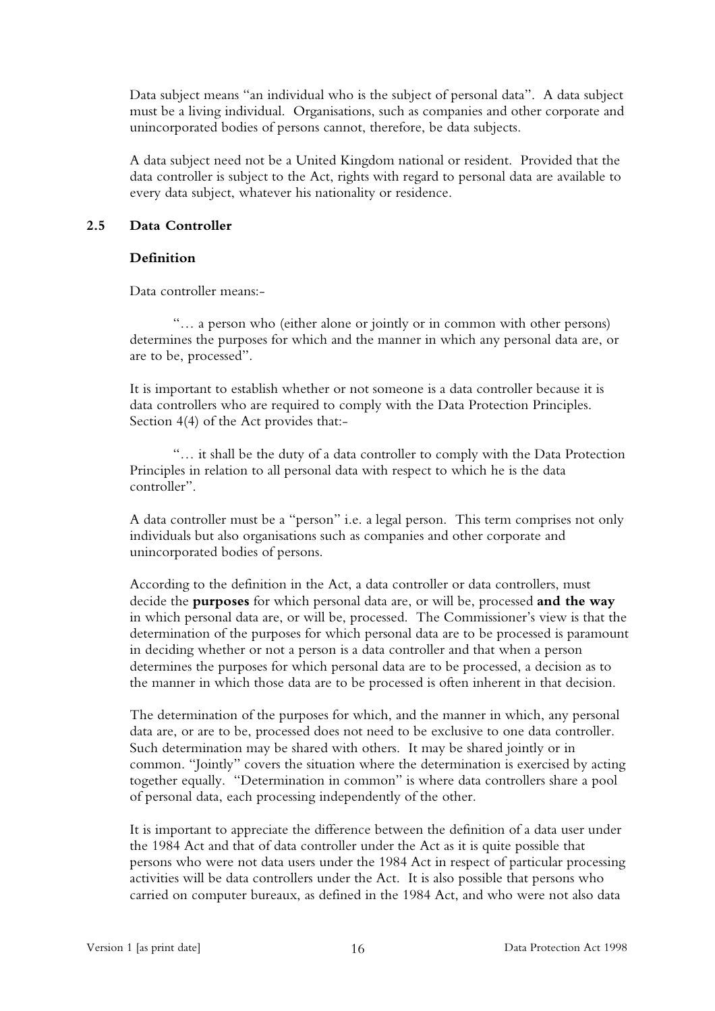Data subject means "an individual who is the subject of personal data". A data subject must be a living individual. Organisations, such as companies and other corporate and unincorporated bodies of persons cannot, therefore, be data subjects.

A data subject need not be a United Kingdom national or resident. Provided that the data controller is subject to the Act, rights with regard to personal data are available to every data subject, whatever his nationality or residence.

# **2.5 Data Controller**

# **Definition**

Data controller means:-

"… a person who (either alone or jointly or in common with other persons) determines the purposes for which and the manner in which any personal data are, or are to be, processed".

It is important to establish whether or not someone is a data controller because it is data controllers who are required to comply with the Data Protection Principles. Section 4(4) of the Act provides that:-

"… it shall be the duty of a data controller to comply with the Data Protection Principles in relation to all personal data with respect to which he is the data controller".

A data controller must be a "person" i.e. a legal person. This term comprises not only individuals but also organisations such as companies and other corporate and unincorporated bodies of persons.

According to the definition in the Act, a data controller or data controllers, must decide the **purposes** for which personal data are, or will be, processed **and the way** in which personal data are, or will be, processed. The Commissioner's view is that the determination of the purposes for which personal data are to be processed is paramount in deciding whether or not a person is a data controller and that when a person determines the purposes for which personal data are to be processed, a decision as to the manner in which those data are to be processed is often inherent in that decision.

The determination of the purposes for which, and the manner in which, any personal data are, or are to be, processed does not need to be exclusive to one data controller. Such determination may be shared with others. It may be shared jointly or in common. "Jointly" covers the situation where the determination is exercised by acting together equally. "Determination in common" is where data controllers share a pool of personal data, each processing independently of the other.

It is important to appreciate the difference between the definition of a data user under the 1984 Act and that of data controller under the Act as it is quite possible that persons who were not data users under the 1984 Act in respect of particular processing activities will be data controllers under the Act. It is also possible that persons who carried on computer bureaux, as defined in the 1984 Act, and who were not also data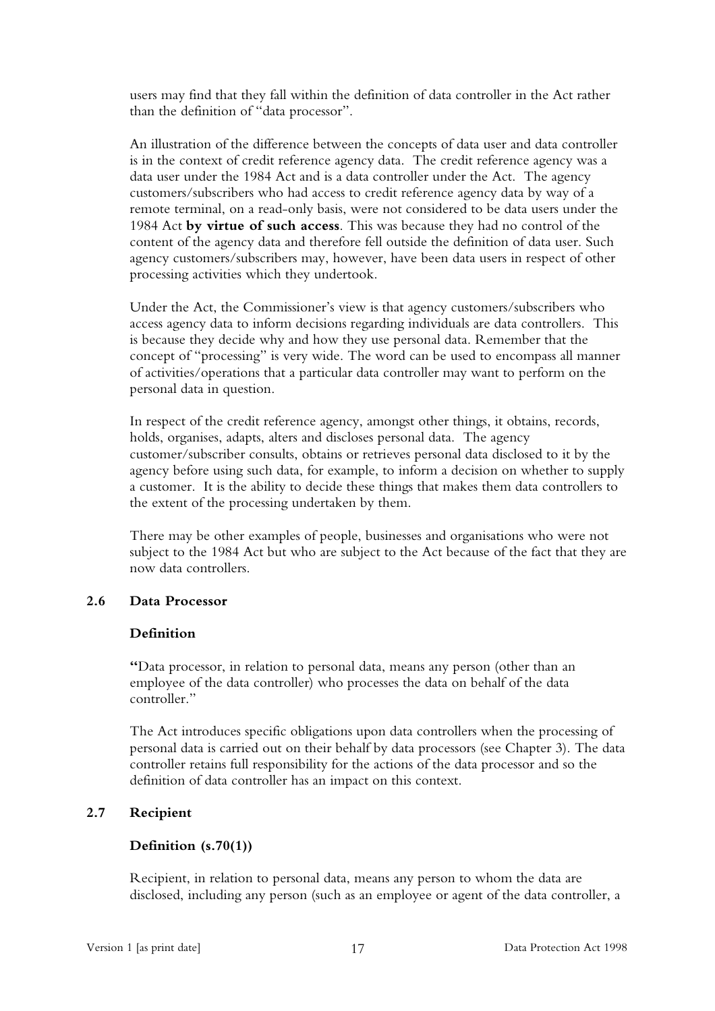users may find that they fall within the definition of data controller in the Act rather than the definition of "data processor".

An illustration of the difference between the concepts of data user and data controller is in the context of credit reference agency data. The credit reference agency was a data user under the 1984 Act and is a data controller under the Act. The agency customers/subscribers who had access to credit reference agency data by way of a remote terminal, on a read-only basis, were not considered to be data users under the 1984 Act **by virtue of such access**. This was because they had no control of the content of the agency data and therefore fell outside the definition of data user. Such agency customers/subscribers may, however, have been data users in respect of other processing activities which they undertook.

Under the Act, the Commissioner's view is that agency customers/subscribers who access agency data to inform decisions regarding individuals are data controllers. This is because they decide why and how they use personal data. Remember that the concept of "processing" is very wide. The word can be used to encompass all manner of activities/operations that a particular data controller may want to perform on the personal data in question.

In respect of the credit reference agency, amongst other things, it obtains, records, holds, organises, adapts, alters and discloses personal data. The agency customer/subscriber consults, obtains or retrieves personal data disclosed to it by the agency before using such data, for example, to inform a decision on whether to supply a customer. It is the ability to decide these things that makes them data controllers to the extent of the processing undertaken by them.

There may be other examples of people, businesses and organisations who were not subject to the 1984 Act but who are subject to the Act because of the fact that they are now data controllers.

# **2.6 Data Processor**

# **Definition**

 **"**Data processor, in relation to personal data, means any person (other than an employee of the data controller) who processes the data on behalf of the data controller."

The Act introduces specific obligations upon data controllers when the processing of personal data is carried out on their behalf by data processors (see Chapter 3). The data controller retains full responsibility for the actions of the data processor and so the definition of data controller has an impact on this context.

# **2.7 Recipient**

#### **Definition (s.70(1))**

Recipient, in relation to personal data, means any person to whom the data are disclosed, including any person (such as an employee or agent of the data controller, a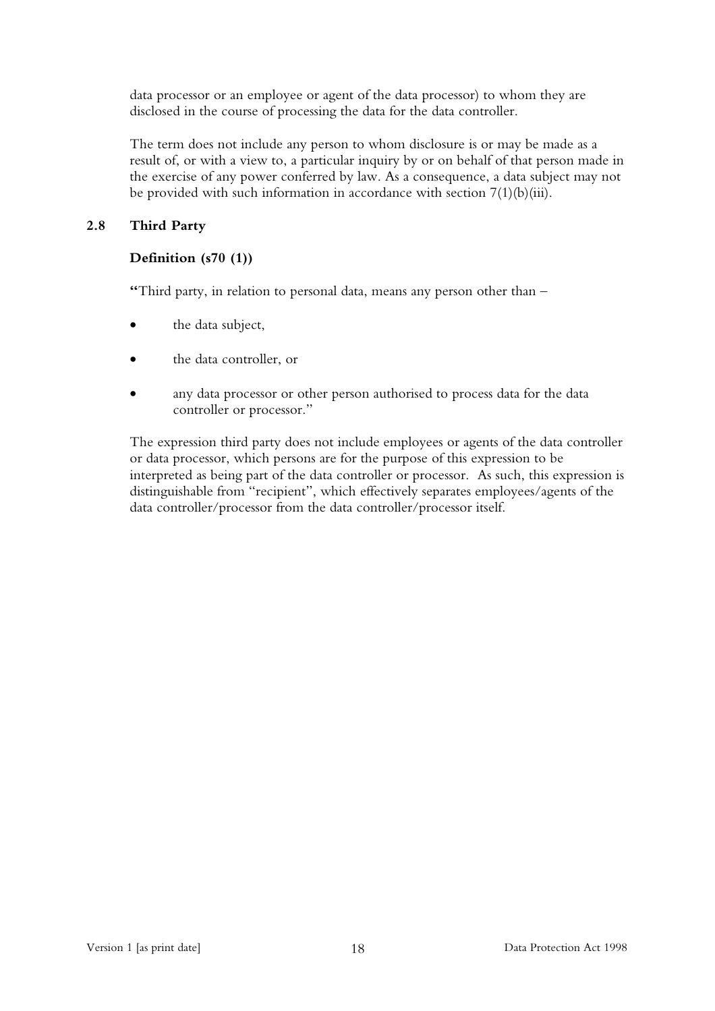data processor or an employee or agent of the data processor) to whom they are disclosed in the course of processing the data for the data controller.

The term does not include any person to whom disclosure is or may be made as a result of, or with a view to, a particular inquiry by or on behalf of that person made in the exercise of any power conferred by law. As a consequence, a data subject may not be provided with such information in accordance with section 7(1)(b)(iii).

# **2.8 Third Party**

# **Definition (s70 (1))**

 **"**Third party, in relation to personal data, means any person other than –

- $\bullet$ the data subject,
- $\bullet$ the data controller, or
- $\bullet$ any data processor or other person authorised to process data for the data controller or processor."

The expression third party does not include employees or agents of the data controller or data processor, which persons are for the purpose of this expression to be interpreted as being part of the data controller or processor. As such, this expression is distinguishable from "recipient", which effectively separates employees/agents of the data controller/processor from the data controller/processor itself.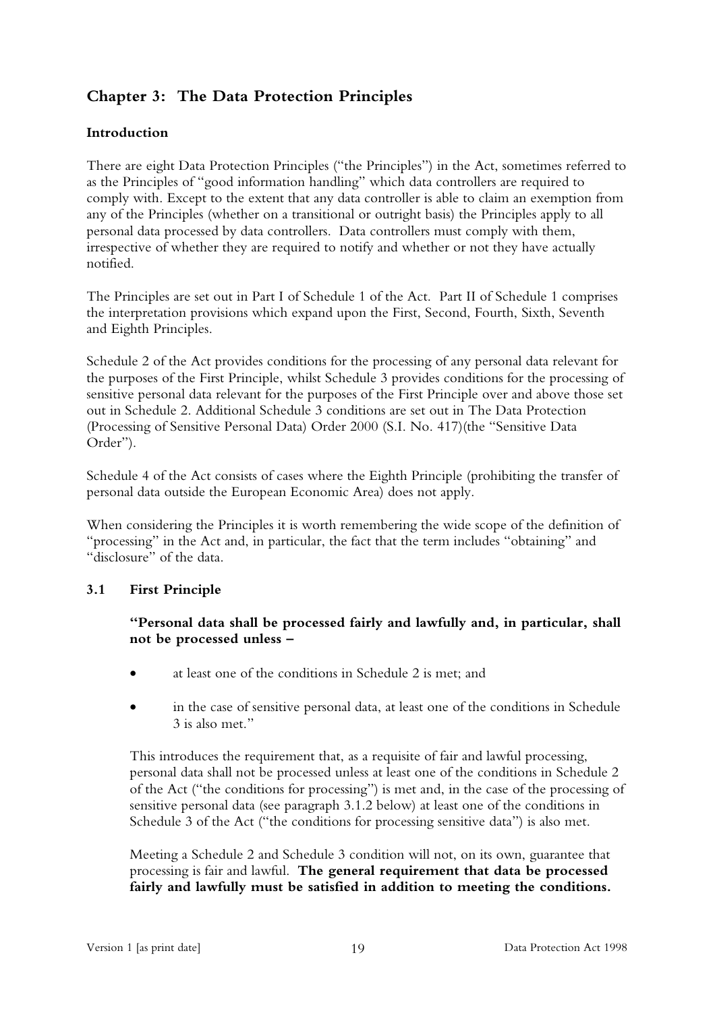# **Chapter 3: The Data Protection Principles**

# **Introduction**

There are eight Data Protection Principles ("the Principles") in the Act, sometimes referred to as the Principles of "good information handling" which data controllers are required to comply with. Except to the extent that any data controller is able to claim an exemption from any of the Principles (whether on a transitional or outright basis) the Principles apply to all personal data processed by data controllers. Data controllers must comply with them, irrespective of whether they are required to notify and whether or not they have actually notified.

The Principles are set out in Part I of Schedule 1 of the Act. Part II of Schedule 1 comprises the interpretation provisions which expand upon the First, Second, Fourth, Sixth, Seventh and Eighth Principles.

Schedule 2 of the Act provides conditions for the processing of any personal data relevant for the purposes of the First Principle, whilst Schedule 3 provides conditions for the processing of sensitive personal data relevant for the purposes of the First Principle over and above those set out in Schedule 2. Additional Schedule 3 conditions are set out in The Data Protection (Processing of Sensitive Personal Data) Order 2000 (S.I. No. 417)(the "Sensitive Data Order").

Schedule 4 of the Act consists of cases where the Eighth Principle (prohibiting the transfer of personal data outside the European Economic Area) does not apply.

When considering the Principles it is worth remembering the wide scope of the definition of "processing" in the Act and, in particular, the fact that the term includes "obtaining" and "disclosure" of the data.

# **3.1 First Principle**

# **"Personal data shall be processed fairly and lawfully and, in particular, shall not be processed unless –**

- $\bullet$ at least one of the conditions in Schedule 2 is met; and
- $\bullet$ in the case of sensitive personal data, at least one of the conditions in Schedule 3 is also met."

This introduces the requirement that, as a requisite of fair and lawful processing, personal data shall not be processed unless at least one of the conditions in Schedule 2 of the Act ("the conditions for processing") is met and, in the case of the processing of sensitive personal data (see paragraph 3.1.2 below) at least one of the conditions in Schedule 3 of the Act ("the conditions for processing sensitive data") is also met.

Meeting a Schedule 2 and Schedule 3 condition will not, on its own, guarantee that processing is fair and lawful. **The general requirement that data be processed fairly and lawfully must be satisfied in addition to meeting the conditions.**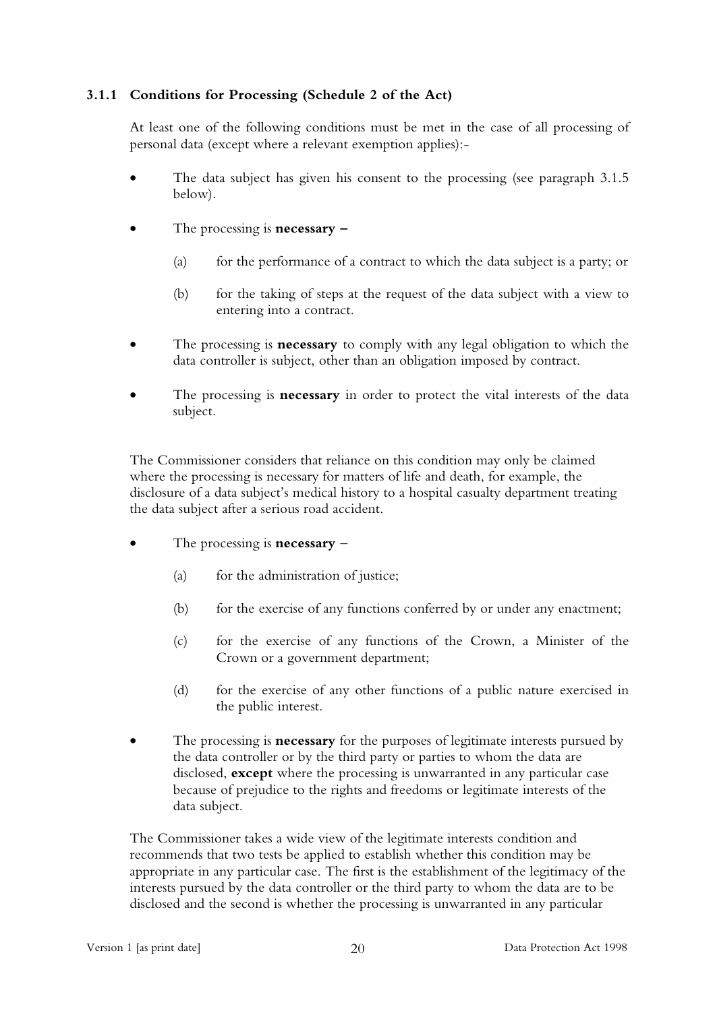# **3.1.1 Conditions for Processing (Schedule 2 of the Act)**

At least one of the following conditions must be met in the case of all processing of personal data (except where a relevant exemption applies):-

- $\bullet$ The data subject has given his consent to the processing (see paragraph 3.1.5 below).
- $\bullet$ The processing is **necessary –** 
	- (a) for the performance of a contract to which the data subject is a party; or
	- (b) for the taking of steps at the request of the data subject with a view to entering into a contract.
- $\bullet$ The processing is **necessary** to comply with any legal obligation to which the data controller is subject, other than an obligation imposed by contract.
- $\bullet$ The processing is **necessary** in order to protect the vital interests of the data subject.

The Commissioner considers that reliance on this condition may only be claimed where the processing is necessary for matters of life and death, for example, the disclosure of a data subject's medical history to a hospital casualty department treating the data subject after a serious road accident.

- $\bullet$ The processing is **necessary** –
	- (a) for the administration of justice;
	- (b) for the exercise of any functions conferred by or under any enactment;
	- (c) for the exercise of any functions of the Crown, a Minister of the Crown or a government department;
	- (d) for the exercise of any other functions of a public nature exercised in the public interest.
- $\bullet$ The processing is **necessary** for the purposes of legitimate interests pursued by the data controller or by the third party or parties to whom the data are disclosed, **except** where the processing is unwarranted in any particular case because of prejudice to the rights and freedoms or legitimate interests of the data subject.

The Commissioner takes a wide view of the legitimate interests condition and recommends that two tests be applied to establish whether this condition may be appropriate in any particular case. The first is the establishment of the legitimacy of the interests pursued by the data controller or the third party to whom the data are to be disclosed and the second is whether the processing is unwarranted in any particular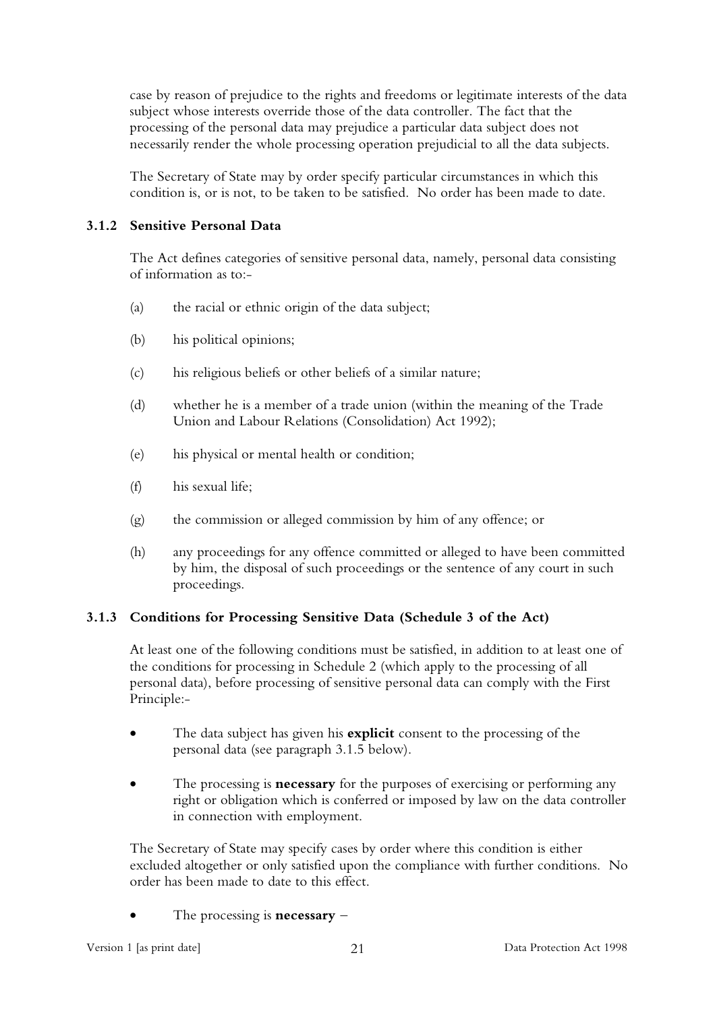case by reason of prejudice to the rights and freedoms or legitimate interests of the data subject whose interests override those of the data controller. The fact that the processing of the personal data may prejudice a particular data subject does not necessarily render the whole processing operation prejudicial to all the data subjects.

The Secretary of State may by order specify particular circumstances in which this condition is, or is not, to be taken to be satisfied. No order has been made to date.

# **3.1.2 Sensitive Personal Data**

The Act defines categories of sensitive personal data, namely, personal data consisting of information as to:-

- (a) the racial or ethnic origin of the data subject;
- (b) his political opinions;
- (c) his religious beliefs or other beliefs of a similar nature;
- (d) whether he is a member of a trade union (within the meaning of the Trade Union and Labour Relations (Consolidation) Act 1992);
- (e) his physical or mental health or condition;
- (f) his sexual life;
- (g) the commission or alleged commission by him of any offence; or
- (h) any proceedings for any offence committed or alleged to have been committed by him, the disposal of such proceedings or the sentence of any court in such proceedings.

# **3.1.3 Conditions for Processing Sensitive Data (Schedule 3 of the Act)**

At least one of the following conditions must be satisfied, in addition to at least one of the conditions for processing in Schedule 2 (which apply to the processing of all personal data), before processing of sensitive personal data can comply with the First Principle:-

- $\bullet$ The data subject has given his **explicit** consent to the processing of the personal data (see paragraph 3.1.5 below).
- $\bullet$ The processing is **necessary** for the purposes of exercising or performing any right or obligation which is conferred or imposed by law on the data controller in connection with employment.

The Secretary of State may specify cases by order where this condition is either excluded altogether or only satisfied upon the compliance with further conditions. No order has been made to date to this effect.

 $\bullet$ The processing is **necessary** –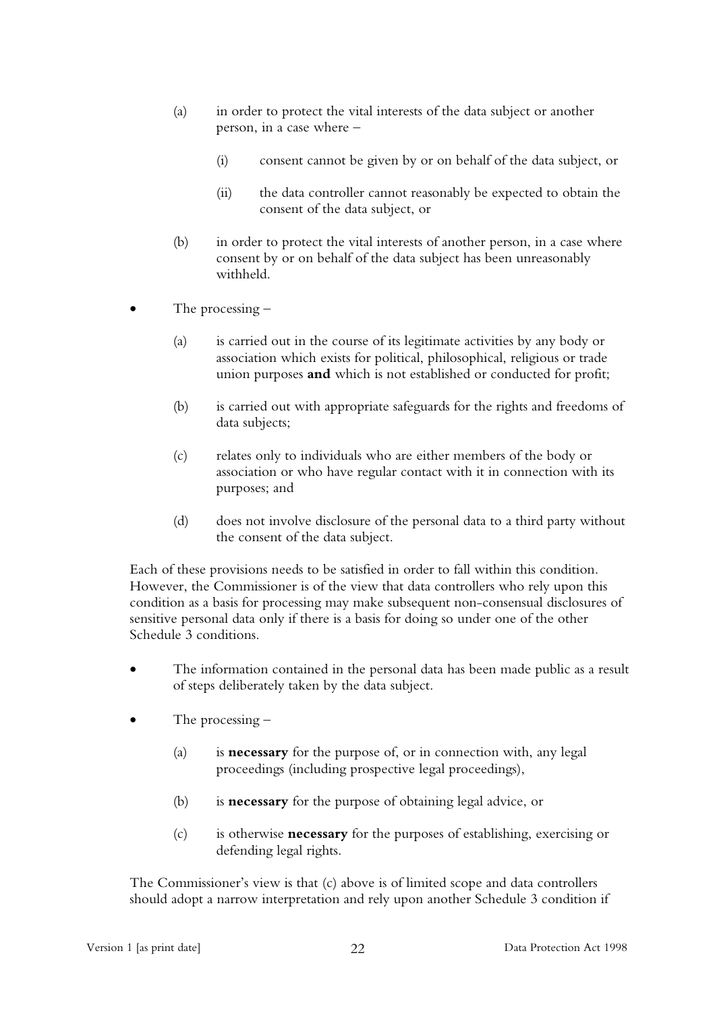- (a) in order to protect the vital interests of the data subject or another person, in a case where –
	- (i) consent cannot be given by or on behalf of the data subject, or
	- (ii) the data controller cannot reasonably be expected to obtain the consent of the data subject, or
- (b) in order to protect the vital interests of another person, in a case where consent by or on behalf of the data subject has been unreasonably withheld.
- $\bullet$ The processing –
	- (a) is carried out in the course of its legitimate activities by any body or association which exists for political, philosophical, religious or trade union purposes **and** which is not established or conducted for profit;
	- (b) is carried out with appropriate safeguards for the rights and freedoms of data subjects;
	- (c) relates only to individuals who are either members of the body or association or who have regular contact with it in connection with its purposes; and
	- (d) does not involve disclosure of the personal data to a third party without the consent of the data subject.

Each of these provisions needs to be satisfied in order to fall within this condition. However, the Commissioner is of the view that data controllers who rely upon this condition as a basis for processing may make subsequent non-consensual disclosures of sensitive personal data only if there is a basis for doing so under one of the other Schedule 3 conditions.

- $\bullet$ The information contained in the personal data has been made public as a result of steps deliberately taken by the data subject.
- $\bullet$ The processing –
	- (a) is **necessary** for the purpose of, or in connection with, any legal proceedings (including prospective legal proceedings),
	- (b) is **necessary** for the purpose of obtaining legal advice, or
	- (c) is otherwise **necessary** for the purposes of establishing, exercising or defending legal rights.

The Commissioner's view is that (c) above is of limited scope and data controllers should adopt a narrow interpretation and rely upon another Schedule 3 condition if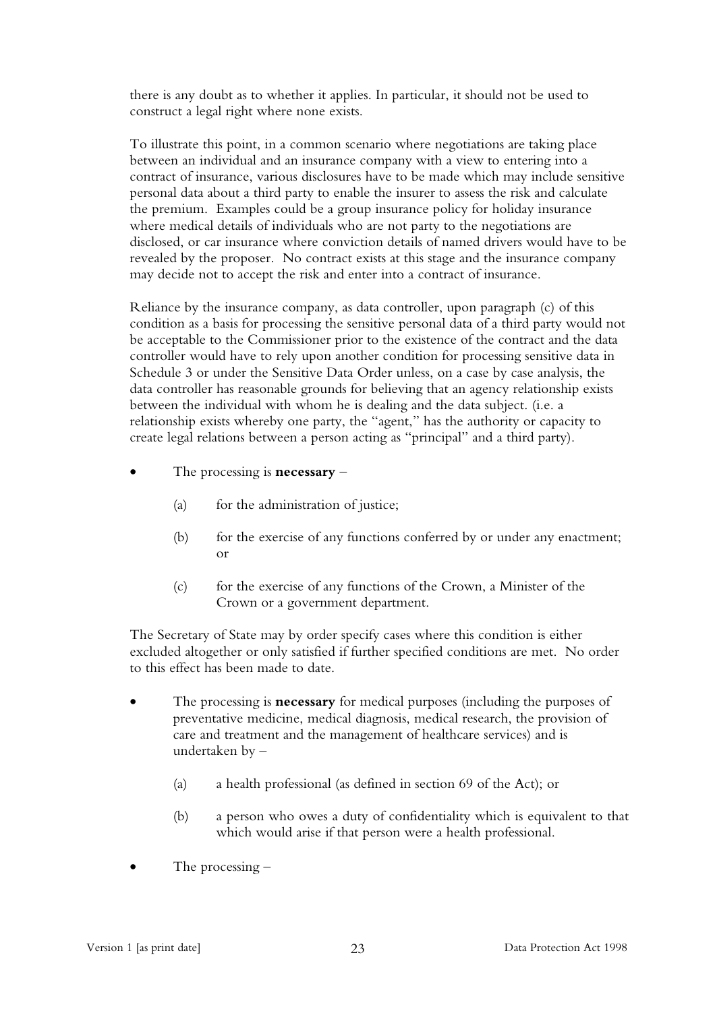there is any doubt as to whether it applies. In particular, it should not be used to construct a legal right where none exists.

To illustrate this point, in a common scenario where negotiations are taking place between an individual and an insurance company with a view to entering into a contract of insurance, various disclosures have to be made which may include sensitive personal data about a third party to enable the insurer to assess the risk and calculate the premium. Examples could be a group insurance policy for holiday insurance where medical details of individuals who are not party to the negotiations are disclosed, or car insurance where conviction details of named drivers would have to be revealed by the proposer. No contract exists at this stage and the insurance company may decide not to accept the risk and enter into a contract of insurance.

Reliance by the insurance company, as data controller, upon paragraph (c) of this condition as a basis for processing the sensitive personal data of a third party would not be acceptable to the Commissioner prior to the existence of the contract and the data controller would have to rely upon another condition for processing sensitive data in Schedule 3 or under the Sensitive Data Order unless, on a case by case analysis, the data controller has reasonable grounds for believing that an agency relationship exists between the individual with whom he is dealing and the data subject. (i.e. a relationship exists whereby one party, the "agent," has the authority or capacity to create legal relations between a person acting as "principal" and a third party).

- $\bullet$ The processing is **necessary** –
	- (a) for the administration of justice;
	- (b) for the exercise of any functions conferred by or under any enactment; or
	- (c) for the exercise of any functions of the Crown, a Minister of the Crown or a government department.

The Secretary of State may by order specify cases where this condition is either excluded altogether or only satisfied if further specified conditions are met. No order to this effect has been made to date.

- $\bullet$ The processing is **necessary** for medical purposes (including the purposes of preventative medicine, medical diagnosis, medical research, the provision of care and treatment and the management of healthcare services) and is undertaken by –
	- (a) a health professional (as defined in section 69 of the Act); or
	- (b) a person who owes a duty of confidentiality which is equivalent to that which would arise if that person were a health professional.
- $\bullet$ The processing –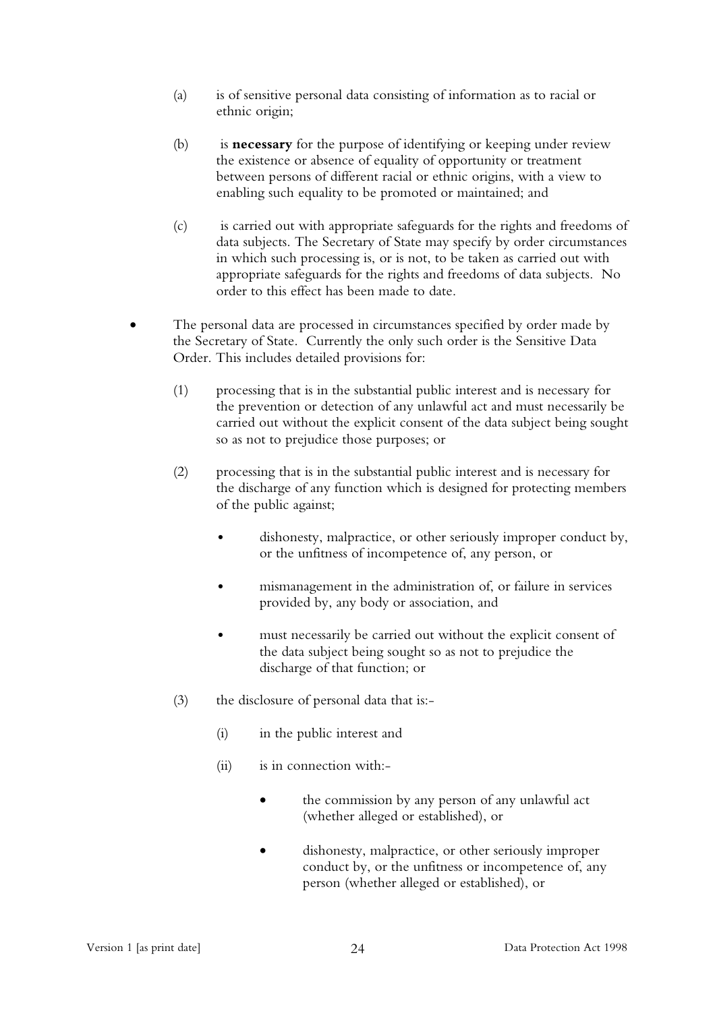- (a) is of sensitive personal data consisting of information as to racial or ethnic origin;
- (b) is **necessary** for the purpose of identifying or keeping under review the existence or absence of equality of opportunity or treatment between persons of different racial or ethnic origins, with a view to enabling such equality to be promoted or maintained; and
- (c) is carried out with appropriate safeguards for the rights and freedoms of data subjects. The Secretary of State may specify by order circumstances in which such processing is, or is not, to be taken as carried out with appropriate safeguards for the rights and freedoms of data subjects. No order to this effect has been made to date.
- $\bullet$ The personal data are processed in circumstances specified by order made by the Secretary of State. Currently the only such order is the Sensitive Data Order. This includes detailed provisions for:
	- (1) processing that is in the substantial public interest and is necessary for the prevention or detection of any unlawful act and must necessarily be carried out without the explicit consent of the data subject being sought so as not to prejudice those purposes; or
	- (2) processing that is in the substantial public interest and is necessary for the discharge of any function which is designed for protecting members of the public against;
		- dishonesty, malpractice, or other seriously improper conduct by, or the unfitness of incompetence of, any person, or
		- mismanagement in the administration of, or failure in services provided by, any body or association, and
		- must necessarily be carried out without the explicit consent of the data subject being sought so as not to prejudice the discharge of that function; or
	- (3) the disclosure of personal data that is:-
		- (i) in the public interest and
		- (ii) is in connection with:-
			- $\bullet$ the commission by any person of any unlawful act (whether alleged or established), or
			- $\bullet$ dishonesty, malpractice, or other seriously improper conduct by, or the unfitness or incompetence of, any person (whether alleged or established), or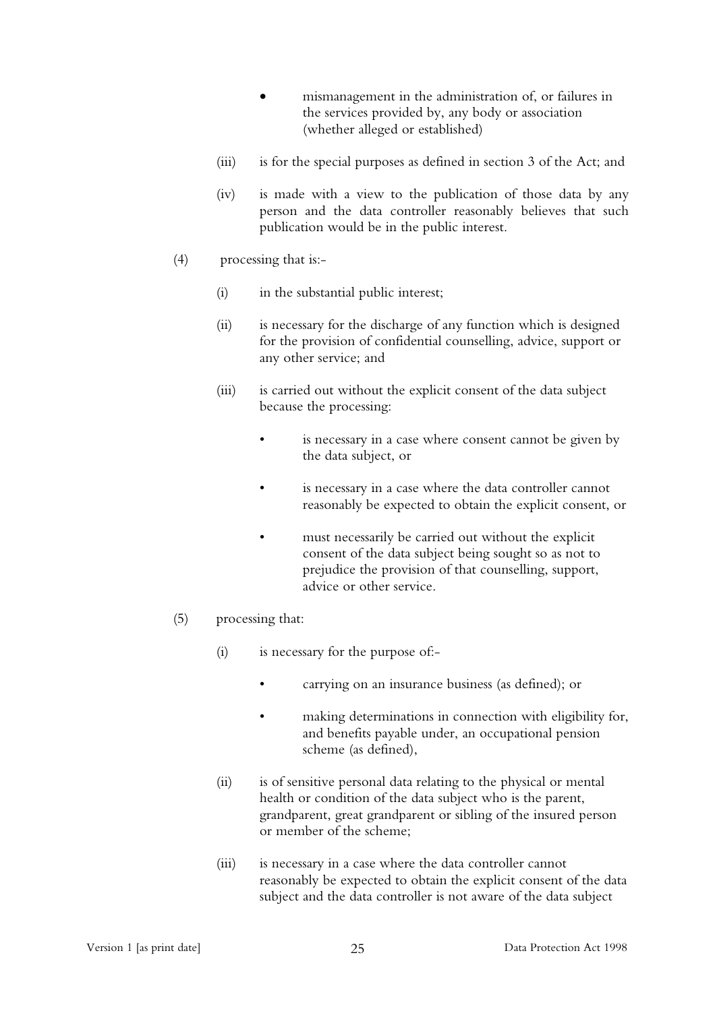- mismanagement in the administration of, or failures in the services provided by, any body or association (whether alleged or established)
- (iii) is for the special purposes as defined in section 3 of the Act; and
- (iv) is made with a view to the publication of those data by any person and the data controller reasonably believes that such publication would be in the public interest.
- (4) processing that is:-
	- (i) in the substantial public interest;
	- (ii) is necessary for the discharge of any function which is designed for the provision of confidential counselling, advice, support or any other service; and
	- (iii) is carried out without the explicit consent of the data subject because the processing:
		- is necessary in a case where consent cannot be given by the data subject, or
		- is necessary in a case where the data controller cannot reasonably be expected to obtain the explicit consent, or
		- must necessarily be carried out without the explicit consent of the data subject being sought so as not to prejudice the provision of that counselling, support, advice or other service.
- (5) processing that:
	- (i) is necessary for the purpose of:-
		- carrying on an insurance business (as defined); or
		- making determinations in connection with eligibility for, and benefits payable under, an occupational pension scheme (as defined),
	- (ii) is of sensitive personal data relating to the physical or mental health or condition of the data subject who is the parent, grandparent, great grandparent or sibling of the insured person or member of the scheme;
	- (iii) is necessary in a case where the data controller cannot reasonably be expected to obtain the explicit consent of the data subject and the data controller is not aware of the data subject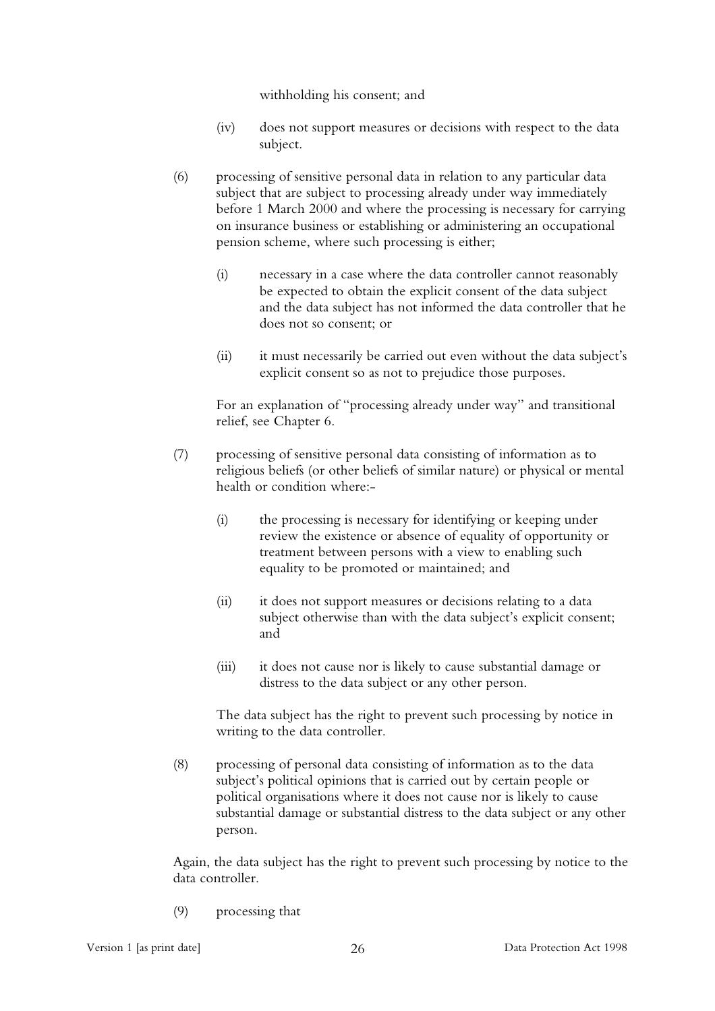withholding his consent; and

- (iv) does not support measures or decisions with respect to the data subject.
- (6) processing of sensitive personal data in relation to any particular data subject that are subject to processing already under way immediately before 1 March 2000 and where the processing is necessary for carrying on insurance business or establishing or administering an occupational pension scheme, where such processing is either;
	- (i) necessary in a case where the data controller cannot reasonably be expected to obtain the explicit consent of the data subject and the data subject has not informed the data controller that he does not so consent; or
	- (ii) it must necessarily be carried out even without the data subject's explicit consent so as not to prejudice those purposes.

For an explanation of "processing already under way" and transitional relief, see Chapter 6.

- (7) processing of sensitive personal data consisting of information as to religious beliefs (or other beliefs of similar nature) or physical or mental health or condition where:-
	- (i) the processing is necessary for identifying or keeping under review the existence or absence of equality of opportunity or treatment between persons with a view to enabling such equality to be promoted or maintained; and
	- (ii) it does not support measures or decisions relating to a data subject otherwise than with the data subject's explicit consent; and
	- (iii) it does not cause nor is likely to cause substantial damage or distress to the data subject or any other person.

The data subject has the right to prevent such processing by notice in writing to the data controller.

(8) processing of personal data consisting of information as to the data subject's political opinions that is carried out by certain people or political organisations where it does not cause nor is likely to cause substantial damage or substantial distress to the data subject or any other person.

Again, the data subject has the right to prevent such processing by notice to the data controller.

(9) processing that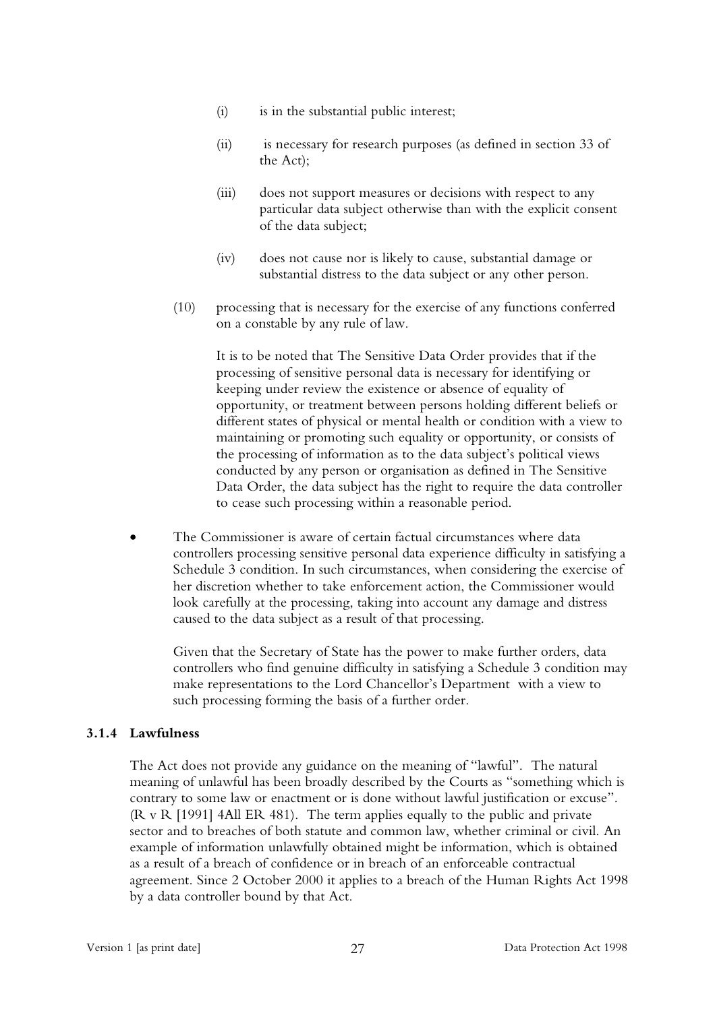- (i) is in the substantial public interest;
- (ii) is necessary for research purposes (as defined in section 33 of the Act);
- (iii) does not support measures or decisions with respect to any particular data subject otherwise than with the explicit consent of the data subject;
- (iv) does not cause nor is likely to cause, substantial damage or substantial distress to the data subject or any other person.
- (10) processing that is necessary for the exercise of any functions conferred on a constable by any rule of law.

It is to be noted that The Sensitive Data Order provides that if the processing of sensitive personal data is necessary for identifying or keeping under review the existence or absence of equality of opportunity, or treatment between persons holding different beliefs or different states of physical or mental health or condition with a view to maintaining or promoting such equality or opportunity, or consists of the processing of information as to the data subject's political views conducted by any person or organisation as defined in The Sensitive Data Order, the data subject has the right to require the data controller to cease such processing within a reasonable period.

The Commissioner is aware of certain factual circumstances where data controllers processing sensitive personal data experience difficulty in satisfying a Schedule 3 condition. In such circumstances, when considering the exercise of her discretion whether to take enforcement action, the Commissioner would look carefully at the processing, taking into account any damage and distress caused to the data subject as a result of that processing.

Given that the Secretary of State has the power to make further orders, data controllers who find genuine difficulty in satisfying a Schedule 3 condition may make representations to the Lord Chancellor's Department with a view to such processing forming the basis of a further order.

# **3.1.4 Lawfulness**

The Act does not provide any guidance on the meaning of "lawful". The natural meaning of unlawful has been broadly described by the Courts as "something which is contrary to some law or enactment or is done without lawful justification or excuse". (R v R [1991] 4All ER 481). The term applies equally to the public and private sector and to breaches of both statute and common law, whether criminal or civil. An example of information unlawfully obtained might be information, which is obtained as a result of a breach of confidence or in breach of an enforceable contractual agreement. Since 2 October 2000 it applies to a breach of the Human Rights Act 1998 by a data controller bound by that Act.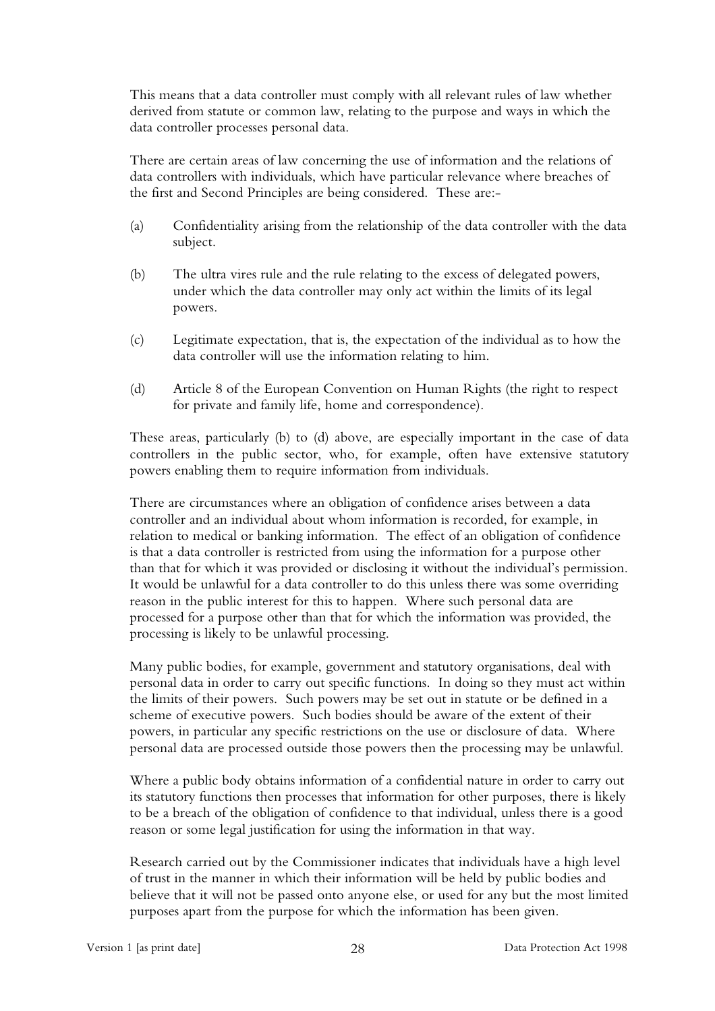This means that a data controller must comply with all relevant rules of law whether derived from statute or common law, relating to the purpose and ways in which the data controller processes personal data.

There are certain areas of law concerning the use of information and the relations of data controllers with individuals, which have particular relevance where breaches of the first and Second Principles are being considered. These are:-

- (a) Confidentiality arising from the relationship of the data controller with the data subject.
- (b) The ultra vires rule and the rule relating to the excess of delegated powers, under which the data controller may only act within the limits of its legal powers.
- (c) Legitimate expectation, that is, the expectation of the individual as to how the data controller will use the information relating to him.
- (d) Article 8 of the European Convention on Human Rights (the right to respect for private and family life, home and correspondence).

These areas, particularly (b) to (d) above, are especially important in the case of data controllers in the public sector, who, for example, often have extensive statutory powers enabling them to require information from individuals.

There are circumstances where an obligation of confidence arises between a data controller and an individual about whom information is recorded, for example, in relation to medical or banking information. The effect of an obligation of confidence is that a data controller is restricted from using the information for a purpose other than that for which it was provided or disclosing it without the individual's permission. It would be unlawful for a data controller to do this unless there was some overriding reason in the public interest for this to happen. Where such personal data are processed for a purpose other than that for which the information was provided, the processing is likely to be unlawful processing.

Many public bodies, for example, government and statutory organisations, deal with personal data in order to carry out specific functions. In doing so they must act within the limits of their powers. Such powers may be set out in statute or be defined in a scheme of executive powers. Such bodies should be aware of the extent of their powers, in particular any specific restrictions on the use or disclosure of data. Where personal data are processed outside those powers then the processing may be unlawful.

Where a public body obtains information of a confidential nature in order to carry out its statutory functions then processes that information for other purposes, there is likely to be a breach of the obligation of confidence to that individual, unless there is a good reason or some legal justification for using the information in that way.

Research carried out by the Commissioner indicates that individuals have a high level of trust in the manner in which their information will be held by public bodies and believe that it will not be passed onto anyone else, or used for any but the most limited purposes apart from the purpose for which the information has been given.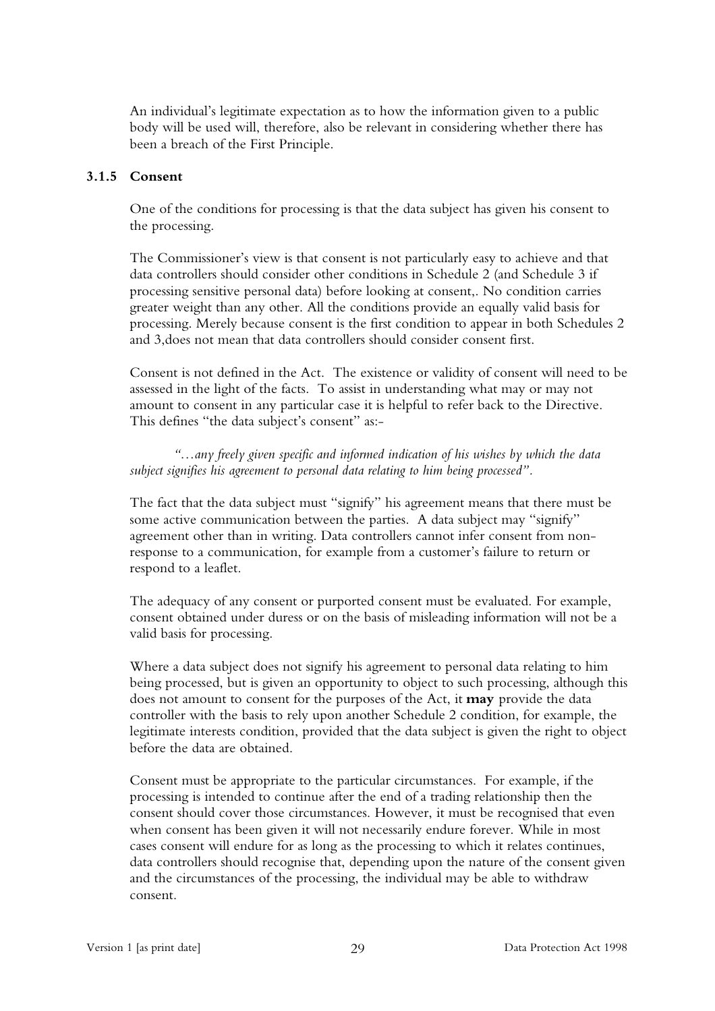An individual's legitimate expectation as to how the information given to a public body will be used will, therefore, also be relevant in considering whether there has been a breach of the First Principle.

#### **3.1.5 Consent**

One of the conditions for processing is that the data subject has given his consent to the processing.

The Commissioner's view is that consent is not particularly easy to achieve and that data controllers should consider other conditions in Schedule 2 (and Schedule 3 if processing sensitive personal data) before looking at consent,. No condition carries greater weight than any other. All the conditions provide an equally valid basis for processing. Merely because consent is the first condition to appear in both Schedules 2 and 3,does not mean that data controllers should consider consent first.

Consent is not defined in the Act. The existence or validity of consent will need to be assessed in the light of the facts. To assist in understanding what may or may not amount to consent in any particular case it is helpful to refer back to the Directive. This defines "the data subject's consent" as:-

*"…any freely given specific and informed indication of his wishes by which the data subject signifies his agreement to personal data relating to him being processed".* 

The fact that the data subject must "signify" his agreement means that there must be some active communication between the parties. A data subject may "signify" agreement other than in writing. Data controllers cannot infer consent from nonresponse to a communication, for example from a customer's failure to return or respond to a leaflet.

The adequacy of any consent or purported consent must be evaluated. For example, consent obtained under duress or on the basis of misleading information will not be a valid basis for processing.

Where a data subject does not signify his agreement to personal data relating to him being processed, but is given an opportunity to object to such processing, although this does not amount to consent for the purposes of the Act, it **may** provide the data controller with the basis to rely upon another Schedule 2 condition, for example, the legitimate interests condition, provided that the data subject is given the right to object before the data are obtained.

Consent must be appropriate to the particular circumstances. For example, if the processing is intended to continue after the end of a trading relationship then the consent should cover those circumstances. However, it must be recognised that even when consent has been given it will not necessarily endure forever. While in most cases consent will endure for as long as the processing to which it relates continues, data controllers should recognise that, depending upon the nature of the consent given and the circumstances of the processing, the individual may be able to withdraw consent.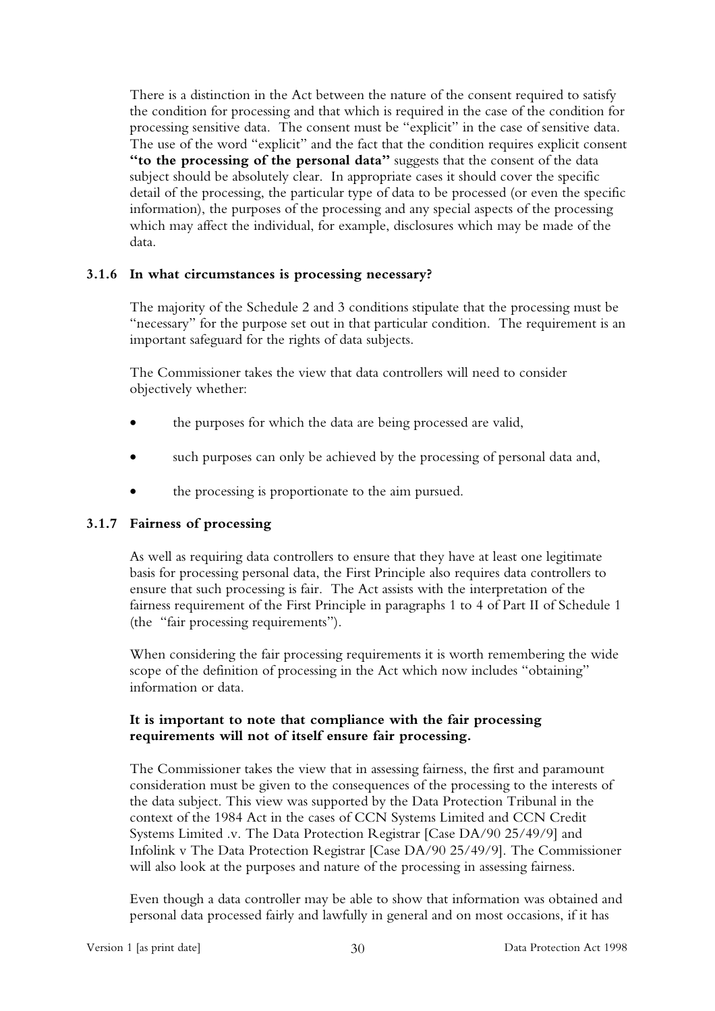There is a distinction in the Act between the nature of the consent required to satisfy the condition for processing and that which is required in the case of the condition for processing sensitive data. The consent must be "explicit" in the case of sensitive data. The use of the word "explicit" and the fact that the condition requires explicit consent **"to the processing of the personal data"** suggests that the consent of the data subject should be absolutely clear. In appropriate cases it should cover the specific detail of the processing, the particular type of data to be processed (or even the specific information), the purposes of the processing and any special aspects of the processing which may affect the individual, for example, disclosures which may be made of the data.

# **3.1.6 In what circumstances is processing necessary?**

The majority of the Schedule 2 and 3 conditions stipulate that the processing must be "necessary" for the purpose set out in that particular condition. The requirement is an important safeguard for the rights of data subjects.

The Commissioner takes the view that data controllers will need to consider objectively whether:

- $\bullet$ the purposes for which the data are being processed are valid,
- $\bullet$ such purposes can only be achieved by the processing of personal data and,
- $\bullet$ the processing is proportionate to the aim pursued.

# **3.1.7 Fairness of processing**

As well as requiring data controllers to ensure that they have at least one legitimate basis for processing personal data, the First Principle also requires data controllers to ensure that such processing is fair. The Act assists with the interpretation of the fairness requirement of the First Principle in paragraphs 1 to 4 of Part II of Schedule 1 (the "fair processing requirements").

When considering the fair processing requirements it is worth remembering the wide scope of the definition of processing in the Act which now includes "obtaining" information or data.

# **It is important to note that compliance with the fair processing requirements will not of itself ensure fair processing.**

The Commissioner takes the view that in assessing fairness, the first and paramount consideration must be given to the consequences of the processing to the interests of the data subject. This view was supported by the Data Protection Tribunal in the context of the 1984 Act in the cases of CCN Systems Limited and CCN Credit Systems Limited .v. The Data Protection Registrar [Case DA/90 25/49/9] and Infolink v The Data Protection Registrar [Case DA/90 25/49/9]. The Commissioner will also look at the purposes and nature of the processing in assessing fairness.

Even though a data controller may be able to show that information was obtained and personal data processed fairly and lawfully in general and on most occasions, if it has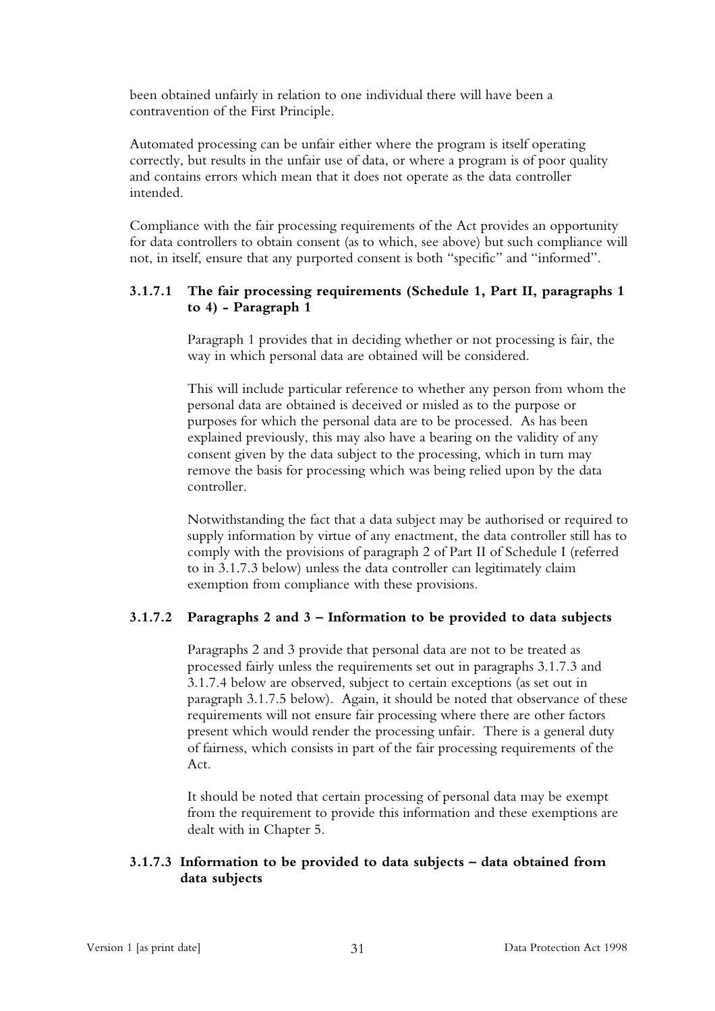been obtained unfairly in relation to one individual there will have been a contravention of the First Principle.

Automated processing can be unfair either where the program is itself operating correctly, but results in the unfair use of data, or where a program is of poor quality and contains errors which mean that it does not operate as the data controller intended.

Compliance with the fair processing requirements of the Act provides an opportunity for data controllers to obtain consent (as to which, see above) but such compliance will not, in itself, ensure that any purported consent is both "specific" and "informed".

# **3.1.7.1 The fair processing requirements (Schedule 1, Part II, paragraphs 1 to 4) - Paragraph 1**

Paragraph 1 provides that in deciding whether or not processing is fair, the way in which personal data are obtained will be considered.

This will include particular reference to whether any person from whom the personal data are obtained is deceived or misled as to the purpose or purposes for which the personal data are to be processed. As has been explained previously, this may also have a bearing on the validity of any consent given by the data subject to the processing, which in turn may remove the basis for processing which was being relied upon by the data controller.

Notwithstanding the fact that a data subject may be authorised or required to supply information by virtue of any enactment, the data controller still has to comply with the provisions of paragraph 2 of Part II of Schedule I (referred to in 3.1.7.3 below) unless the data controller can legitimately claim exemption from compliance with these provisions.

# **3.1.7.2 Paragraphs 2 and 3 – Information to be provided to data subjects**

Paragraphs 2 and 3 provide that personal data are not to be treated as processed fairly unless the requirements set out in paragraphs 3.1.7.3 and 3.1.7.4 below are observed, subject to certain exceptions (as set out in paragraph 3.1.7.5 below). Again, it should be noted that observance of these requirements will not ensure fair processing where there are other factors present which would render the processing unfair. There is a general duty of fairness, which consists in part of the fair processing requirements of the Act.

It should be noted that certain processing of personal data may be exempt from the requirement to provide this information and these exemptions are dealt with in Chapter 5.

# **3.1.7.3 Information to be provided to data subjects – data obtained from data subjects**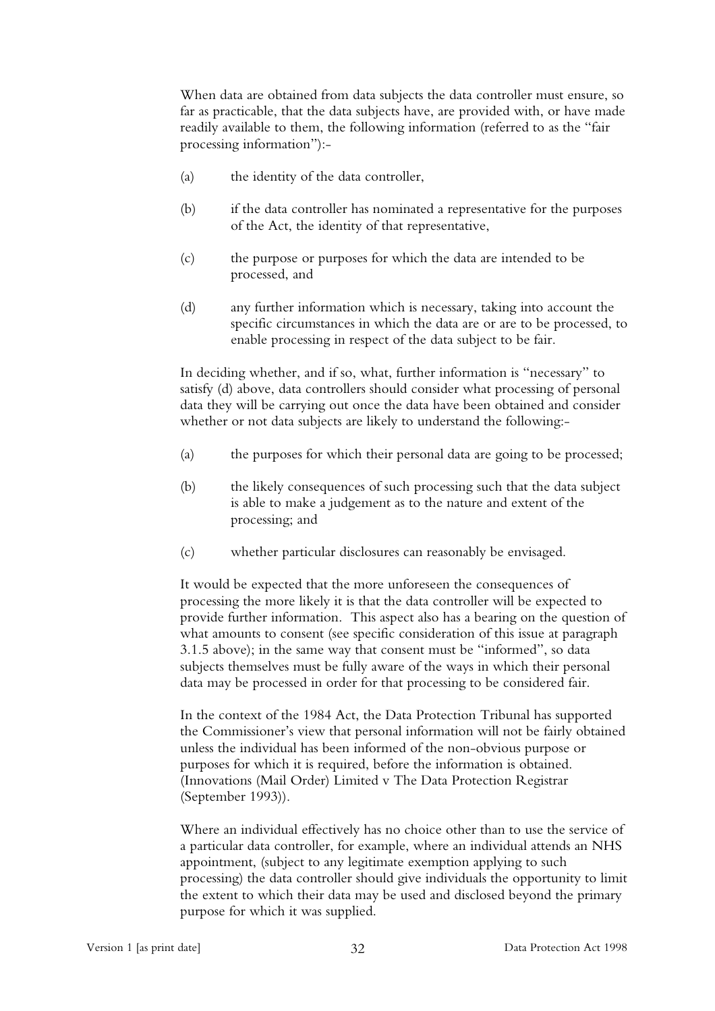When data are obtained from data subjects the data controller must ensure, so far as practicable, that the data subjects have, are provided with, or have made readily available to them, the following information (referred to as the "fair processing information"):-

- (a) the identity of the data controller,
- (b) if the data controller has nominated a representative for the purposes of the Act, the identity of that representative,
- (c) the purpose or purposes for which the data are intended to be processed, and
- (d) any further information which is necessary, taking into account the specific circumstances in which the data are or are to be processed, to enable processing in respect of the data subject to be fair.

In deciding whether, and if so, what, further information is "necessary" to satisfy (d) above, data controllers should consider what processing of personal data they will be carrying out once the data have been obtained and consider whether or not data subjects are likely to understand the following:-

- (a) the purposes for which their personal data are going to be processed;
- (b) the likely consequences of such processing such that the data subject is able to make a judgement as to the nature and extent of the processing; and
- (c) whether particular disclosures can reasonably be envisaged.

It would be expected that the more unforeseen the consequences of processing the more likely it is that the data controller will be expected to provide further information. This aspect also has a bearing on the question of what amounts to consent (see specific consideration of this issue at paragraph 3.1.5 above); in the same way that consent must be "informed", so data subjects themselves must be fully aware of the ways in which their personal data may be processed in order for that processing to be considered fair.

In the context of the 1984 Act, the Data Protection Tribunal has supported the Commissioner's view that personal information will not be fairly obtained unless the individual has been informed of the non-obvious purpose or purposes for which it is required, before the information is obtained. (Innovations (Mail Order) Limited v The Data Protection Registrar (September 1993)).

Where an individual effectively has no choice other than to use the service of a particular data controller, for example, where an individual attends an NHS appointment, (subject to any legitimate exemption applying to such processing) the data controller should give individuals the opportunity to limit the extent to which their data may be used and disclosed beyond the primary purpose for which it was supplied.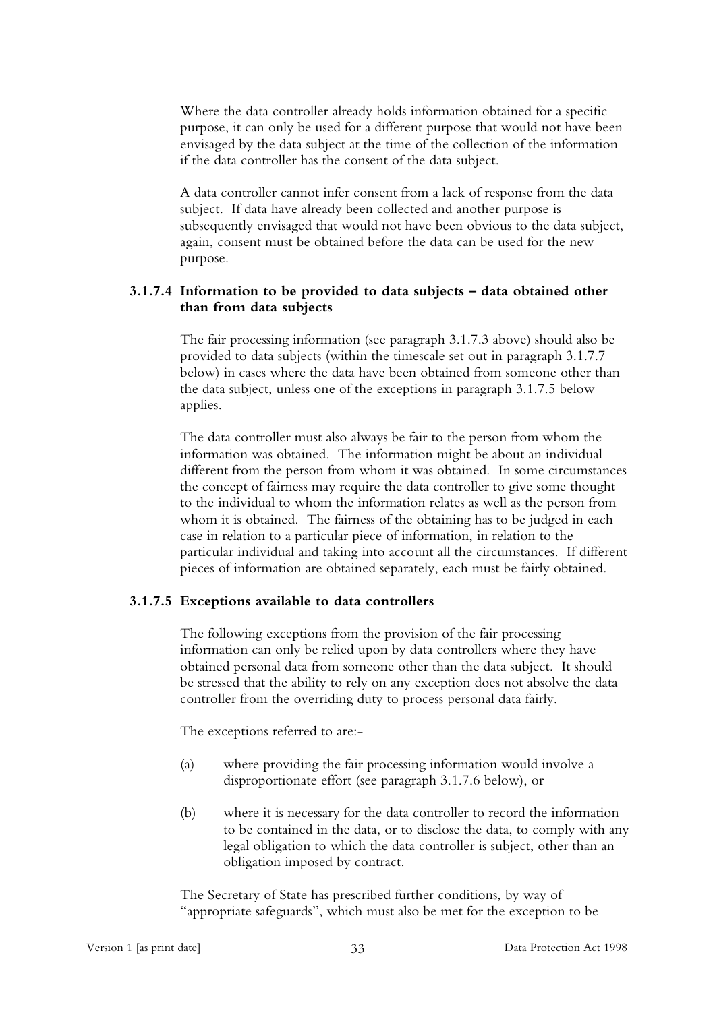Where the data controller already holds information obtained for a specific purpose, it can only be used for a different purpose that would not have been envisaged by the data subject at the time of the collection of the information if the data controller has the consent of the data subject.

A data controller cannot infer consent from a lack of response from the data subject. If data have already been collected and another purpose is subsequently envisaged that would not have been obvious to the data subject, again, consent must be obtained before the data can be used for the new purpose.

# **3.1.7.4 Information to be provided to data subjects – data obtained other than from data subjects**

The fair processing information (see paragraph 3.1.7.3 above) should also be provided to data subjects (within the timescale set out in paragraph 3.1.7.7 below) in cases where the data have been obtained from someone other than the data subject, unless one of the exceptions in paragraph 3.1.7.5 below applies.

The data controller must also always be fair to the person from whom the information was obtained. The information might be about an individual different from the person from whom it was obtained. In some circumstances the concept of fairness may require the data controller to give some thought to the individual to whom the information relates as well as the person from whom it is obtained. The fairness of the obtaining has to be judged in each case in relation to a particular piece of information, in relation to the particular individual and taking into account all the circumstances. If different pieces of information are obtained separately, each must be fairly obtained.

### **3.1.7.5 Exceptions available to data controllers**

The following exceptions from the provision of the fair processing information can only be relied upon by data controllers where they have obtained personal data from someone other than the data subject. It should be stressed that the ability to rely on any exception does not absolve the data controller from the overriding duty to process personal data fairly.

The exceptions referred to are:-

- (a) where providing the fair processing information would involve a disproportionate effort (see paragraph 3.1.7.6 below), or
- (b) where it is necessary for the data controller to record the information to be contained in the data, or to disclose the data, to comply with any legal obligation to which the data controller is subject, other than an obligation imposed by contract.

The Secretary of State has prescribed further conditions, by way of "appropriate safeguards", which must also be met for the exception to be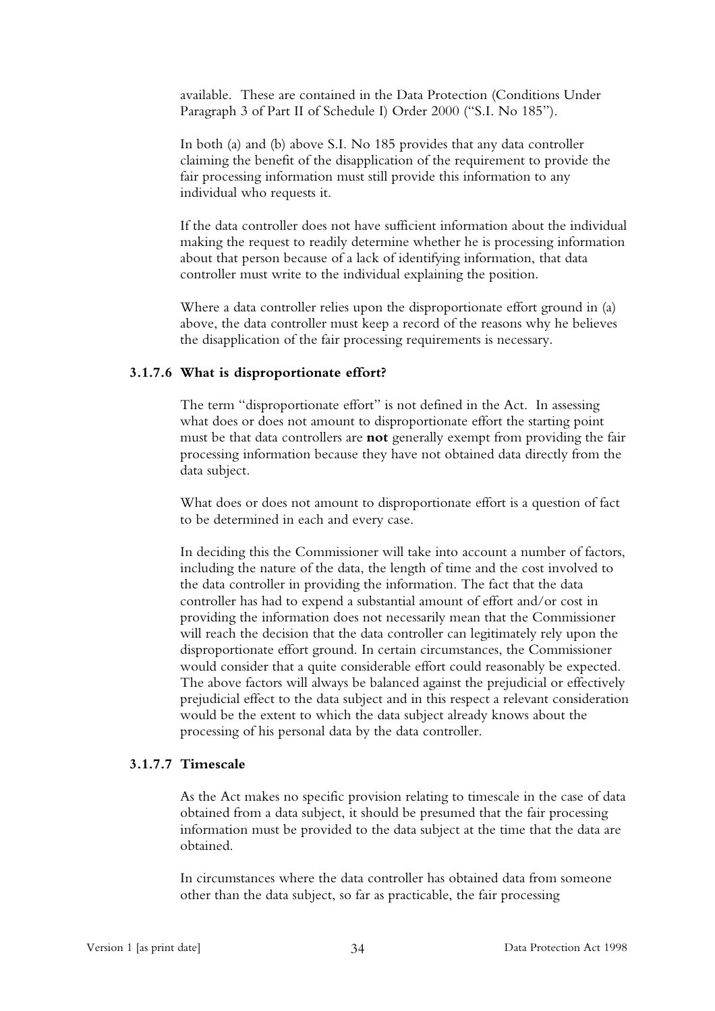available. These are contained in the Data Protection (Conditions Under Paragraph 3 of Part II of Schedule I) Order 2000 ("S.I. No 185").

In both (a) and (b) above S.I. No 185 provides that any data controller claiming the benefit of the disapplication of the requirement to provide the fair processing information must still provide this information to any individual who requests it.

If the data controller does not have sufficient information about the individual making the request to readily determine whether he is processing information about that person because of a lack of identifying information, that data controller must write to the individual explaining the position.

Where a data controller relies upon the disproportionate effort ground in (a) above, the data controller must keep a record of the reasons why he believes the disapplication of the fair processing requirements is necessary.

# **3.1.7.6 What is disproportionate effort?**

The term "disproportionate effort" is not defined in the Act. In assessing what does or does not amount to disproportionate effort the starting point must be that data controllers are **not** generally exempt from providing the fair processing information because they have not obtained data directly from the data subject.

What does or does not amount to disproportionate effort is a question of fact to be determined in each and every case.

In deciding this the Commissioner will take into account a number of factors, including the nature of the data, the length of time and the cost involved to the data controller in providing the information. The fact that the data controller has had to expend a substantial amount of effort and/or cost in providing the information does not necessarily mean that the Commissioner will reach the decision that the data controller can legitimately rely upon the disproportionate effort ground. In certain circumstances, the Commissioner would consider that a quite considerable effort could reasonably be expected. The above factors will always be balanced against the prejudicial or effectively prejudicial effect to the data subject and in this respect a relevant consideration would be the extent to which the data subject already knows about the processing of his personal data by the data controller.

#### **3.1.7.7 Timescale**

As the Act makes no specific provision relating to timescale in the case of data obtained from a data subject, it should be presumed that the fair processing information must be provided to the data subject at the time that the data are obtained.

In circumstances where the data controller has obtained data from someone other than the data subject, so far as practicable, the fair processing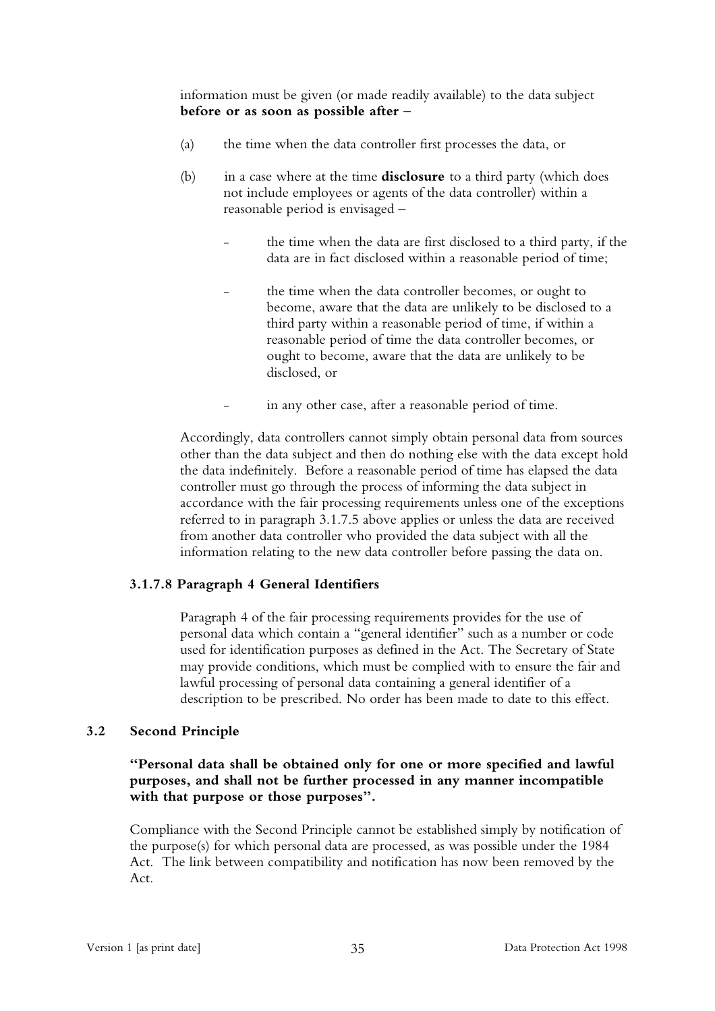information must be given (or made readily available) to the data subject **before or as soon as possible after** –

- (a) the time when the data controller first processes the data, or
- (b) in a case where at the time **disclosure** to a third party (which does not include employees or agents of the data controller) within a reasonable period is envisaged –
	- the time when the data are first disclosed to a third party, if the data are in fact disclosed within a reasonable period of time;
	- the time when the data controller becomes, or ought to become, aware that the data are unlikely to be disclosed to a third party within a reasonable period of time, if within a reasonable period of time the data controller becomes, or ought to become, aware that the data are unlikely to be disclosed, or
	- in any other case, after a reasonable period of time.

Accordingly, data controllers cannot simply obtain personal data from sources other than the data subject and then do nothing else with the data except hold the data indefinitely. Before a reasonable period of time has elapsed the data controller must go through the process of informing the data subject in accordance with the fair processing requirements unless one of the exceptions referred to in paragraph 3.1.7.5 above applies or unless the data are received from another data controller who provided the data subject with all the information relating to the new data controller before passing the data on.

#### **3.1.7.8 Paragraph 4 General Identifiers**

Paragraph 4 of the fair processing requirements provides for the use of personal data which contain a "general identifier" such as a number or code used for identification purposes as defined in the Act. The Secretary of State may provide conditions, which must be complied with to ensure the fair and lawful processing of personal data containing a general identifier of a description to be prescribed. No order has been made to date to this effect.

#### **3.2 Second Principle**

# **"Personal data shall be obtained only for one or more specified and lawful purposes, and shall not be further processed in any manner incompatible with that purpose or those purposes".**

Compliance with the Second Principle cannot be established simply by notification of the purpose(s) for which personal data are processed, as was possible under the 1984 Act. The link between compatibility and notification has now been removed by the Act.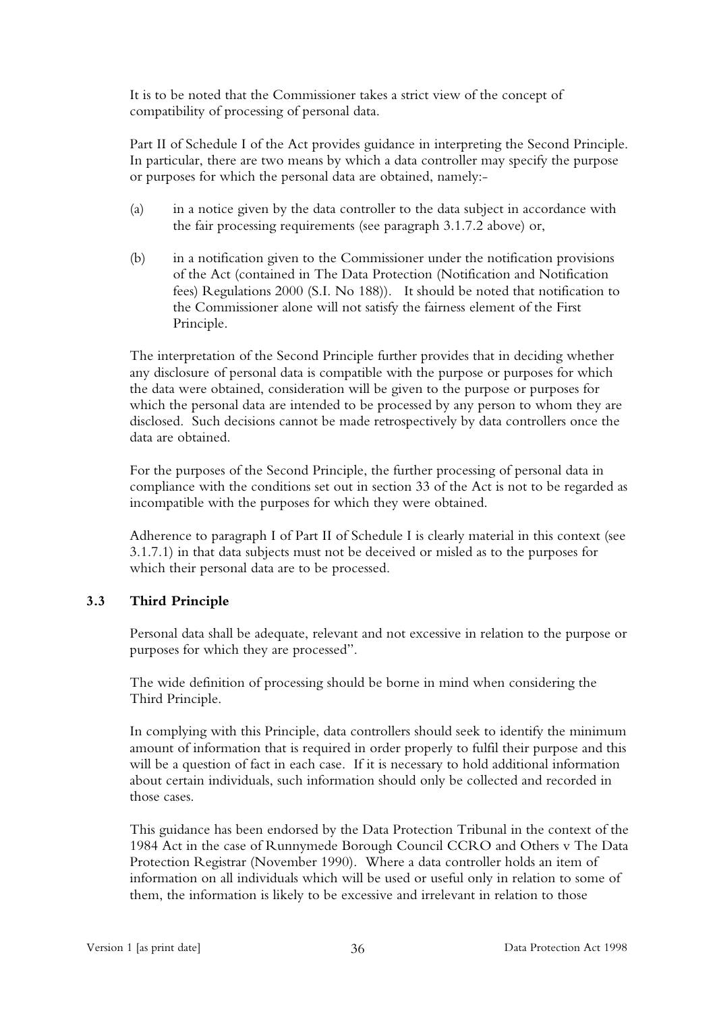It is to be noted that the Commissioner takes a strict view of the concept of compatibility of processing of personal data.

Part II of Schedule I of the Act provides guidance in interpreting the Second Principle. In particular, there are two means by which a data controller may specify the purpose or purposes for which the personal data are obtained, namely:-

- (a) in a notice given by the data controller to the data subject in accordance with the fair processing requirements (see paragraph 3.1.7.2 above) or,
- (b) in a notification given to the Commissioner under the notification provisions of the Act (contained in The Data Protection (Notification and Notification fees) Regulations 2000 (S.I. No 188)). It should be noted that notification to the Commissioner alone will not satisfy the fairness element of the First Principle.

The interpretation of the Second Principle further provides that in deciding whether any disclosure of personal data is compatible with the purpose or purposes for which the data were obtained, consideration will be given to the purpose or purposes for which the personal data are intended to be processed by any person to whom they are disclosed. Such decisions cannot be made retrospectively by data controllers once the data are obtained.

For the purposes of the Second Principle, the further processing of personal data in compliance with the conditions set out in section 33 of the Act is not to be regarded as incompatible with the purposes for which they were obtained.

Adherence to paragraph I of Part II of Schedule I is clearly material in this context (see 3.1.7.1) in that data subjects must not be deceived or misled as to the purposes for which their personal data are to be processed.

# **3.3 Third Principle**

Personal data shall be adequate, relevant and not excessive in relation to the purpose or purposes for which they are processed".

The wide definition of processing should be borne in mind when considering the Third Principle.

In complying with this Principle, data controllers should seek to identify the minimum amount of information that is required in order properly to fulfil their purpose and this will be a question of fact in each case. If it is necessary to hold additional information about certain individuals, such information should only be collected and recorded in those cases.

This guidance has been endorsed by the Data Protection Tribunal in the context of the 1984 Act in the case of Runnymede Borough Council CCRO and Others v The Data Protection Registrar (November 1990). Where a data controller holds an item of information on all individuals which will be used or useful only in relation to some of them, the information is likely to be excessive and irrelevant in relation to those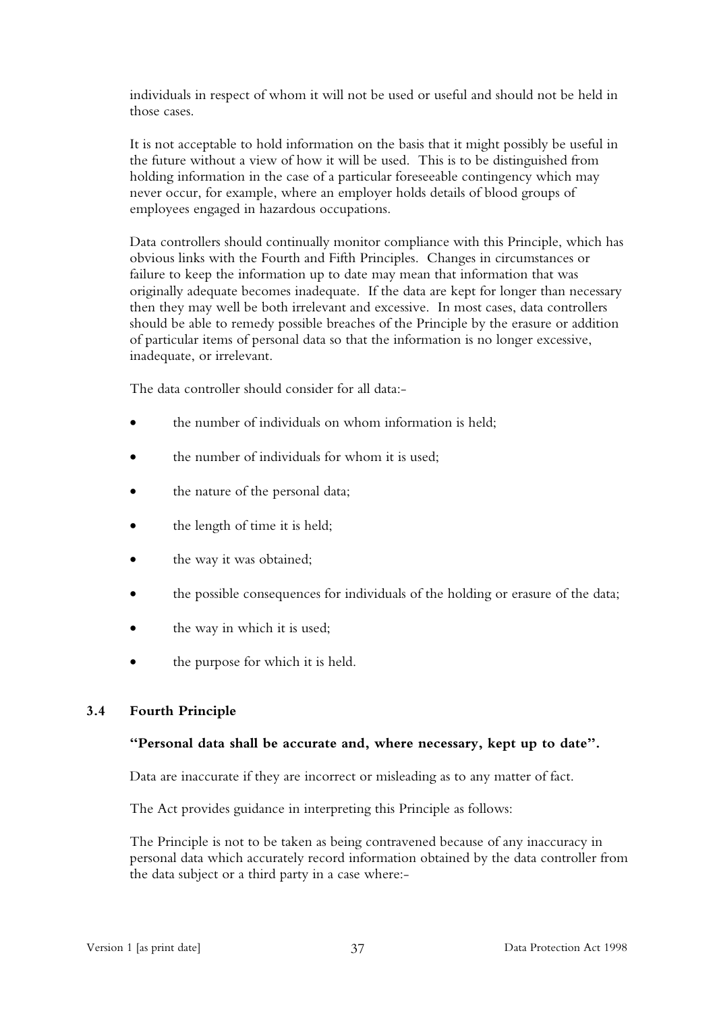individuals in respect of whom it will not be used or useful and should not be held in those cases.

It is not acceptable to hold information on the basis that it might possibly be useful in the future without a view of how it will be used. This is to be distinguished from holding information in the case of a particular foreseeable contingency which may never occur, for example, where an employer holds details of blood groups of employees engaged in hazardous occupations.

Data controllers should continually monitor compliance with this Principle, which has obvious links with the Fourth and Fifth Principles. Changes in circumstances or failure to keep the information up to date may mean that information that was originally adequate becomes inadequate. If the data are kept for longer than necessary then they may well be both irrelevant and excessive. In most cases, data controllers should be able to remedy possible breaches of the Principle by the erasure or addition of particular items of personal data so that the information is no longer excessive, inadequate, or irrelevant.

The data controller should consider for all data:-

- $\bullet$ the number of individuals on whom information is held;
- $\bullet$ the number of individuals for whom it is used;
- $\bullet$ the nature of the personal data;
- $\bullet$ the length of time it is held;
- $\bullet$ the way it was obtained;
- $\bullet$ the possible consequences for individuals of the holding or erasure of the data;
- $\bullet$ the way in which it is used;
- $\bullet$ the purpose for which it is held.

#### **3.4 Fourth Principle**

#### **"Personal data shall be accurate and, where necessary, kept up to date".**

Data are inaccurate if they are incorrect or misleading as to any matter of fact.

The Act provides guidance in interpreting this Principle as follows:

The Principle is not to be taken as being contravened because of any inaccuracy in personal data which accurately record information obtained by the data controller from the data subject or a third party in a case where:-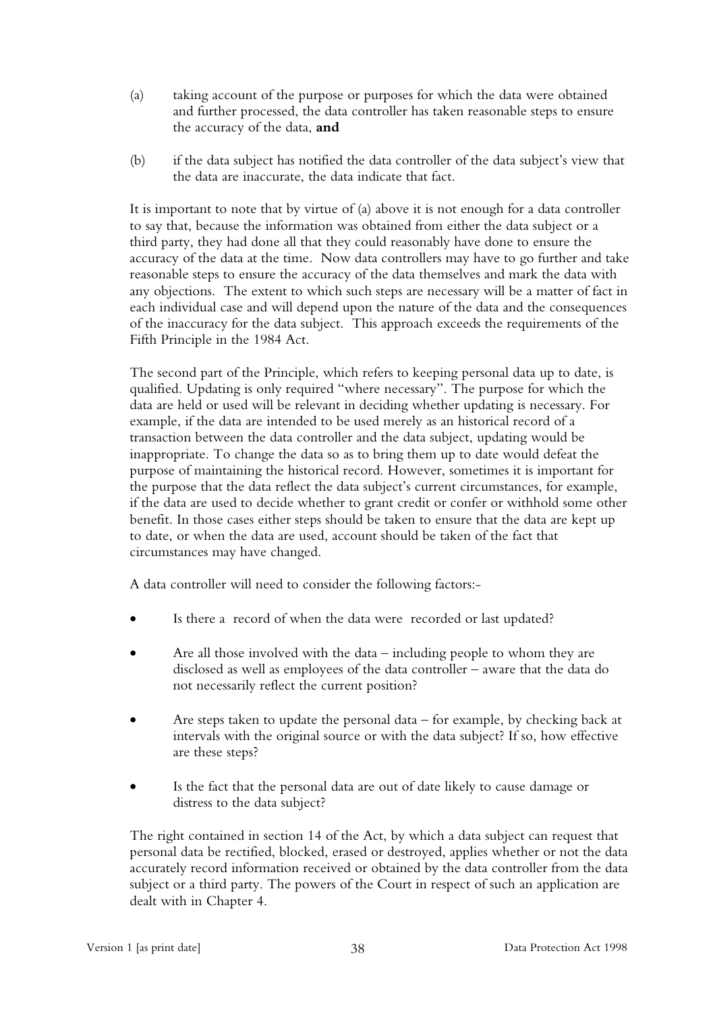- (a) taking account of the purpose or purposes for which the data were obtained and further processed, the data controller has taken reasonable steps to ensure the accuracy of the data, **and**
- (b) if the data subject has notified the data controller of the data subject's view that the data are inaccurate, the data indicate that fact.

It is important to note that by virtue of (a) above it is not enough for a data controller to say that, because the information was obtained from either the data subject or a third party, they had done all that they could reasonably have done to ensure the accuracy of the data at the time. Now data controllers may have to go further and take reasonable steps to ensure the accuracy of the data themselves and mark the data with any objections. The extent to which such steps are necessary will be a matter of fact in each individual case and will depend upon the nature of the data and the consequences of the inaccuracy for the data subject. This approach exceeds the requirements of the Fifth Principle in the 1984 Act.

The second part of the Principle, which refers to keeping personal data up to date, is qualified. Updating is only required "where necessary". The purpose for which the data are held or used will be relevant in deciding whether updating is necessary. For example, if the data are intended to be used merely as an historical record of a transaction between the data controller and the data subject, updating would be inappropriate. To change the data so as to bring them up to date would defeat the purpose of maintaining the historical record. However, sometimes it is important for the purpose that the data reflect the data subject's current circumstances, for example, if the data are used to decide whether to grant credit or confer or withhold some other benefit. In those cases either steps should be taken to ensure that the data are kept up to date, or when the data are used, account should be taken of the fact that circumstances may have changed.

A data controller will need to consider the following factors:-

- $\bullet$ Is there a record of when the data were recorded or last updated?
- $\bullet$ Are all those involved with the data – including people to whom they are disclosed as well as employees of the data controller – aware that the data do not necessarily reflect the current position?
- $\bullet$ Are steps taken to update the personal data  $-$  for example, by checking back at intervals with the original source or with the data subject? If so, how effective are these steps?
- $\bullet$ Is the fact that the personal data are out of date likely to cause damage or distress to the data subject?

The right contained in section 14 of the Act, by which a data subject can request that personal data be rectified, blocked, erased or destroyed, applies whether or not the data accurately record information received or obtained by the data controller from the data subject or a third party. The powers of the Court in respect of such an application are dealt with in Chapter 4.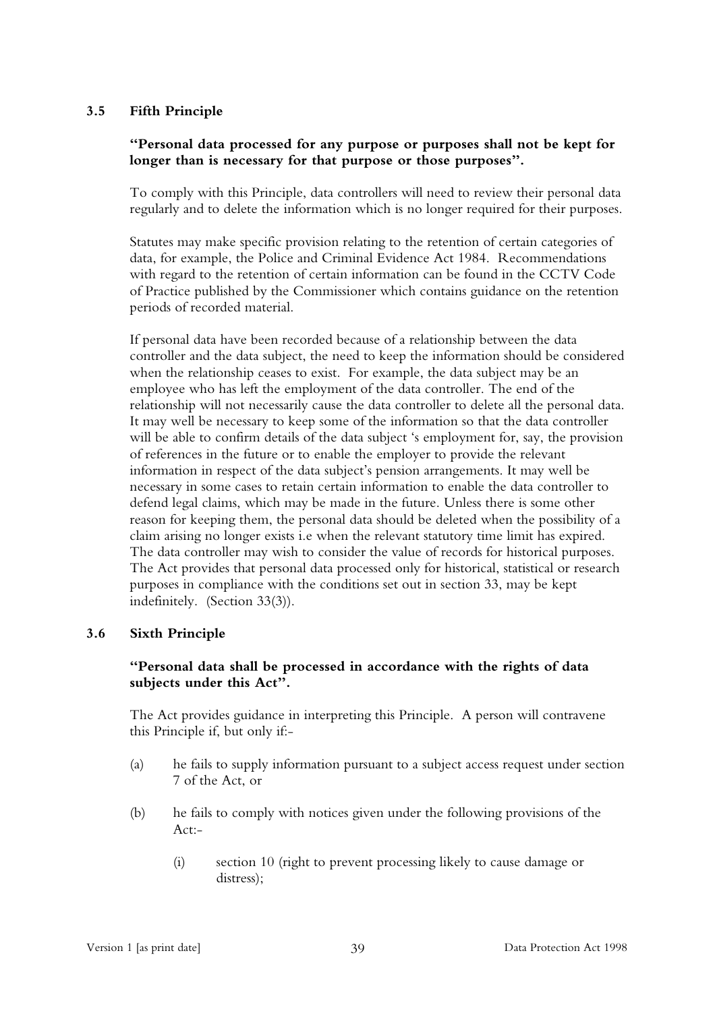#### **3.5 Fifth Principle**

## **"Personal data processed for any purpose or purposes shall not be kept for longer than is necessary for that purpose or those purposes".**

To comply with this Principle, data controllers will need to review their personal data regularly and to delete the information which is no longer required for their purposes.

Statutes may make specific provision relating to the retention of certain categories of data, for example, the Police and Criminal Evidence Act 1984. Recommendations with regard to the retention of certain information can be found in the CCTV Code of Practice published by the Commissioner which contains guidance on the retention periods of recorded material.

If personal data have been recorded because of a relationship between the data controller and the data subject, the need to keep the information should be considered when the relationship ceases to exist. For example, the data subject may be an employee who has left the employment of the data controller. The end of the relationship will not necessarily cause the data controller to delete all the personal data. It may well be necessary to keep some of the information so that the data controller will be able to confirm details of the data subject 's employment for, say, the provision of references in the future or to enable the employer to provide the relevant information in respect of the data subject's pension arrangements. It may well be necessary in some cases to retain certain information to enable the data controller to defend legal claims, which may be made in the future. Unless there is some other reason for keeping them, the personal data should be deleted when the possibility of a claim arising no longer exists i.e when the relevant statutory time limit has expired. The data controller may wish to consider the value of records for historical purposes. The Act provides that personal data processed only for historical, statistical or research purposes in compliance with the conditions set out in section 33, may be kept indefinitely. (Section 33(3)).

#### **3.6 Sixth Principle**

## **"Personal data shall be processed in accordance with the rights of data subjects under this Act".**

The Act provides guidance in interpreting this Principle. A person will contravene this Principle if, but only if:-

- (a) he fails to supply information pursuant to a subject access request under section 7 of the Act, or
- (b) he fails to comply with notices given under the following provisions of the Act:-
	- (i) section 10 (right to prevent processing likely to cause damage or distress);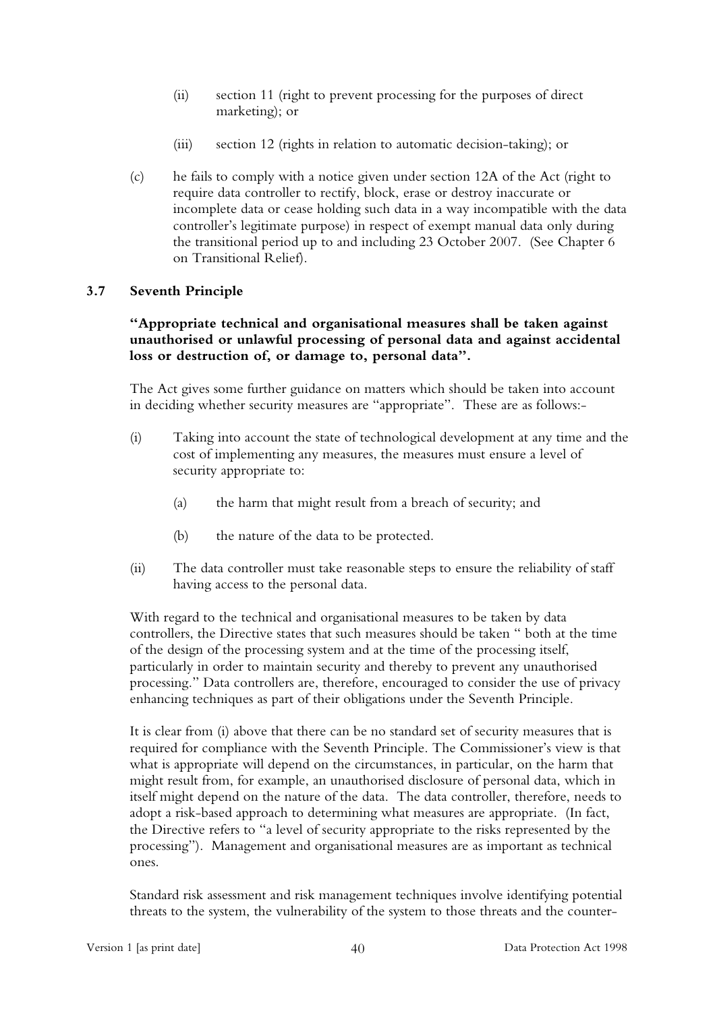- (ii) section 11 (right to prevent processing for the purposes of direct marketing); or
- (iii) section 12 (rights in relation to automatic decision-taking); or
- (c) he fails to comply with a notice given under section 12A of the Act (right to require data controller to rectify, block, erase or destroy inaccurate or incomplete data or cease holding such data in a way incompatible with the data controller's legitimate purpose) in respect of exempt manual data only during the transitional period up to and including 23 October 2007. (See Chapter 6 on Transitional Relief).

#### **3.7 Seventh Principle**

#### **"Appropriate technical and organisational measures shall be taken against unauthorised or unlawful processing of personal data and against accidental loss or destruction of, or damage to, personal data".**

The Act gives some further guidance on matters which should be taken into account in deciding whether security measures are "appropriate". These are as follows:-

- (i) Taking into account the state of technological development at any time and the cost of implementing any measures, the measures must ensure a level of security appropriate to:
	- (a) the harm that might result from a breach of security; and
	- (b) the nature of the data to be protected.
- (ii) The data controller must take reasonable steps to ensure the reliability of staff having access to the personal data.

With regard to the technical and organisational measures to be taken by data controllers, the Directive states that such measures should be taken " both at the time of the design of the processing system and at the time of the processing itself, particularly in order to maintain security and thereby to prevent any unauthorised processing." Data controllers are, therefore, encouraged to consider the use of privacy enhancing techniques as part of their obligations under the Seventh Principle.

It is clear from (i) above that there can be no standard set of security measures that is required for compliance with the Seventh Principle. The Commissioner's view is that what is appropriate will depend on the circumstances, in particular, on the harm that might result from, for example, an unauthorised disclosure of personal data, which in itself might depend on the nature of the data. The data controller, therefore, needs to adopt a risk-based approach to determining what measures are appropriate. (In fact, the Directive refers to "a level of security appropriate to the risks represented by the processing"). Management and organisational measures are as important as technical ones.

Standard risk assessment and risk management techniques involve identifying potential threats to the system, the vulnerability of the system to those threats and the counter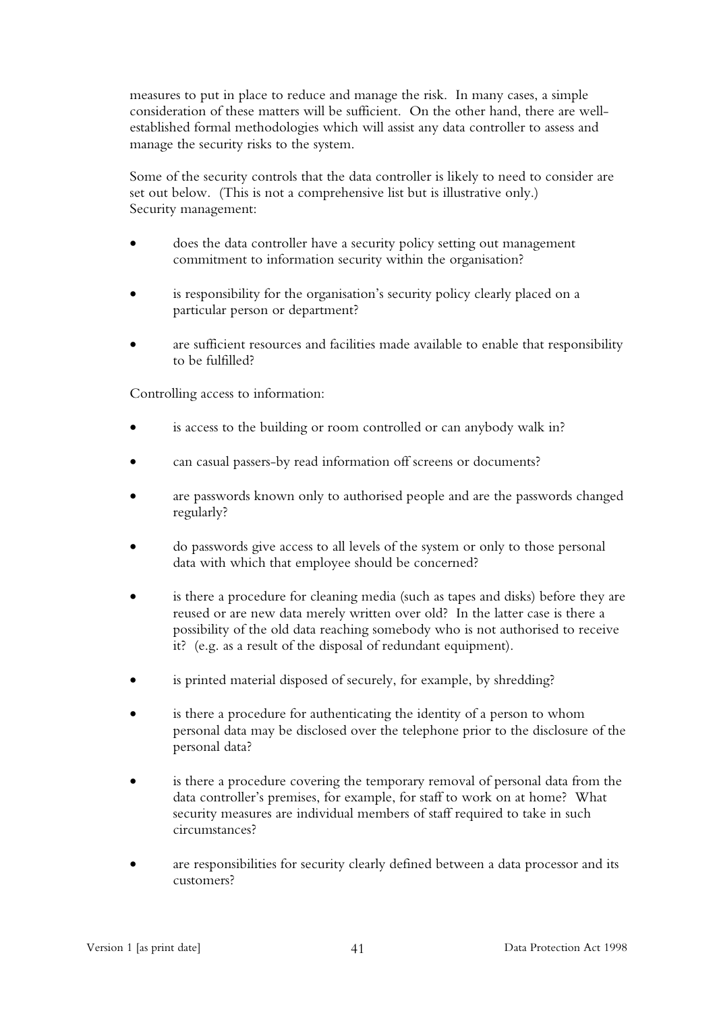measures to put in place to reduce and manage the risk. In many cases, a simple consideration of these matters will be sufficient. On the other hand, there are wellestablished formal methodologies which will assist any data controller to assess and manage the security risks to the system.

Some of the security controls that the data controller is likely to need to consider are set out below. (This is not a comprehensive list but is illustrative only.) Security management:

- $\bullet$ does the data controller have a security policy setting out management commitment to information security within the organisation?
- $\bullet$ is responsibility for the organisation's security policy clearly placed on a particular person or department?
- $\bullet$ are sufficient resources and facilities made available to enable that responsibility to be fulfilled?

Controlling access to information:

- $\bullet$ is access to the building or room controlled or can anybody walk in?
- $\bullet$ can casual passers-by read information off screens or documents?
- $\bullet$ are passwords known only to authorised people and are the passwords changed regularly?
- $\bullet$ do passwords give access to all levels of the system or only to those personal data with which that employee should be concerned?
- $\bullet$ is there a procedure for cleaning media (such as tapes and disks) before they are reused or are new data merely written over old? In the latter case is there a possibility of the old data reaching somebody who is not authorised to receive it? (e.g. as a result of the disposal of redundant equipment).
- $\bullet$ is printed material disposed of securely, for example, by shredding?
- $\bullet$ is there a procedure for authenticating the identity of a person to whom personal data may be disclosed over the telephone prior to the disclosure of the personal data?
- $\bullet$ is there a procedure covering the temporary removal of personal data from the data controller's premises, for example, for staff to work on at home? What security measures are individual members of staff required to take in such circumstances?
- $\bullet$ are responsibilities for security clearly defined between a data processor and its customers?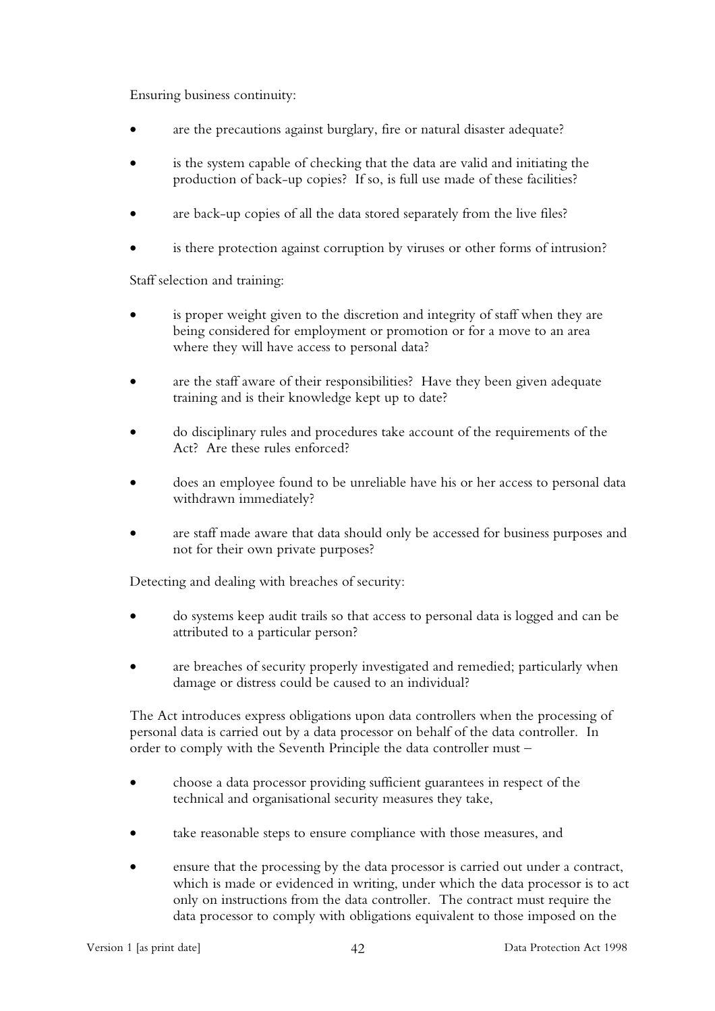Ensuring business continuity:

- $\bullet$ are the precautions against burglary, fire or natural disaster adequate?
- $\bullet$ is the system capable of checking that the data are valid and initiating the production of back-up copies? If so, is full use made of these facilities?
- $\bullet$ are back-up copies of all the data stored separately from the live files?
- $\bullet$ is there protection against corruption by viruses or other forms of intrusion?

Staff selection and training:

- $\bullet$ is proper weight given to the discretion and integrity of staff when they are being considered for employment or promotion or for a move to an area where they will have access to personal data?
- $\bullet$ are the staff aware of their responsibilities? Have they been given adequate training and is their knowledge kept up to date?
- $\bullet$ do disciplinary rules and procedures take account of the requirements of the Act? Are these rules enforced?
- $\bullet$ does an employee found to be unreliable have his or her access to personal data withdrawn immediately?
- $\bullet$ are staff made aware that data should only be accessed for business purposes and not for their own private purposes?

Detecting and dealing with breaches of security:

- $\bullet$ do systems keep audit trails so that access to personal data is logged and can be attributed to a particular person?
- $\bullet$ are breaches of security properly investigated and remedied; particularly when damage or distress could be caused to an individual?

The Act introduces express obligations upon data controllers when the processing of personal data is carried out by a data processor on behalf of the data controller. In order to comply with the Seventh Principle the data controller must –

- $\bullet$ choose a data processor providing sufficient guarantees in respect of the technical and organisational security measures they take,
- $\bullet$ take reasonable steps to ensure compliance with those measures, and
- $\bullet$ ensure that the processing by the data processor is carried out under a contract, which is made or evidenced in writing, under which the data processor is to act only on instructions from the data controller. The contract must require the data processor to comply with obligations equivalent to those imposed on the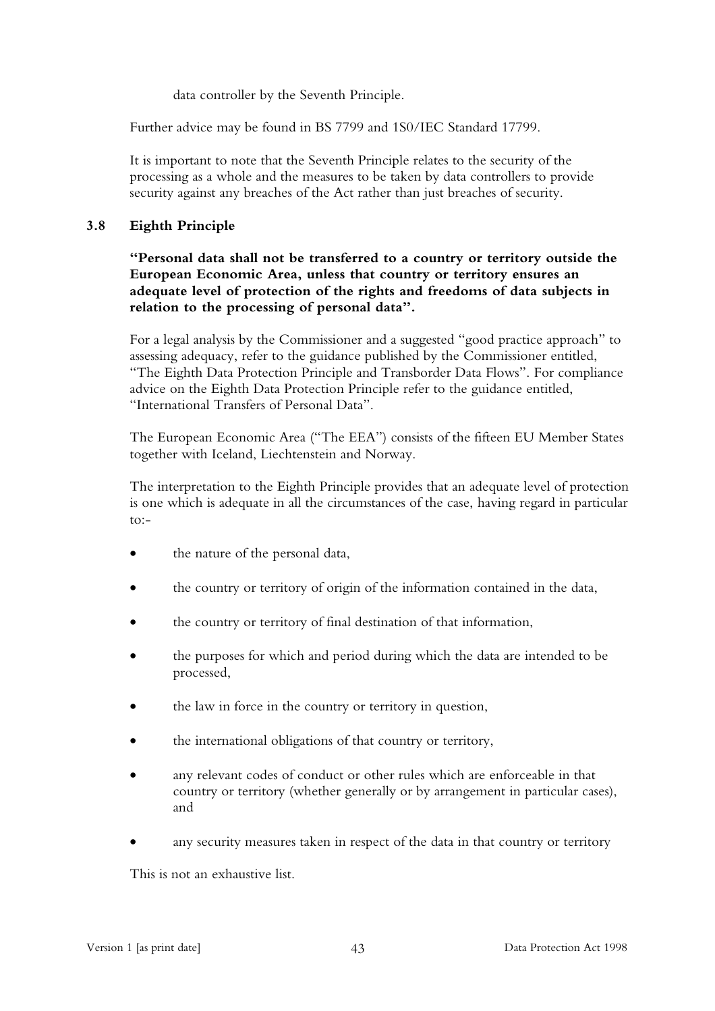data controller by the Seventh Principle.

Further advice may be found in BS 7799 and 1S0/IEC Standard 17799.

It is important to note that the Seventh Principle relates to the security of the processing as a whole and the measures to be taken by data controllers to provide security against any breaches of the Act rather than just breaches of security.

#### **3.8 Eighth Principle**

**"Personal data shall not be transferred to a country or territory outside the European Economic Area, unless that country or territory ensures an adequate level of protection of the rights and freedoms of data subjects in relation to the processing of personal data".** 

For a legal analysis by the Commissioner and a suggested "good practice approach" to assessing adequacy, refer to the guidance published by the Commissioner entitled, "The Eighth Data Protection Principle and Transborder Data Flows". For compliance advice on the Eighth Data Protection Principle refer to the guidance entitled, "International Transfers of Personal Data".

The European Economic Area ("The EEA") consists of the fifteen EU Member States together with Iceland, Liechtenstein and Norway.

The interpretation to the Eighth Principle provides that an adequate level of protection is one which is adequate in all the circumstances of the case, having regard in particular to:-

- $\bullet$ the nature of the personal data,
- $\bullet$ the country or territory of origin of the information contained in the data,
- $\bullet$ the country or territory of final destination of that information,
- $\bullet$ the purposes for which and period during which the data are intended to be processed,
- $\bullet$ the law in force in the country or territory in question,
- $\bullet$ the international obligations of that country or territory,
- $\bullet$ any relevant codes of conduct or other rules which are enforceable in that country or territory (whether generally or by arrangement in particular cases), and
- $\bullet$ any security measures taken in respect of the data in that country or territory

This is not an exhaustive list.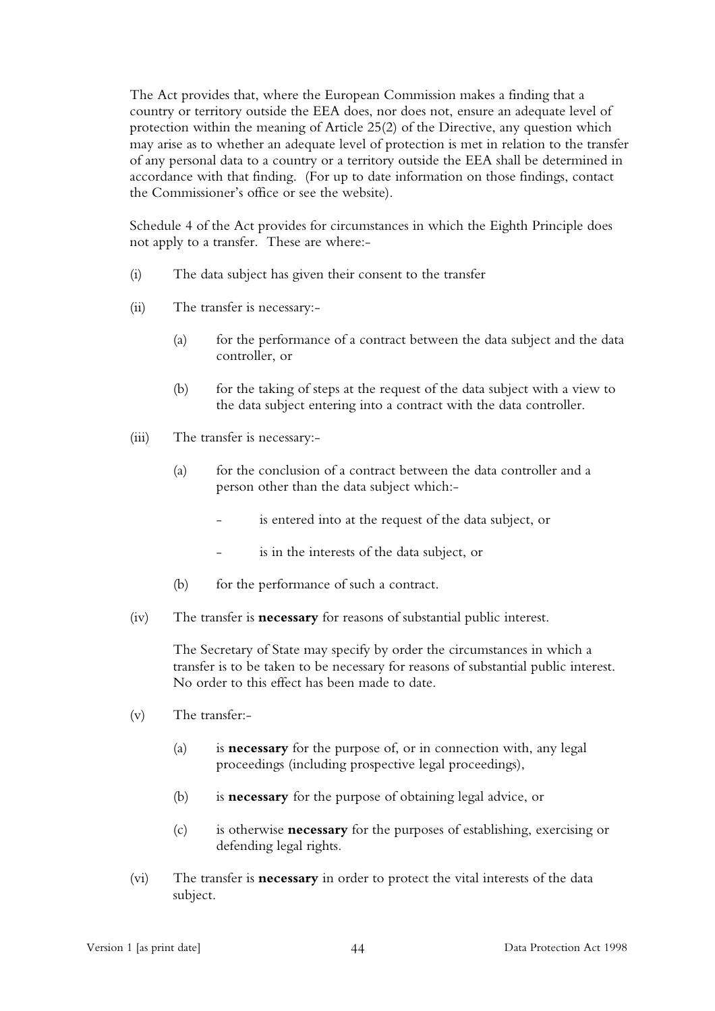The Act provides that, where the European Commission makes a finding that a country or territory outside the EEA does, nor does not, ensure an adequate level of protection within the meaning of Article 25(2) of the Directive, any question which may arise as to whether an adequate level of protection is met in relation to the transfer of any personal data to a country or a territory outside the EEA shall be determined in accordance with that finding. (For up to date information on those findings, contact the Commissioner's office or see the website).

Schedule 4 of the Act provides for circumstances in which the Eighth Principle does not apply to a transfer. These are where:-

- (i) The data subject has given their consent to the transfer
- (ii) The transfer is necessary:-
	- (a) for the performance of a contract between the data subject and the data controller, or
	- (b) for the taking of steps at the request of the data subject with a view to the data subject entering into a contract with the data controller.
- (iii) The transfer is necessary:-
	- (a) for the conclusion of a contract between the data controller and a person other than the data subject which:
		- is entered into at the request of the data subject, or
		- is in the interests of the data subject, or
	- (b) for the performance of such a contract.
- (iv) The transfer is **necessary** for reasons of substantial public interest.

The Secretary of State may specify by order the circumstances in which a transfer is to be taken to be necessary for reasons of substantial public interest. No order to this effect has been made to date.

- (v) The transfer:-
	- (a) is **necessary** for the purpose of, or in connection with, any legal proceedings (including prospective legal proceedings),
	- (b) is **necessary** for the purpose of obtaining legal advice, or
	- (c) is otherwise **necessary** for the purposes of establishing, exercising or defending legal rights.
- (vi) The transfer is **necessary** in order to protect the vital interests of the data subject.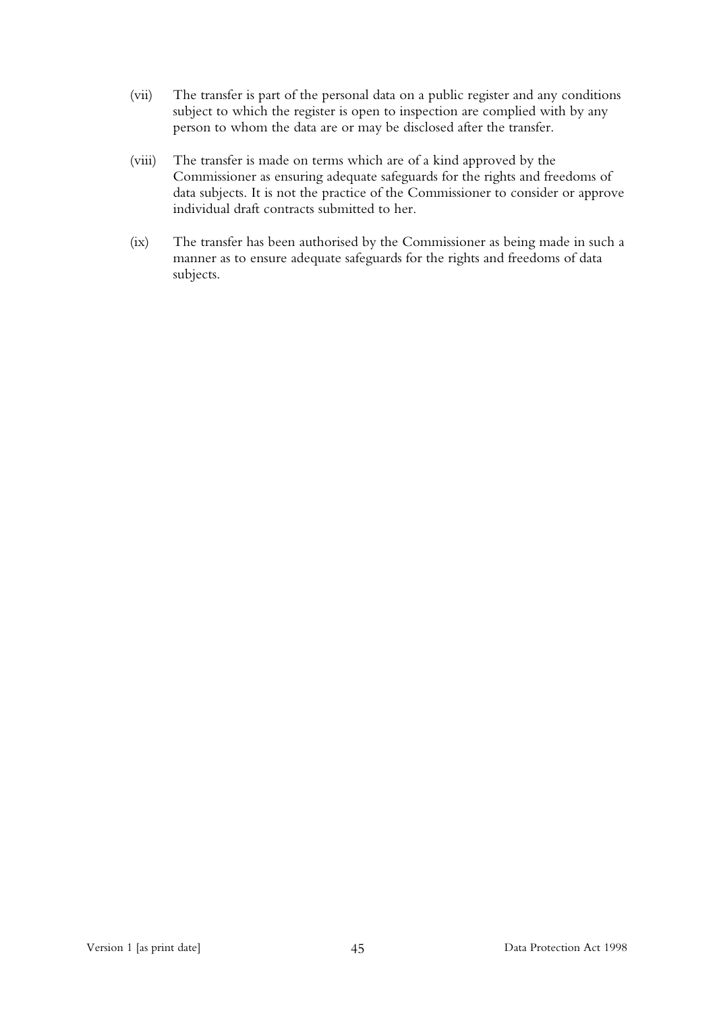- (vii) The transfer is part of the personal data on a public register and any conditions subject to which the register is open to inspection are complied with by any person to whom the data are or may be disclosed after the transfer.
- (viii) The transfer is made on terms which are of a kind approved by the Commissioner as ensuring adequate safeguards for the rights and freedoms of data subjects. It is not the practice of the Commissioner to consider or approve individual draft contracts submitted to her.
- (ix) The transfer has been authorised by the Commissioner as being made in such a manner as to ensure adequate safeguards for the rights and freedoms of data subjects.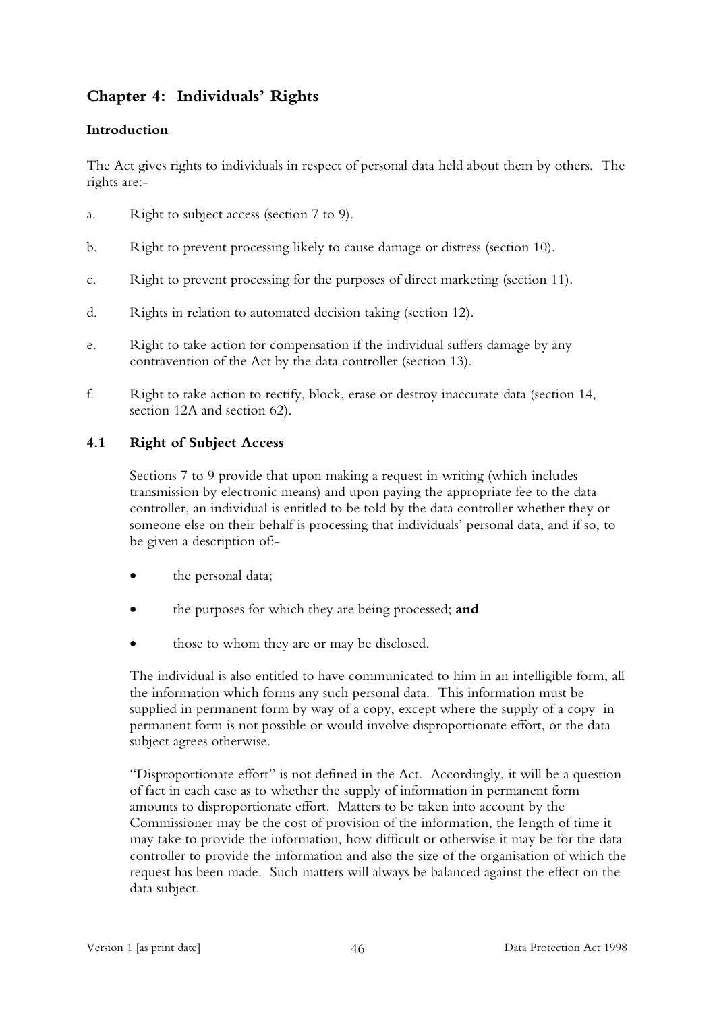# **Chapter 4: Individuals' Rights**

# **Introduction**

The Act gives rights to individuals in respect of personal data held about them by others. The rights are:-

- a. Right to subject access (section 7 to 9).
- b. Right to prevent processing likely to cause damage or distress (section 10).
- c. Right to prevent processing for the purposes of direct marketing (section 11).
- d. Rights in relation to automated decision taking (section 12).
- e. Right to take action for compensation if the individual suffers damage by any contravention of the Act by the data controller (section 13).
- f. Right to take action to rectify, block, erase or destroy inaccurate data (section 14, section 12A and section 62).

## **4.1 Right of Subject Access**

Sections 7 to 9 provide that upon making a request in writing (which includes transmission by electronic means) and upon paying the appropriate fee to the data controller, an individual is entitled to be told by the data controller whether they or someone else on their behalf is processing that individuals' personal data, and if so, to be given a description of:-

- $\bullet$ the personal data;
- $\bullet$ the purposes for which they are being processed; **and**
- $\bullet$ those to whom they are or may be disclosed.

The individual is also entitled to have communicated to him in an intelligible form, all the information which forms any such personal data. This information must be supplied in permanent form by way of a copy, except where the supply of a copy in permanent form is not possible or would involve disproportionate effort, or the data subject agrees otherwise.

"Disproportionate effort" is not defined in the Act. Accordingly, it will be a question of fact in each case as to whether the supply of information in permanent form amounts to disproportionate effort. Matters to be taken into account by the Commissioner may be the cost of provision of the information, the length of time it may take to provide the information, how difficult or otherwise it may be for the data controller to provide the information and also the size of the organisation of which the request has been made. Such matters will always be balanced against the effect on the data subject.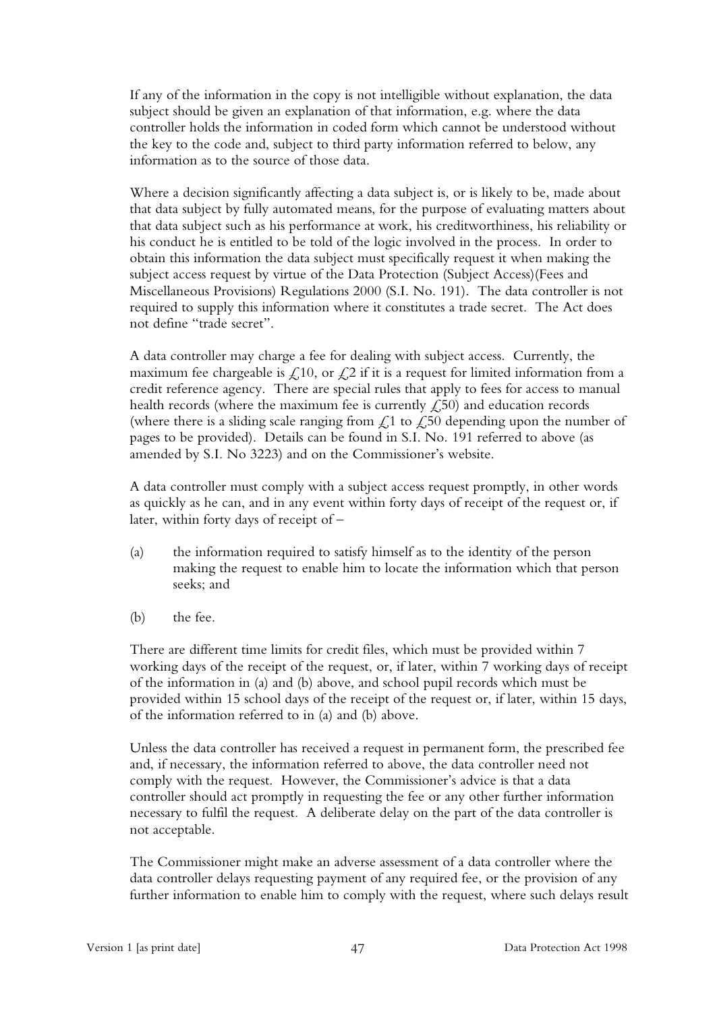If any of the information in the copy is not intelligible without explanation, the data subject should be given an explanation of that information, e.g. where the data controller holds the information in coded form which cannot be understood without the key to the code and, subject to third party information referred to below, any information as to the source of those data.

Where a decision significantly affecting a data subject is, or is likely to be, made about that data subject by fully automated means, for the purpose of evaluating matters about that data subject such as his performance at work, his creditworthiness, his reliability or his conduct he is entitled to be told of the logic involved in the process. In order to obtain this information the data subject must specifically request it when making the subject access request by virtue of the Data Protection (Subject Access)(Fees and Miscellaneous Provisions) Regulations 2000 (S.I. No. 191). The data controller is not required to supply this information where it constitutes a trade secret. The Act does not define "trade secret".

A data controller may charge a fee for dealing with subject access. Currently, the maximum fee chargeable is  $\mathcal{L}$ , 10, or  $\mathcal{L}$ , 2 if it is a request for limited information from a credit reference agency. There are special rules that apply to fees for access to manual health records (where the maximum fee is currently  $\mathcal{L}(50)$  and education records (where there is a sliding scale ranging from  $\mathcal{L}$ 1 to  $\mathcal{L}$ 50 depending upon the number of pages to be provided). Details can be found in S.I. No. 191 referred to above (as amended by S.I. No 3223) and on the Commissioner's website.

A data controller must comply with a subject access request promptly, in other words as quickly as he can, and in any event within forty days of receipt of the request or, if later, within forty days of receipt of –

- (a) the information required to satisfy himself as to the identity of the person making the request to enable him to locate the information which that person seeks; and
- (b) the fee.

There are different time limits for credit files, which must be provided within 7 working days of the receipt of the request, or, if later, within 7 working days of receipt of the information in (a) and (b) above, and school pupil records which must be provided within 15 school days of the receipt of the request or, if later, within 15 days, of the information referred to in (a) and (b) above.

Unless the data controller has received a request in permanent form, the prescribed fee and, if necessary, the information referred to above, the data controller need not comply with the request. However, the Commissioner's advice is that a data controller should act promptly in requesting the fee or any other further information necessary to fulfil the request. A deliberate delay on the part of the data controller is not acceptable.

The Commissioner might make an adverse assessment of a data controller where the data controller delays requesting payment of any required fee, or the provision of any further information to enable him to comply with the request, where such delays result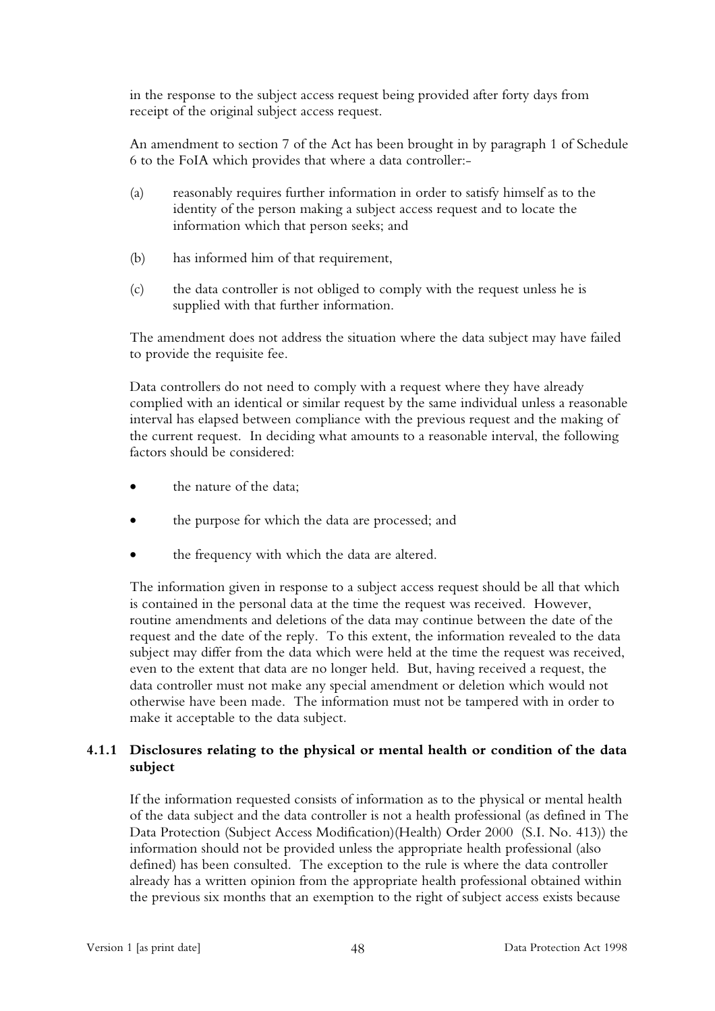in the response to the subject access request being provided after forty days from receipt of the original subject access request.

An amendment to section 7 of the Act has been brought in by paragraph 1 of Schedule 6 to the FoIA which provides that where a data controller:-

- (a) reasonably requires further information in order to satisfy himself as to the identity of the person making a subject access request and to locate the information which that person seeks; and
- (b) has informed him of that requirement,
- (c) the data controller is not obliged to comply with the request unless he is supplied with that further information.

The amendment does not address the situation where the data subject may have failed to provide the requisite fee.

Data controllers do not need to comply with a request where they have already complied with an identical or similar request by the same individual unless a reasonable interval has elapsed between compliance with the previous request and the making of the current request. In deciding what amounts to a reasonable interval, the following factors should be considered:

- $\bullet$ the nature of the data;
- $\bullet$ the purpose for which the data are processed; and
- $\bullet$ the frequency with which the data are altered.

The information given in response to a subject access request should be all that which is contained in the personal data at the time the request was received. However, routine amendments and deletions of the data may continue between the date of the request and the date of the reply. To this extent, the information revealed to the data subject may differ from the data which were held at the time the request was received, even to the extent that data are no longer held. But, having received a request, the data controller must not make any special amendment or deletion which would not otherwise have been made. The information must not be tampered with in order to make it acceptable to the data subject.

# **4.1.1 Disclosures relating to the physical or mental health or condition of the data subject**

If the information requested consists of information as to the physical or mental health of the data subject and the data controller is not a health professional (as defined in The Data Protection (Subject Access Modification)(Health) Order 2000 (S.I. No. 413)) the information should not be provided unless the appropriate health professional (also defined) has been consulted. The exception to the rule is where the data controller already has a written opinion from the appropriate health professional obtained within the previous six months that an exemption to the right of subject access exists because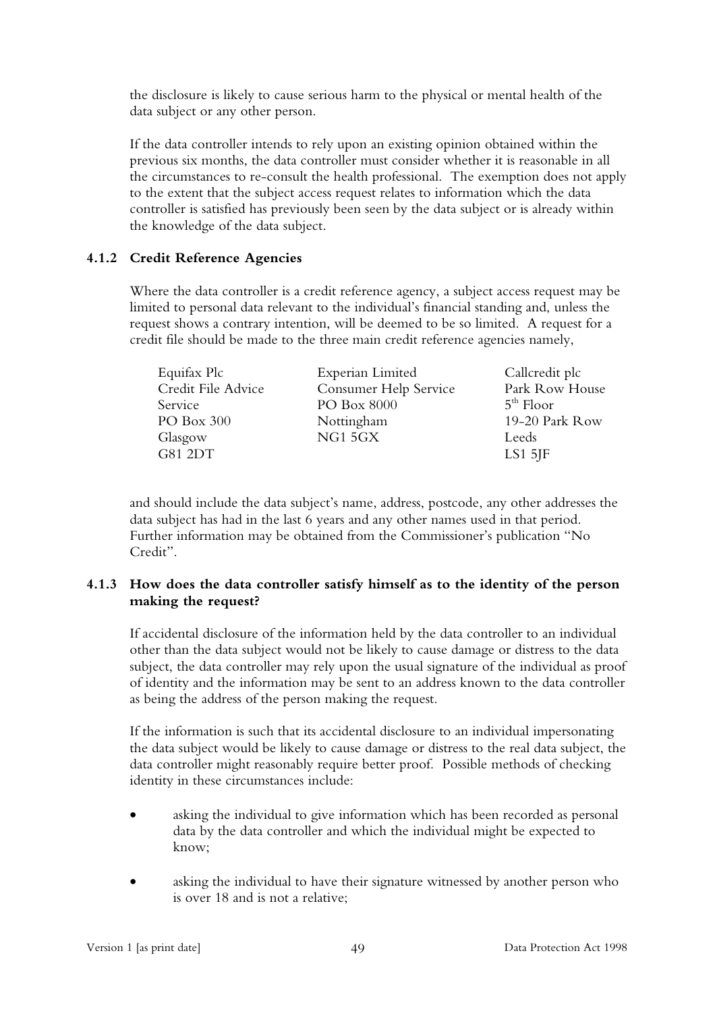the disclosure is likely to cause serious harm to the physical or mental health of the data subject or any other person.

If the data controller intends to rely upon an existing opinion obtained within the previous six months, the data controller must consider whether it is reasonable in all the circumstances to re-consult the health professional. The exemption does not apply to the extent that the subject access request relates to information which the data controller is satisfied has previously been seen by the data subject or is already within the knowledge of the data subject.

## **4.1.2 Credit Reference Agencies**

Where the data controller is a credit reference agency, a subject access request may be limited to personal data relevant to the individual's financial standing and, unless the request shows a contrary intention, will be deemed to be so limited. A request for a credit file should be made to the three main credit reference agencies namely,

| Equifax Plc        | Experian Limited      | Callcredit plc |
|--------------------|-----------------------|----------------|
| Credit File Advice | Consumer Help Service | Park Row House |
| Service            | PO Box 8000           | $5th$ Floor    |
| PO Box 300         | Nottingham            | 19-20 Park Row |
| Glasgow            | <b>NG1 5GX</b>        | Leeds          |
| G81 2DT            |                       | $LS1$ 5JF      |

and should include the data subject's name, address, postcode, any other addresses the data subject has had in the last 6 years and any other names used in that period. Further information may be obtained from the Commissioner's publication "No Credit".

## **4.1.3 How does the data controller satisfy himself as to the identity of the person making the request?**

If accidental disclosure of the information held by the data controller to an individual other than the data subject would not be likely to cause damage or distress to the data subject, the data controller may rely upon the usual signature of the individual as proof of identity and the information may be sent to an address known to the data controller as being the address of the person making the request.

If the information is such that its accidental disclosure to an individual impersonating the data subject would be likely to cause damage or distress to the real data subject, the data controller might reasonably require better proof. Possible methods of checking identity in these circumstances include:

- $\bullet$ asking the individual to give information which has been recorded as personal data by the data controller and which the individual might be expected to know;
- $\bullet$ asking the individual to have their signature witnessed by another person who is over 18 and is not a relative;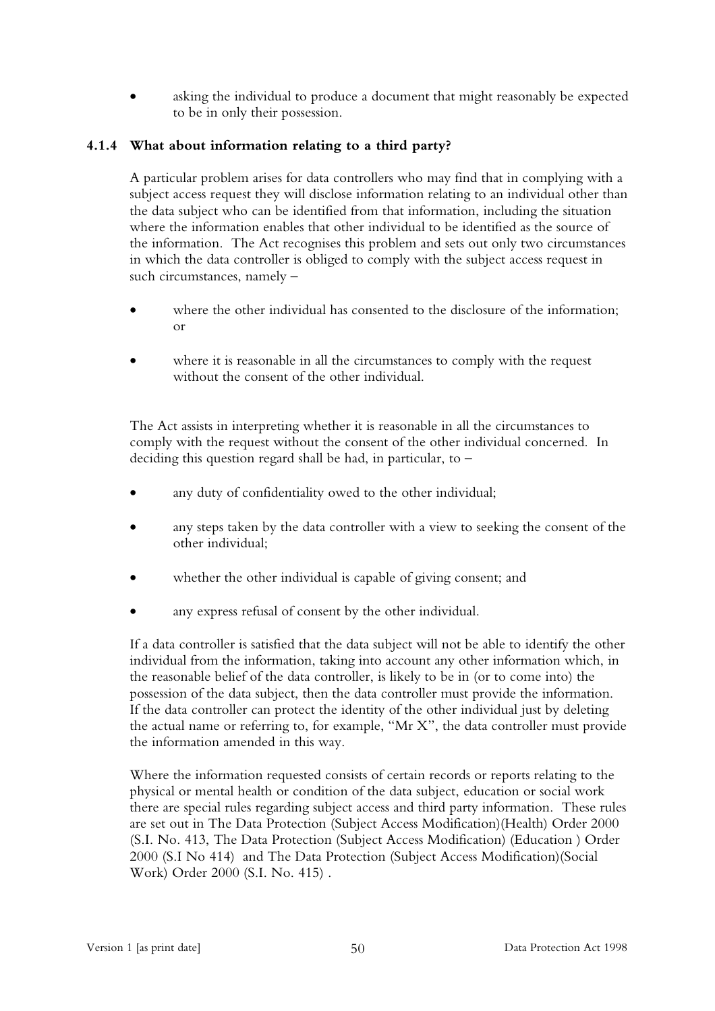$\bullet$ asking the individual to produce a document that might reasonably be expected to be in only their possession.

#### **4.1.4 What about information relating to a third party?**

A particular problem arises for data controllers who may find that in complying with a subject access request they will disclose information relating to an individual other than the data subject who can be identified from that information, including the situation where the information enables that other individual to be identified as the source of the information. The Act recognises this problem and sets out only two circumstances in which the data controller is obliged to comply with the subject access request in such circumstances, namely –

- $\bullet$ where the other individual has consented to the disclosure of the information; or
- $\bullet$ where it is reasonable in all the circumstances to comply with the request without the consent of the other individual.

The Act assists in interpreting whether it is reasonable in all the circumstances to comply with the request without the consent of the other individual concerned. In deciding this question regard shall be had, in particular, to –

- $\bullet$ any duty of confidentiality owed to the other individual;
- $\bullet$ any steps taken by the data controller with a view to seeking the consent of the other individual;
- $\bullet$ whether the other individual is capable of giving consent; and
- $\bullet$ any express refusal of consent by the other individual.

If a data controller is satisfied that the data subject will not be able to identify the other individual from the information, taking into account any other information which, in the reasonable belief of the data controller, is likely to be in (or to come into) the possession of the data subject, then the data controller must provide the information. If the data controller can protect the identity of the other individual just by deleting the actual name or referring to, for example, "Mr X", the data controller must provide the information amended in this way.

Where the information requested consists of certain records or reports relating to the physical or mental health or condition of the data subject, education or social work there are special rules regarding subject access and third party information. These rules are set out in The Data Protection (Subject Access Modification)(Health) Order 2000 (S.I. No. 413, The Data Protection (Subject Access Modification) (Education ) Order 2000 (S.I No 414) and The Data Protection (Subject Access Modification)(Social Work) Order 2000 (S.I. No. 415) .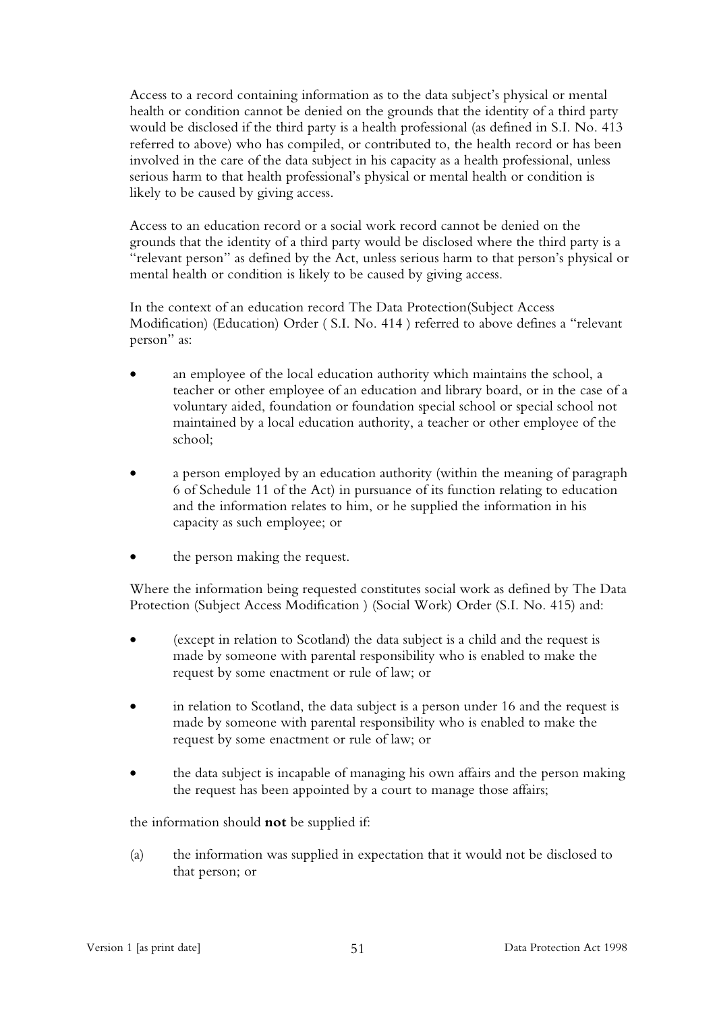Access to a record containing information as to the data subject's physical or mental health or condition cannot be denied on the grounds that the identity of a third party would be disclosed if the third party is a health professional (as defined in S.I. No. 413 referred to above) who has compiled, or contributed to, the health record or has been involved in the care of the data subject in his capacity as a health professional, unless serious harm to that health professional's physical or mental health or condition is likely to be caused by giving access.

Access to an education record or a social work record cannot be denied on the grounds that the identity of a third party would be disclosed where the third party is a "relevant person" as defined by the Act, unless serious harm to that person's physical or mental health or condition is likely to be caused by giving access.

In the context of an education record The Data Protection(Subject Access Modification) (Education) Order ( S.I. No. 414 ) referred to above defines a "relevant person" as:

- $\bullet$ an employee of the local education authority which maintains the school, a teacher or other employee of an education and library board, or in the case of a voluntary aided, foundation or foundation special school or special school not maintained by a local education authority, a teacher or other employee of the school;
- $\bullet$ a person employed by an education authority (within the meaning of paragraph 6 of Schedule 11 of the Act) in pursuance of its function relating to education and the information relates to him, or he supplied the information in his capacity as such employee; or
- $\bullet$ the person making the request.

Where the information being requested constitutes social work as defined by The Data Protection (Subject Access Modification ) (Social Work) Order (S.I. No. 415) and:

- $\bullet$ (except in relation to Scotland) the data subject is a child and the request is made by someone with parental responsibility who is enabled to make the request by some enactment or rule of law; or
- $\bullet$ in relation to Scotland, the data subject is a person under 16 and the request is made by someone with parental responsibility who is enabled to make the request by some enactment or rule of law; or
- $\bullet$ the data subject is incapable of managing his own affairs and the person making the request has been appointed by a court to manage those affairs;

the information should **not** be supplied if:

(a) the information was supplied in expectation that it would not be disclosed to that person; or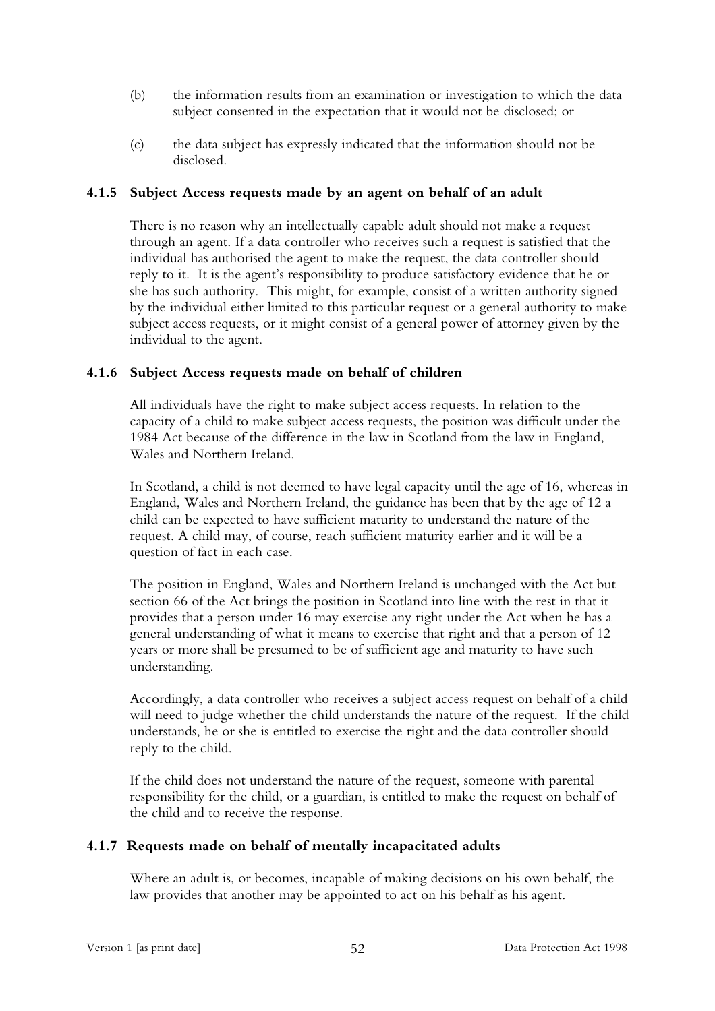- (b) the information results from an examination or investigation to which the data subject consented in the expectation that it would not be disclosed; or
- (c) the data subject has expressly indicated that the information should not be disclosed.

#### **4.1.5 Subject Access requests made by an agent on behalf of an adult**

There is no reason why an intellectually capable adult should not make a request through an agent. If a data controller who receives such a request is satisfied that the individual has authorised the agent to make the request, the data controller should reply to it. It is the agent's responsibility to produce satisfactory evidence that he or she has such authority. This might, for example, consist of a written authority signed by the individual either limited to this particular request or a general authority to make subject access requests, or it might consist of a general power of attorney given by the individual to the agent.

## **4.1.6 Subject Access requests made on behalf of children**

All individuals have the right to make subject access requests. In relation to the capacity of a child to make subject access requests, the position was difficult under the 1984 Act because of the difference in the law in Scotland from the law in England, Wales and Northern Ireland.

In Scotland, a child is not deemed to have legal capacity until the age of 16, whereas in England, Wales and Northern Ireland, the guidance has been that by the age of 12 a child can be expected to have sufficient maturity to understand the nature of the request. A child may, of course, reach sufficient maturity earlier and it will be a question of fact in each case.

The position in England, Wales and Northern Ireland is unchanged with the Act but section 66 of the Act brings the position in Scotland into line with the rest in that it provides that a person under 16 may exercise any right under the Act when he has a general understanding of what it means to exercise that right and that a person of 12 years or more shall be presumed to be of sufficient age and maturity to have such understanding.

Accordingly, a data controller who receives a subject access request on behalf of a child will need to judge whether the child understands the nature of the request. If the child understands, he or she is entitled to exercise the right and the data controller should reply to the child.

If the child does not understand the nature of the request, someone with parental responsibility for the child, or a guardian, is entitled to make the request on behalf of the child and to receive the response.

#### **4.1.7 Requests made on behalf of mentally incapacitated adults**

Where an adult is, or becomes, incapable of making decisions on his own behalf, the law provides that another may be appointed to act on his behalf as his agent.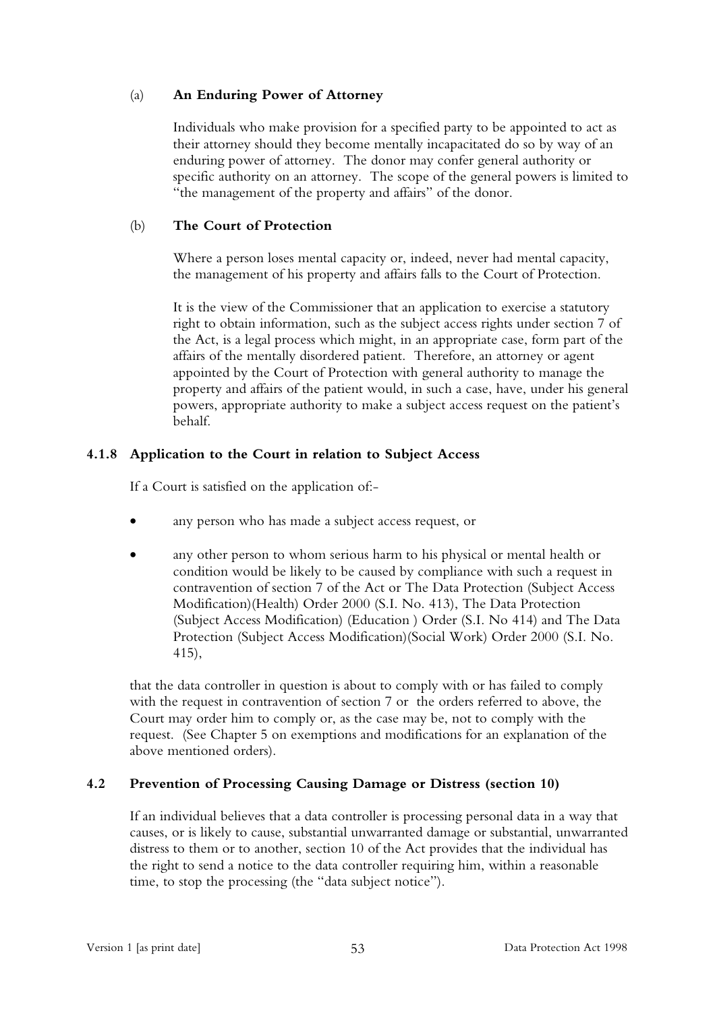## (a) **An Enduring Power of Attorney**

Individuals who make provision for a specified party to be appointed to act as their attorney should they become mentally incapacitated do so by way of an enduring power of attorney. The donor may confer general authority or specific authority on an attorney. The scope of the general powers is limited to "the management of the property and affairs" of the donor.

# (b) **The Court of Protection**

Where a person loses mental capacity or, indeed, never had mental capacity, the management of his property and affairs falls to the Court of Protection.

It is the view of the Commissioner that an application to exercise a statutory right to obtain information, such as the subject access rights under section 7 of the Act, is a legal process which might, in an appropriate case, form part of the affairs of the mentally disordered patient. Therefore, an attorney or agent appointed by the Court of Protection with general authority to manage the property and affairs of the patient would, in such a case, have, under his general powers, appropriate authority to make a subject access request on the patient's behalf.

## **4.1.8 Application to the Court in relation to Subject Access**

If a Court is satisfied on the application of:-

- $\bullet$ any person who has made a subject access request, or
- $\bullet$ any other person to whom serious harm to his physical or mental health or condition would be likely to be caused by compliance with such a request in contravention of section 7 of the Act or The Data Protection (Subject Access Modification)(Health) Order 2000 (S.I. No. 413), The Data Protection (Subject Access Modification) (Education ) Order (S.I. No 414) and The Data Protection (Subject Access Modification)(Social Work) Order 2000 (S.I. No. 415),

that the data controller in question is about to comply with or has failed to comply with the request in contravention of section 7 or the orders referred to above, the Court may order him to comply or, as the case may be, not to comply with the request. (See Chapter 5 on exemptions and modifications for an explanation of the above mentioned orders).

# **4.2 Prevention of Processing Causing Damage or Distress (section 10)**

If an individual believes that a data controller is processing personal data in a way that causes, or is likely to cause, substantial unwarranted damage or substantial, unwarranted distress to them or to another, section 10 of the Act provides that the individual has the right to send a notice to the data controller requiring him, within a reasonable time, to stop the processing (the "data subject notice").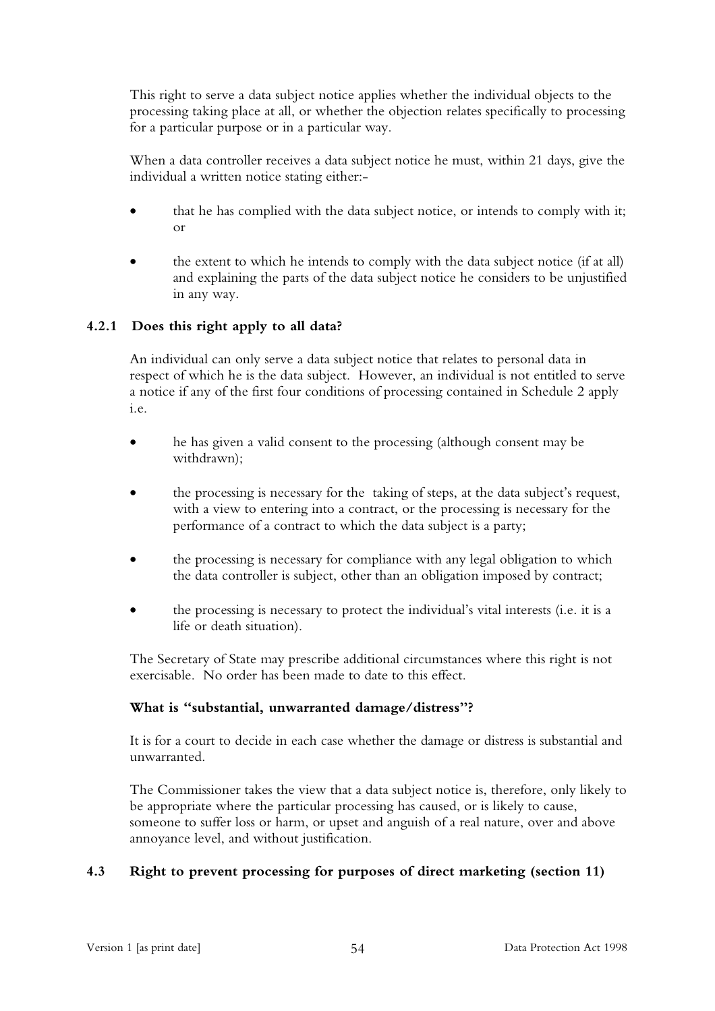This right to serve a data subject notice applies whether the individual objects to the processing taking place at all, or whether the objection relates specifically to processing for a particular purpose or in a particular way.

When a data controller receives a data subject notice he must, within 21 days, give the individual a written notice stating either:-

- $\bullet$ that he has complied with the data subject notice, or intends to comply with it; or
- $\bullet$ the extent to which he intends to comply with the data subject notice (if at all) and explaining the parts of the data subject notice he considers to be unjustified in any way.

## **4.2.1 Does this right apply to all data?**

An individual can only serve a data subject notice that relates to personal data in respect of which he is the data subject. However, an individual is not entitled to serve a notice if any of the first four conditions of processing contained in Schedule 2 apply i.e.

- $\bullet$ he has given a valid consent to the processing (although consent may be withdrawn);
- $\bullet$ the processing is necessary for the taking of steps, at the data subject's request, with a view to entering into a contract, or the processing is necessary for the performance of a contract to which the data subject is a party;
- $\bullet$ the processing is necessary for compliance with any legal obligation to which the data controller is subject, other than an obligation imposed by contract;
- $\bullet$ the processing is necessary to protect the individual's vital interests (i.e. it is a life or death situation).

The Secretary of State may prescribe additional circumstances where this right is not exercisable. No order has been made to date to this effect.

#### **What is "substantial, unwarranted damage/distress"?**

It is for a court to decide in each case whether the damage or distress is substantial and unwarranted.

The Commissioner takes the view that a data subject notice is, therefore, only likely to be appropriate where the particular processing has caused, or is likely to cause, someone to suffer loss or harm, or upset and anguish of a real nature, over and above annoyance level, and without justification.

#### **4.3 Right to prevent processing for purposes of direct marketing (section 11)**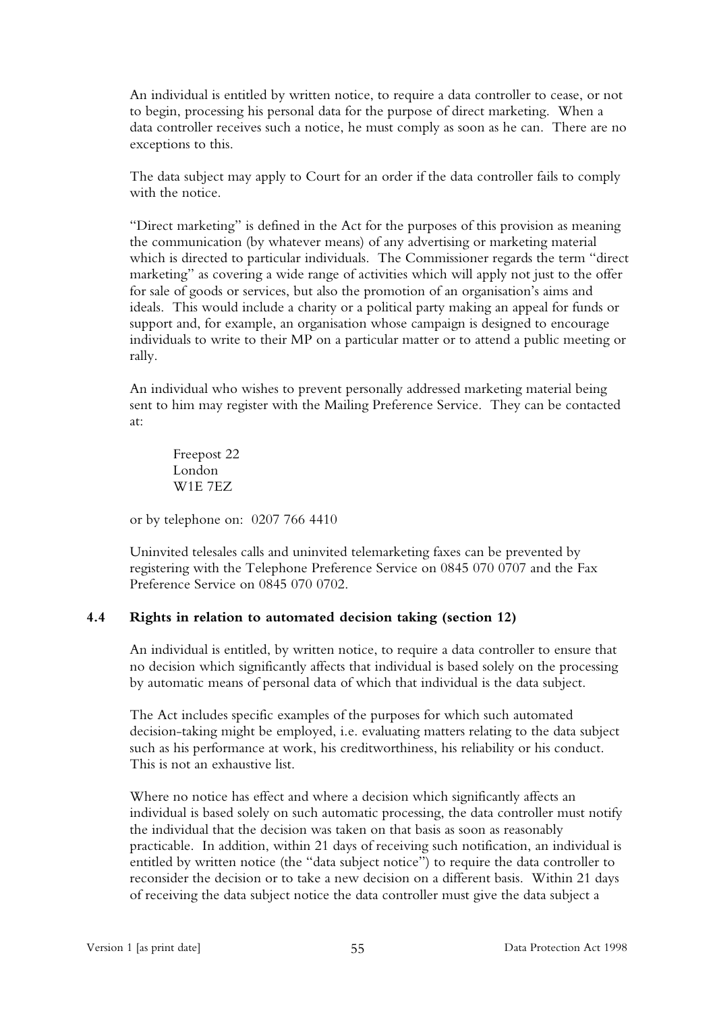An individual is entitled by written notice, to require a data controller to cease, or not to begin, processing his personal data for the purpose of direct marketing. When a data controller receives such a notice, he must comply as soon as he can. There are no exceptions to this.

The data subject may apply to Court for an order if the data controller fails to comply with the notice.

"Direct marketing" is defined in the Act for the purposes of this provision as meaning the communication (by whatever means) of any advertising or marketing material which is directed to particular individuals. The Commissioner regards the term "direct marketing" as covering a wide range of activities which will apply not just to the offer for sale of goods or services, but also the promotion of an organisation's aims and ideals. This would include a charity or a political party making an appeal for funds or support and, for example, an organisation whose campaign is designed to encourage individuals to write to their MP on a particular matter or to attend a public meeting or rally.

An individual who wishes to prevent personally addressed marketing material being sent to him may register with the Mailing Preference Service. They can be contacted at:

Freepost 22 London W1E 7EZ

or by telephone on: 0207 766 4410

Uninvited telesales calls and uninvited telemarketing faxes can be prevented by registering with the Telephone Preference Service on 0845 070 0707 and the Fax Preference Service on 0845 070 0702.

#### **4.4 Rights in relation to automated decision taking (section 12)**

An individual is entitled, by written notice, to require a data controller to ensure that no decision which significantly affects that individual is based solely on the processing by automatic means of personal data of which that individual is the data subject.

The Act includes specific examples of the purposes for which such automated decision-taking might be employed, i.e. evaluating matters relating to the data subject such as his performance at work, his creditworthiness, his reliability or his conduct. This is not an exhaustive list.

Where no notice has effect and where a decision which significantly affects an individual is based solely on such automatic processing, the data controller must notify the individual that the decision was taken on that basis as soon as reasonably practicable. In addition, within 21 days of receiving such notification, an individual is entitled by written notice (the "data subject notice") to require the data controller to reconsider the decision or to take a new decision on a different basis. Within 21 days of receiving the data subject notice the data controller must give the data subject a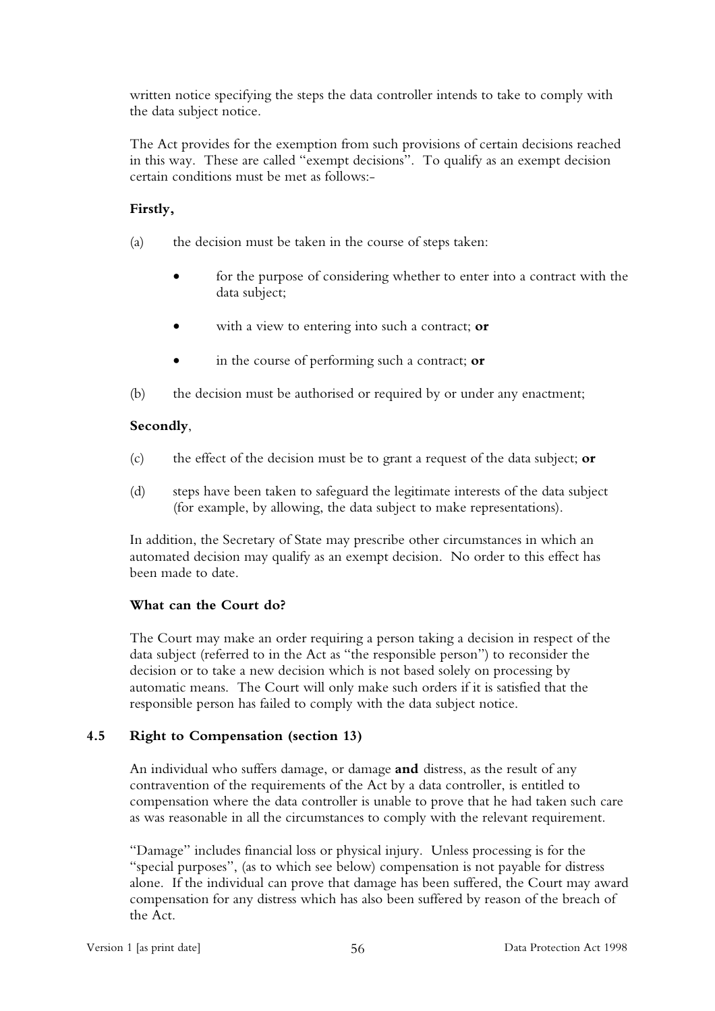written notice specifying the steps the data controller intends to take to comply with the data subject notice.

The Act provides for the exemption from such provisions of certain decisions reached in this way. These are called "exempt decisions". To qualify as an exempt decision certain conditions must be met as follows:-

# **Firstly,**

- (a) the decision must be taken in the course of steps taken:
	- $\bullet$ for the purpose of considering whether to enter into a contract with the data subject;
	- $\bullet$ with a view to entering into such a contract; **or**
	- $\bullet$ in the course of performing such a contract; **or**
- (b) the decision must be authorised or required by or under any enactment;

#### **Secondly**,

- (c) the effect of the decision must be to grant a request of the data subject; **or**
- (d) steps have been taken to safeguard the legitimate interests of the data subject (for example, by allowing, the data subject to make representations).

In addition, the Secretary of State may prescribe other circumstances in which an automated decision may qualify as an exempt decision. No order to this effect has been made to date.

#### **What can the Court do?**

The Court may make an order requiring a person taking a decision in respect of the data subject (referred to in the Act as "the responsible person") to reconsider the decision or to take a new decision which is not based solely on processing by automatic means. The Court will only make such orders if it is satisfied that the responsible person has failed to comply with the data subject notice.

# **4.5 Right to Compensation (section 13)**

An individual who suffers damage, or damage **and** distress, as the result of any contravention of the requirements of the Act by a data controller, is entitled to compensation where the data controller is unable to prove that he had taken such care as was reasonable in all the circumstances to comply with the relevant requirement.

"Damage" includes financial loss or physical injury. Unless processing is for the "special purposes", (as to which see below) compensation is not payable for distress alone. If the individual can prove that damage has been suffered, the Court may award compensation for any distress which has also been suffered by reason of the breach of the Act.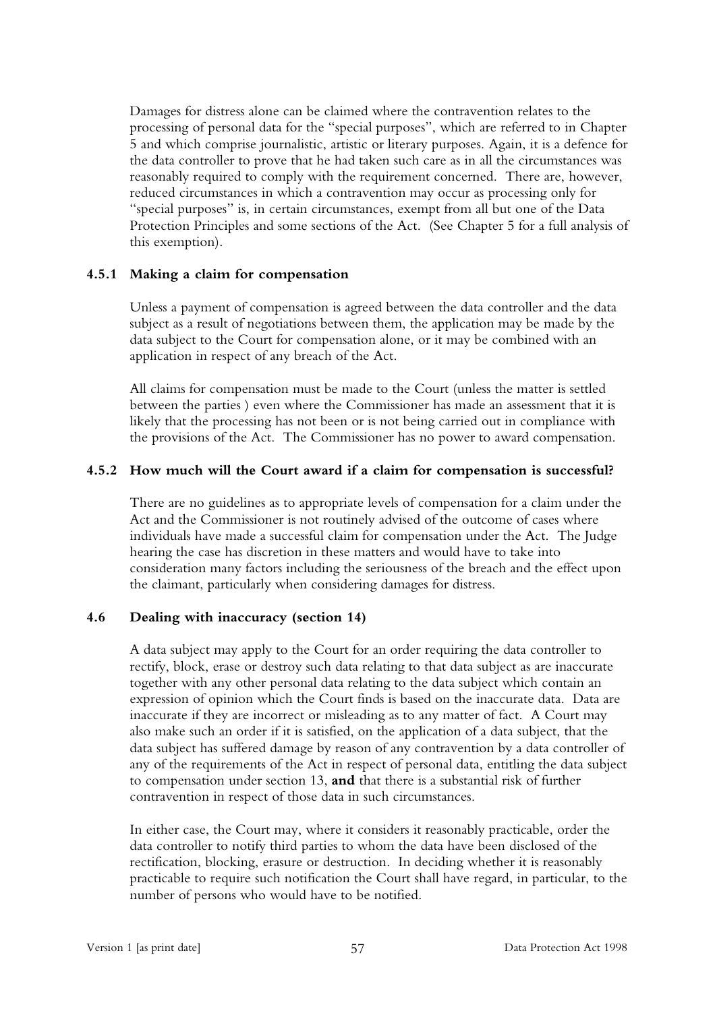Damages for distress alone can be claimed where the contravention relates to the processing of personal data for the "special purposes", which are referred to in Chapter 5 and which comprise journalistic, artistic or literary purposes. Again, it is a defence for the data controller to prove that he had taken such care as in all the circumstances was reasonably required to comply with the requirement concerned. There are, however, reduced circumstances in which a contravention may occur as processing only for "special purposes" is, in certain circumstances, exempt from all but one of the Data Protection Principles and some sections of the Act. (See Chapter 5 for a full analysis of this exemption).

#### **4.5.1 Making a claim for compensation**

Unless a payment of compensation is agreed between the data controller and the data subject as a result of negotiations between them, the application may be made by the data subject to the Court for compensation alone, or it may be combined with an application in respect of any breach of the Act.

All claims for compensation must be made to the Court (unless the matter is settled between the parties ) even where the Commissioner has made an assessment that it is likely that the processing has not been or is not being carried out in compliance with the provisions of the Act. The Commissioner has no power to award compensation.

#### **4.5.2 How much will the Court award if a claim for compensation is successful?**

There are no guidelines as to appropriate levels of compensation for a claim under the Act and the Commissioner is not routinely advised of the outcome of cases where individuals have made a successful claim for compensation under the Act. The Judge hearing the case has discretion in these matters and would have to take into consideration many factors including the seriousness of the breach and the effect upon the claimant, particularly when considering damages for distress.

#### **4.6 Dealing with inaccuracy (section 14)**

A data subject may apply to the Court for an order requiring the data controller to rectify, block, erase or destroy such data relating to that data subject as are inaccurate together with any other personal data relating to the data subject which contain an expression of opinion which the Court finds is based on the inaccurate data. Data are inaccurate if they are incorrect or misleading as to any matter of fact. A Court may also make such an order if it is satisfied, on the application of a data subject, that the data subject has suffered damage by reason of any contravention by a data controller of any of the requirements of the Act in respect of personal data, entitling the data subject to compensation under section 13, **and** that there is a substantial risk of further contravention in respect of those data in such circumstances.

In either case, the Court may, where it considers it reasonably practicable, order the data controller to notify third parties to whom the data have been disclosed of the rectification, blocking, erasure or destruction. In deciding whether it is reasonably practicable to require such notification the Court shall have regard, in particular, to the number of persons who would have to be notified.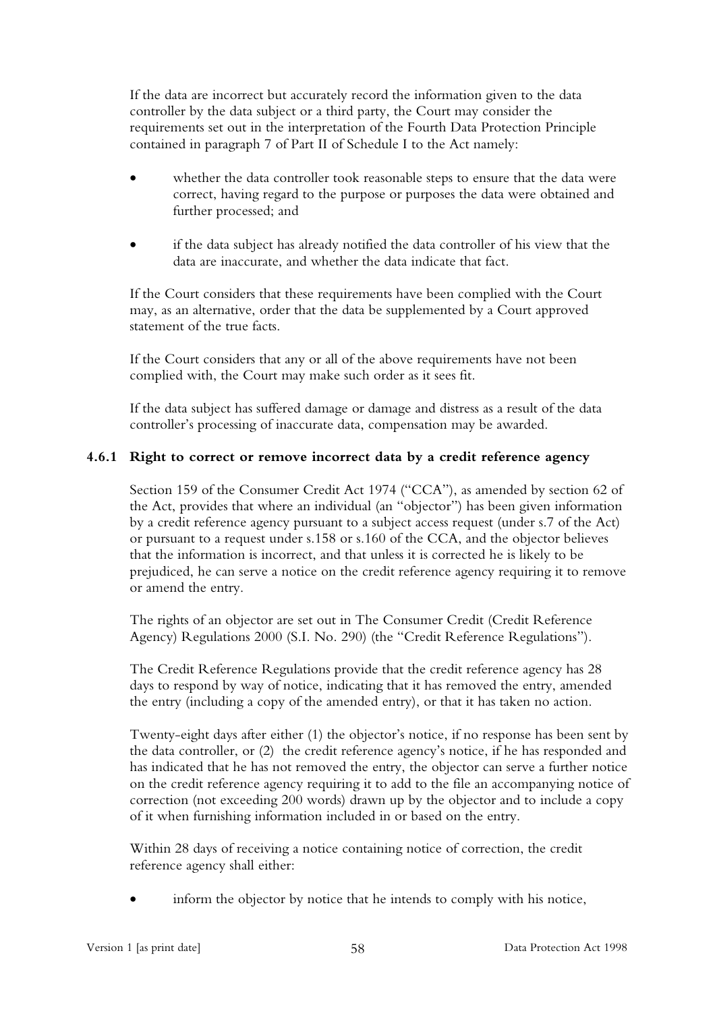If the data are incorrect but accurately record the information given to the data controller by the data subject or a third party, the Court may consider the requirements set out in the interpretation of the Fourth Data Protection Principle contained in paragraph 7 of Part II of Schedule I to the Act namely:

- $\bullet$ whether the data controller took reasonable steps to ensure that the data were correct, having regard to the purpose or purposes the data were obtained and further processed; and
- $\bullet$ if the data subject has already notified the data controller of his view that the data are inaccurate, and whether the data indicate that fact.

If the Court considers that these requirements have been complied with the Court may, as an alternative, order that the data be supplemented by a Court approved statement of the true facts.

If the Court considers that any or all of the above requirements have not been complied with, the Court may make such order as it sees fit.

If the data subject has suffered damage or damage and distress as a result of the data controller's processing of inaccurate data, compensation may be awarded.

## **4.6.1 Right to correct or remove incorrect data by a credit reference agency**

Section 159 of the Consumer Credit Act 1974 ("CCA"), as amended by section 62 of the Act, provides that where an individual (an "objector") has been given information by a credit reference agency pursuant to a subject access request (under s.7 of the Act) or pursuant to a request under s.158 or s.160 of the CCA, and the objector believes that the information is incorrect, and that unless it is corrected he is likely to be prejudiced, he can serve a notice on the credit reference agency requiring it to remove or amend the entry.

The rights of an objector are set out in The Consumer Credit (Credit Reference Agency) Regulations 2000 (S.I. No. 290) (the "Credit Reference Regulations").

The Credit Reference Regulations provide that the credit reference agency has 28 days to respond by way of notice, indicating that it has removed the entry, amended the entry (including a copy of the amended entry), or that it has taken no action.

Twenty-eight days after either (1) the objector's notice, if no response has been sent by the data controller, or (2) the credit reference agency's notice, if he has responded and has indicated that he has not removed the entry, the objector can serve a further notice on the credit reference agency requiring it to add to the file an accompanying notice of correction (not exceeding 200 words) drawn up by the objector and to include a copy of it when furnishing information included in or based on the entry.

Within 28 days of receiving a notice containing notice of correction, the credit reference agency shall either:

 $\bullet$ inform the objector by notice that he intends to comply with his notice,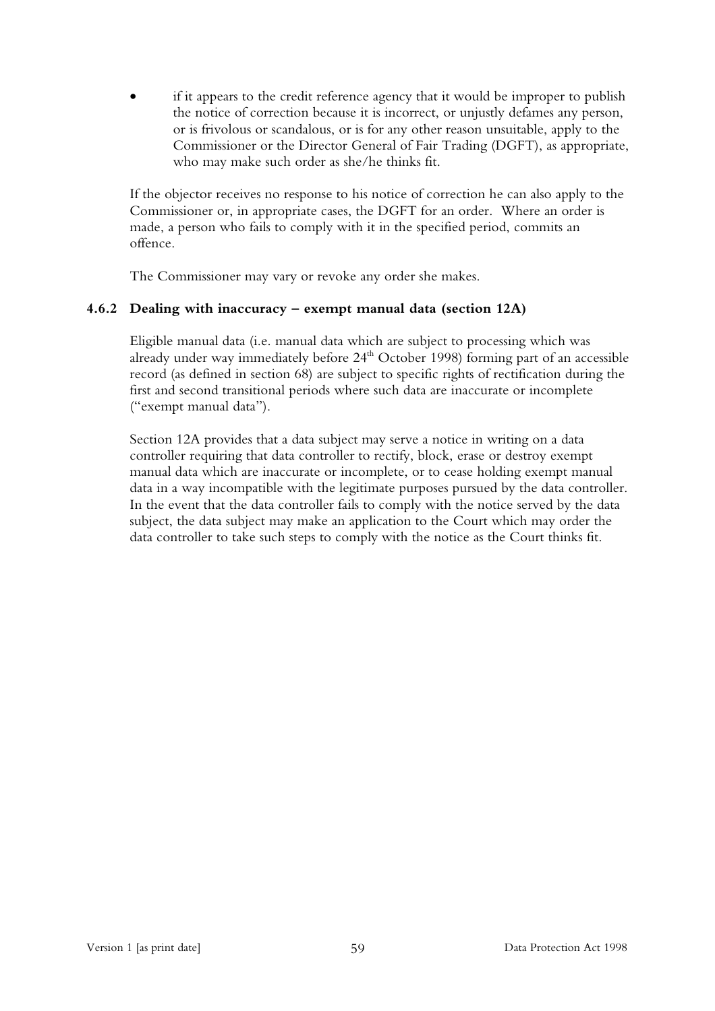if it appears to the credit reference agency that it would be improper to publish the notice of correction because it is incorrect, or unjustly defames any person, or is frivolous or scandalous, or is for any other reason unsuitable, apply to the Commissioner or the Director General of Fair Trading (DGFT), as appropriate, who may make such order as she/he thinks fit.

If the objector receives no response to his notice of correction he can also apply to the Commissioner or, in appropriate cases, the DGFT for an order. Where an order is made, a person who fails to comply with it in the specified period, commits an offence.

The Commissioner may vary or revoke any order she makes.

#### **4.6.2 Dealing with inaccuracy – exempt manual data (section 12A)**

Eligible manual data (i.e. manual data which are subject to processing which was already under way immediately before 24<sup>th</sup> October 1998) forming part of an accessible record (as defined in section 68) are subject to specific rights of rectification during the first and second transitional periods where such data are inaccurate or incomplete ("exempt manual data").

Section 12A provides that a data subject may serve a notice in writing on a data controller requiring that data controller to rectify, block, erase or destroy exempt manual data which are inaccurate or incomplete, or to cease holding exempt manual data in a way incompatible with the legitimate purposes pursued by the data controller. In the event that the data controller fails to comply with the notice served by the data subject, the data subject may make an application to the Court which may order the data controller to take such steps to comply with the notice as the Court thinks fit.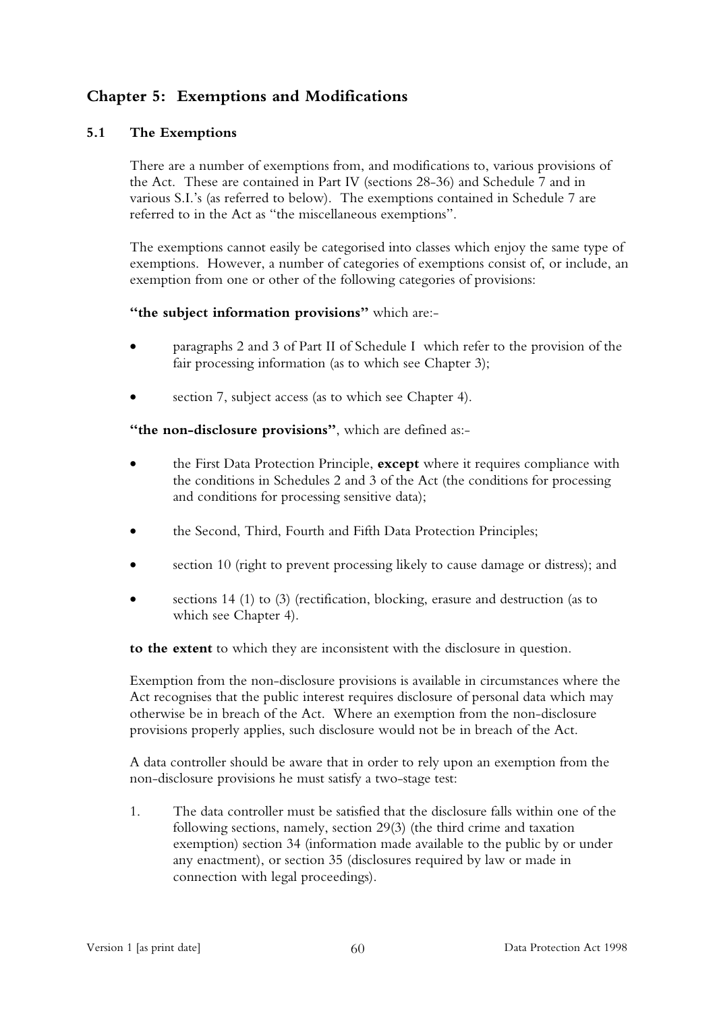# **Chapter 5: Exemptions and Modifications**

#### **5.1 The Exemptions**

There are a number of exemptions from, and modifications to, various provisions of the Act. These are contained in Part IV (sections 28-36) and Schedule 7 and in various S.I.'s (as referred to below). The exemptions contained in Schedule 7 are referred to in the Act as "the miscellaneous exemptions".

The exemptions cannot easily be categorised into classes which enjoy the same type of exemptions. However, a number of categories of exemptions consist of, or include, an exemption from one or other of the following categories of provisions:

**"the subject information provisions"** which are:-

- $\bullet$ paragraphs 2 and 3 of Part II of Schedule I which refer to the provision of the fair processing information (as to which see Chapter 3);
- $\bullet$ section 7, subject access (as to which see Chapter 4).

**"the non-disclosure provisions"**, which are defined as:-

- $\bullet$ the First Data Protection Principle, **except** where it requires compliance with the conditions in Schedules 2 and 3 of the Act (the conditions for processing and conditions for processing sensitive data);
- $\bullet$ the Second, Third, Fourth and Fifth Data Protection Principles;
- $\bullet$ section 10 (right to prevent processing likely to cause damage or distress); and
- $\bullet$ sections 14 (1) to (3) (rectification, blocking, erasure and destruction (as to which see Chapter 4).

**to the extent** to which they are inconsistent with the disclosure in question.

Exemption from the non-disclosure provisions is available in circumstances where the Act recognises that the public interest requires disclosure of personal data which may otherwise be in breach of the Act. Where an exemption from the non-disclosure provisions properly applies, such disclosure would not be in breach of the Act.

A data controller should be aware that in order to rely upon an exemption from the non-disclosure provisions he must satisfy a two-stage test:

1. The data controller must be satisfied that the disclosure falls within one of the following sections, namely, section 29(3) (the third crime and taxation exemption) section 34 (information made available to the public by or under any enactment), or section 35 (disclosures required by law or made in connection with legal proceedings).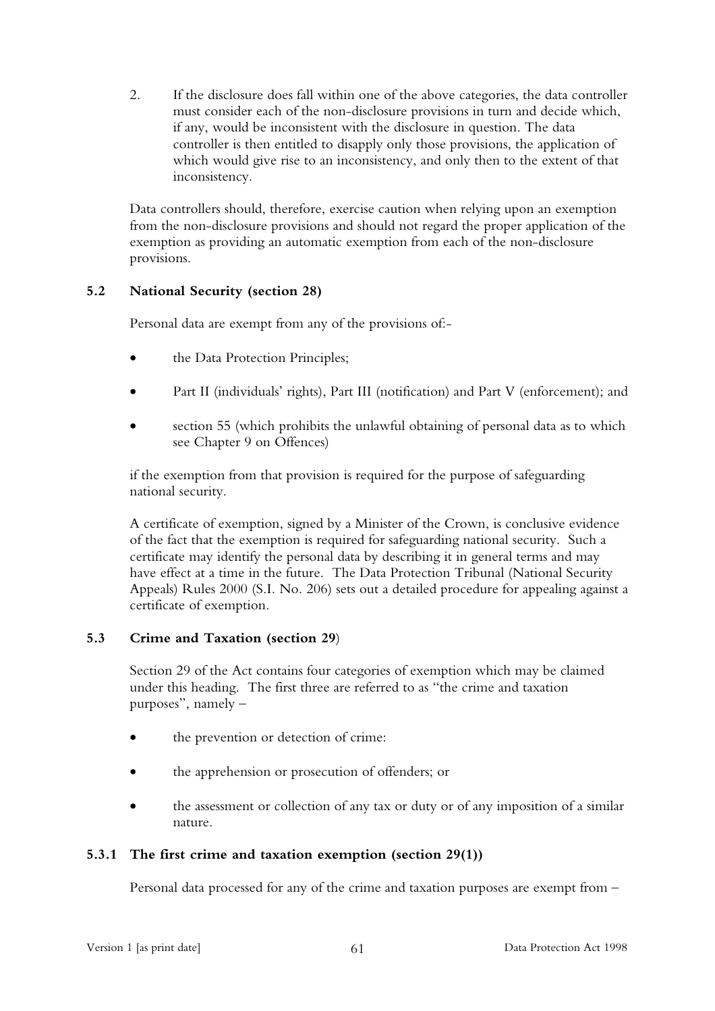2. If the disclosure does fall within one of the above categories, the data controller must consider each of the non-disclosure provisions in turn and decide which, if any, would be inconsistent with the disclosure in question. The data controller is then entitled to disapply only those provisions, the application of which would give rise to an inconsistency, and only then to the extent of that inconsistency.

Data controllers should, therefore, exercise caution when relying upon an exemption from the non-disclosure provisions and should not regard the proper application of the exemption as providing an automatic exemption from each of the non-disclosure provisions.

## **5.2 National Security (section 28)**

Personal data are exempt from any of the provisions of:-

- $\bullet$ the Data Protection Principles;
- $\bullet$ Part II (individuals' rights), Part III (notification) and Part V (enforcement); and
- $\bullet$ section 55 (which prohibits the unlawful obtaining of personal data as to which see Chapter 9 on Offences)

if the exemption from that provision is required for the purpose of safeguarding national security.

A certificate of exemption, signed by a Minister of the Crown, is conclusive evidence of the fact that the exemption is required for safeguarding national security. Such a certificate may identify the personal data by describing it in general terms and may have effect at a time in the future. The Data Protection Tribunal (National Security Appeals) Rules 2000 (S.I. No. 206) sets out a detailed procedure for appealing against a certificate of exemption.

#### **5.3 Crime and Taxation (section 29**)

Section 29 of the Act contains four categories of exemption which may be claimed under this heading. The first three are referred to as "the crime and taxation purposes", namely –

- $\bullet$ the prevention or detection of crime:
- $\bullet$ the apprehension or prosecution of offenders; or
- $\bullet$ the assessment or collection of any tax or duty or of any imposition of a similar nature.

#### **5.3.1 The first crime and taxation exemption (section 29(1))**

Personal data processed for any of the crime and taxation purposes are exempt from –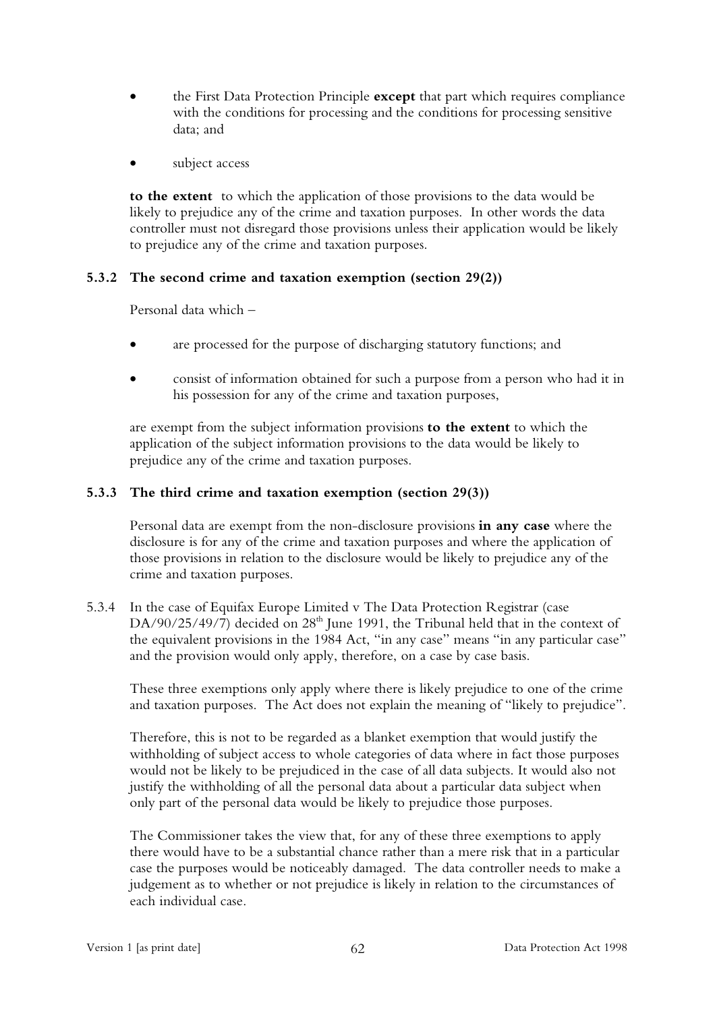- $\bullet$ the First Data Protection Principle **except** that part which requires compliance with the conditions for processing and the conditions for processing sensitive data; and
- $\bullet$ subject access

**to the extent** to which the application of those provisions to the data would be likely to prejudice any of the crime and taxation purposes. In other words the data controller must not disregard those provisions unless their application would be likely to prejudice any of the crime and taxation purposes.

#### **5.3.2 The second crime and taxation exemption (section 29(2))**

Personal data which –

- $\bullet$ are processed for the purpose of discharging statutory functions; and
- $\bullet$ consist of information obtained for such a purpose from a person who had it in his possession for any of the crime and taxation purposes,

are exempt from the subject information provisions **to the extent** to which the application of the subject information provisions to the data would be likely to prejudice any of the crime and taxation purposes.

#### **5.3.3 The third crime and taxation exemption (section 29(3))**

Personal data are exempt from the non-disclosure provisions **in any case** where the disclosure is for any of the crime and taxation purposes and where the application of those provisions in relation to the disclosure would be likely to prejudice any of the crime and taxation purposes.

5.3.4 In the case of Equifax Europe Limited v The Data Protection Registrar (case  $DA/90/25/49/7$ ) decided on  $28<sup>th</sup>$  June 1991, the Tribunal held that in the context of the equivalent provisions in the 1984 Act, "in any case" means "in any particular case" and the provision would only apply, therefore, on a case by case basis.

These three exemptions only apply where there is likely prejudice to one of the crime and taxation purposes. The Act does not explain the meaning of "likely to prejudice".

Therefore, this is not to be regarded as a blanket exemption that would justify the withholding of subject access to whole categories of data where in fact those purposes would not be likely to be prejudiced in the case of all data subjects. It would also not justify the withholding of all the personal data about a particular data subject when only part of the personal data would be likely to prejudice those purposes.

The Commissioner takes the view that, for any of these three exemptions to apply there would have to be a substantial chance rather than a mere risk that in a particular case the purposes would be noticeably damaged. The data controller needs to make a judgement as to whether or not prejudice is likely in relation to the circumstances of each individual case.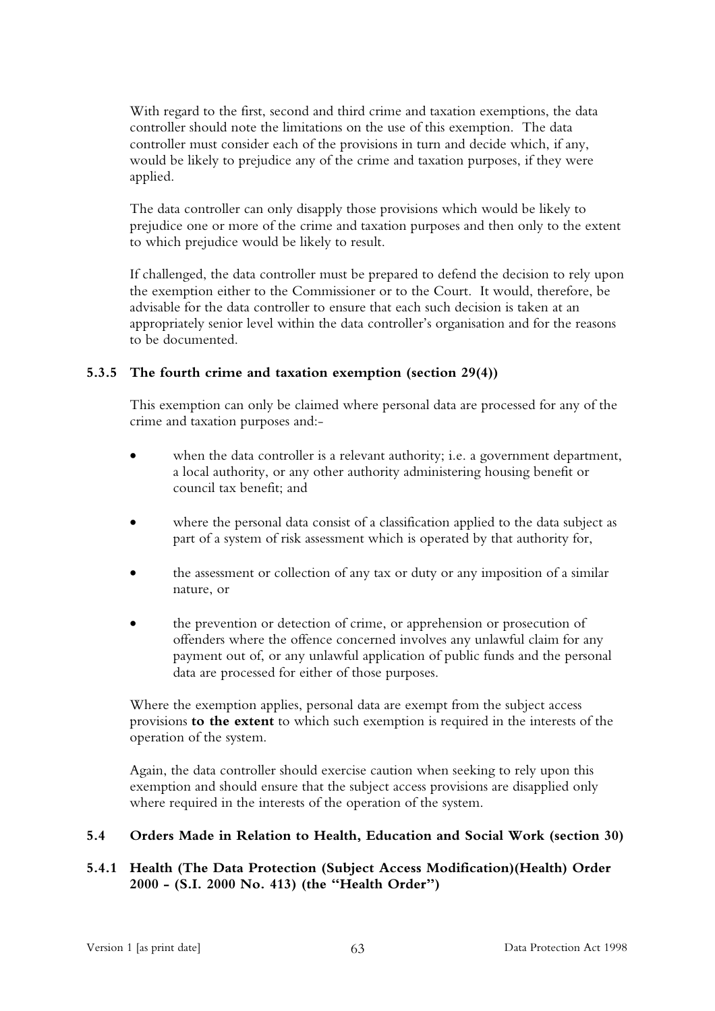With regard to the first, second and third crime and taxation exemptions, the data controller should note the limitations on the use of this exemption. The data controller must consider each of the provisions in turn and decide which, if any, would be likely to prejudice any of the crime and taxation purposes, if they were applied.

The data controller can only disapply those provisions which would be likely to prejudice one or more of the crime and taxation purposes and then only to the extent to which prejudice would be likely to result.

If challenged, the data controller must be prepared to defend the decision to rely upon the exemption either to the Commissioner or to the Court. It would, therefore, be advisable for the data controller to ensure that each such decision is taken at an appropriately senior level within the data controller's organisation and for the reasons to be documented.

## **5.3.5 The fourth crime and taxation exemption (section 29(4))**

This exemption can only be claimed where personal data are processed for any of the crime and taxation purposes and:-

- $\bullet$ when the data controller is a relevant authority; i.e. a government department, a local authority, or any other authority administering housing benefit or council tax benefit; and
- $\bullet$ where the personal data consist of a classification applied to the data subject as part of a system of risk assessment which is operated by that authority for,
- $\bullet$ the assessment or collection of any tax or duty or any imposition of a similar nature, or
- $\bullet$ the prevention or detection of crime, or apprehension or prosecution of offenders where the offence concerned involves any unlawful claim for any payment out of, or any unlawful application of public funds and the personal data are processed for either of those purposes.

Where the exemption applies, personal data are exempt from the subject access provisions **to the extent** to which such exemption is required in the interests of the operation of the system.

Again, the data controller should exercise caution when seeking to rely upon this exemption and should ensure that the subject access provisions are disapplied only where required in the interests of the operation of the system.

#### **5.4 Orders Made in Relation to Health, Education and Social Work (section 30)**

## **5.4.1 Health (The Data Protection (Subject Access Modification)(Health) Order 2000 - (S.I. 2000 No. 413) (the "Health Order")**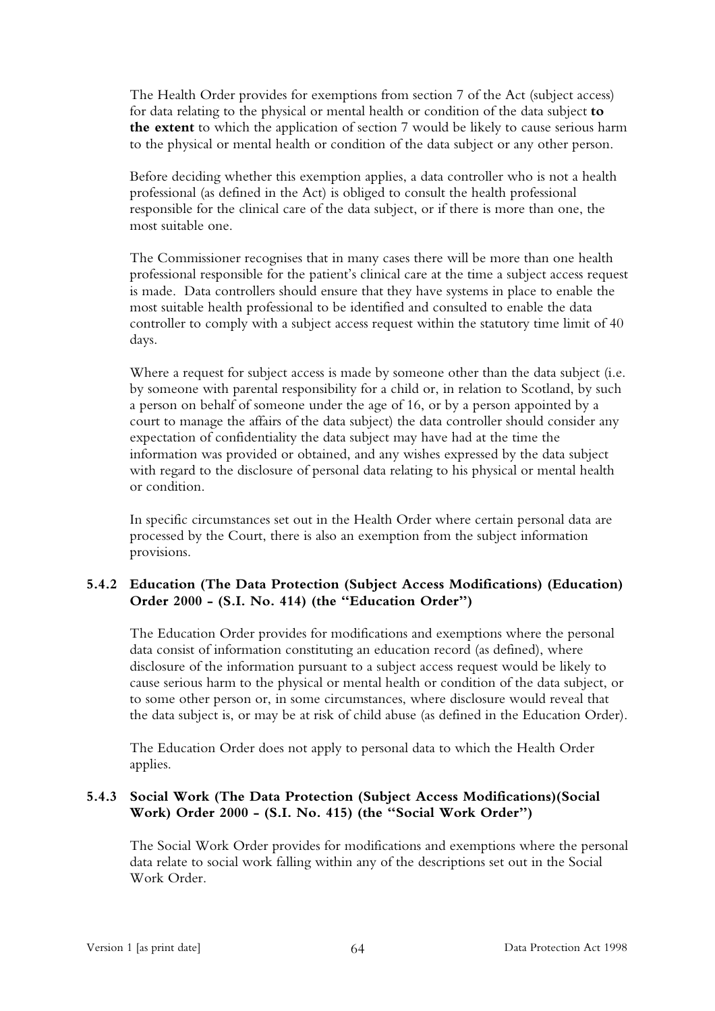The Health Order provides for exemptions from section 7 of the Act (subject access) for data relating to the physical or mental health or condition of the data subject **to the extent** to which the application of section 7 would be likely to cause serious harm to the physical or mental health or condition of the data subject or any other person.

Before deciding whether this exemption applies, a data controller who is not a health professional (as defined in the Act) is obliged to consult the health professional responsible for the clinical care of the data subject, or if there is more than one, the most suitable one.

The Commissioner recognises that in many cases there will be more than one health professional responsible for the patient's clinical care at the time a subject access request is made. Data controllers should ensure that they have systems in place to enable the most suitable health professional to be identified and consulted to enable the data controller to comply with a subject access request within the statutory time limit of 40 days.

Where a request for subject access is made by someone other than the data subject (i.e. by someone with parental responsibility for a child or, in relation to Scotland, by such a person on behalf of someone under the age of 16, or by a person appointed by a court to manage the affairs of the data subject) the data controller should consider any expectation of confidentiality the data subject may have had at the time the information was provided or obtained, and any wishes expressed by the data subject with regard to the disclosure of personal data relating to his physical or mental health or condition.

In specific circumstances set out in the Health Order where certain personal data are processed by the Court, there is also an exemption from the subject information provisions.

## **5.4.2 Education (The Data Protection (Subject Access Modifications) (Education) Order 2000 - (S.I. No. 414) (the "Education Order")**

The Education Order provides for modifications and exemptions where the personal data consist of information constituting an education record (as defined), where disclosure of the information pursuant to a subject access request would be likely to cause serious harm to the physical or mental health or condition of the data subject, or to some other person or, in some circumstances, where disclosure would reveal that the data subject is, or may be at risk of child abuse (as defined in the Education Order).

The Education Order does not apply to personal data to which the Health Order applies.

#### **5.4.3 Social Work (The Data Protection (Subject Access Modifications)(Social Work) Order 2000 - (S.I. No. 415) (the "Social Work Order")**

The Social Work Order provides for modifications and exemptions where the personal data relate to social work falling within any of the descriptions set out in the Social Work Order.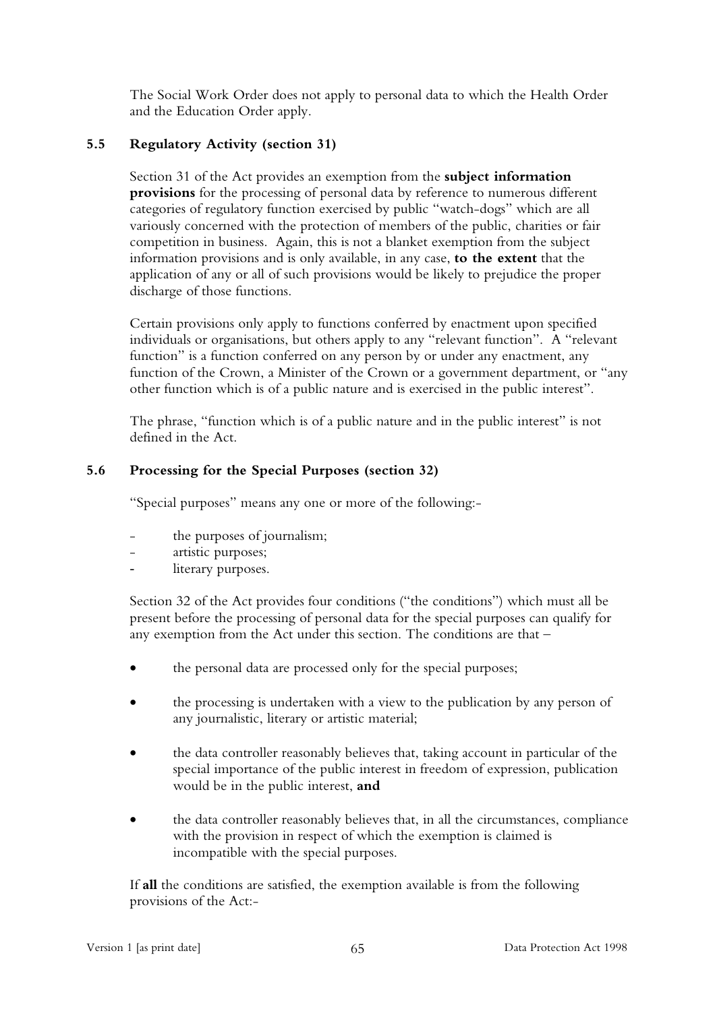The Social Work Order does not apply to personal data to which the Health Order and the Education Order apply.

## **5.5 Regulatory Activity (section 31)**

Section 31 of the Act provides an exemption from the **subject information provisions** for the processing of personal data by reference to numerous different categories of regulatory function exercised by public "watch-dogs" which are all variously concerned with the protection of members of the public, charities or fair competition in business. Again, this is not a blanket exemption from the subject information provisions and is only available, in any case, **to the extent** that the application of any or all of such provisions would be likely to prejudice the proper discharge of those functions.

Certain provisions only apply to functions conferred by enactment upon specified individuals or organisations, but others apply to any "relevant function". A "relevant function" is a function conferred on any person by or under any enactment, any function of the Crown, a Minister of the Crown or a government department, or "any other function which is of a public nature and is exercised in the public interest".

The phrase, "function which is of a public nature and in the public interest" is not defined in the Act.

## **5.6 Processing for the Special Purposes (section 32)**

"Special purposes" means any one or more of the following:-

- the purposes of journalism;
- artistic purposes;
- literary purposes.

Section 32 of the Act provides four conditions ("the conditions") which must all be present before the processing of personal data for the special purposes can qualify for any exemption from the Act under this section. The conditions are that –

- $\bullet$ the personal data are processed only for the special purposes;
- $\bullet$ the processing is undertaken with a view to the publication by any person of any journalistic, literary or artistic material;
- $\bullet$ the data controller reasonably believes that, taking account in particular of the special importance of the public interest in freedom of expression, publication would be in the public interest, **and**
- $\bullet$ the data controller reasonably believes that, in all the circumstances, compliance with the provision in respect of which the exemption is claimed is incompatible with the special purposes.

If **all** the conditions are satisfied, the exemption available is from the following provisions of the Act:-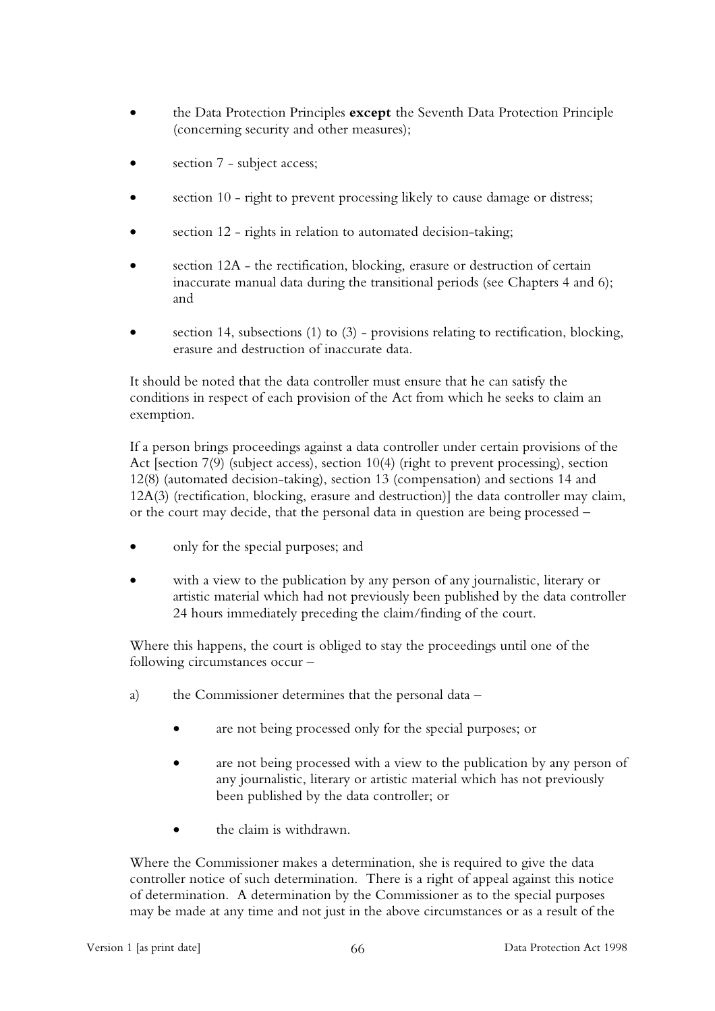- $\bullet$ the Data Protection Principles **except** the Seventh Data Protection Principle (concerning security and other measures);
- $\bullet$ section 7 - subject access;
- $\bullet$ section 10 - right to prevent processing likely to cause damage or distress;
- $\bullet$ section 12 - rights in relation to automated decision-taking;
- $\bullet$ section 12A - the rectification, blocking, erasure or destruction of certain inaccurate manual data during the transitional periods (see Chapters 4 and 6); and
- $\bullet$ section 14, subsections  $(1)$  to  $(3)$  – provisions relating to rectification, blocking, erasure and destruction of inaccurate data.

It should be noted that the data controller must ensure that he can satisfy the conditions in respect of each provision of the Act from which he seeks to claim an exemption.

If a person brings proceedings against a data controller under certain provisions of the Act [section 7(9) (subject access), section 10(4) (right to prevent processing), section 12(8) (automated decision-taking), section 13 (compensation) and sections 14 and 12A(3) (rectification, blocking, erasure and destruction)] the data controller may claim, or the court may decide, that the personal data in question are being processed –

- $\bullet$ only for the special purposes; and
- $\bullet$ with a view to the publication by any person of any journalistic, literary or artistic material which had not previously been published by the data controller 24 hours immediately preceding the claim/finding of the court.

Where this happens, the court is obliged to stay the proceedings until one of the following circumstances occur –

- a) the Commissioner determines that the personal data
	- $\bullet$ are not being processed only for the special purposes; or
	- $\bullet$ are not being processed with a view to the publication by any person of any journalistic, literary or artistic material which has not previously been published by the data controller; or
	- $\bullet$ the claim is withdrawn.

Where the Commissioner makes a determination, she is required to give the data controller notice of such determination. There is a right of appeal against this notice of determination. A determination by the Commissioner as to the special purposes may be made at any time and not just in the above circumstances or as a result of the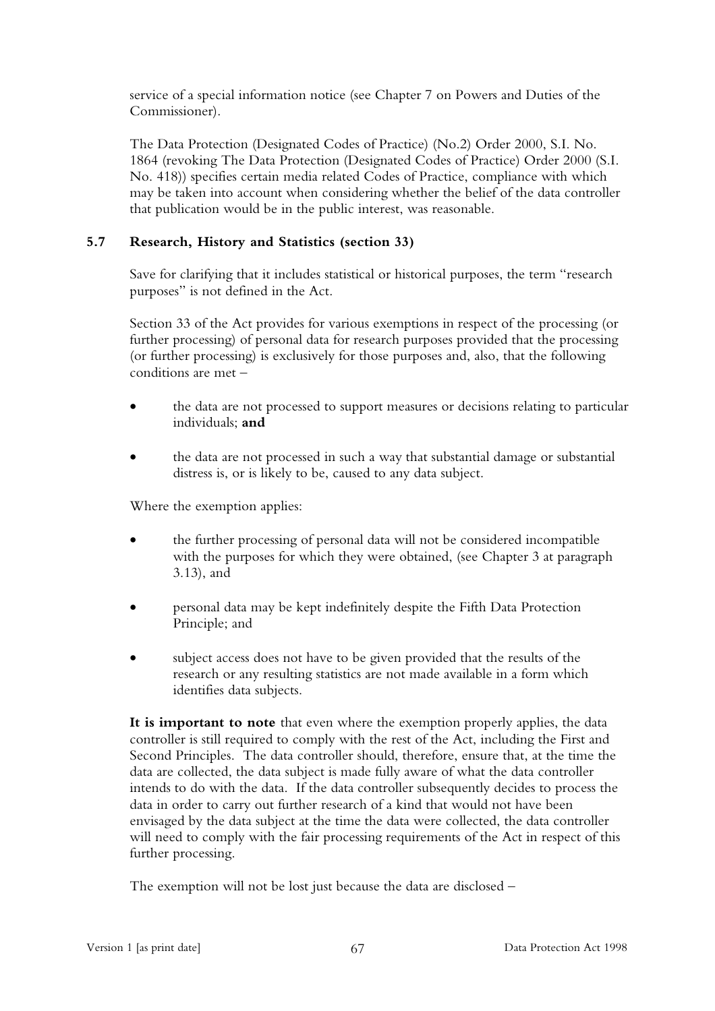service of a special information notice (see Chapter 7 on Powers and Duties of the Commissioner).

The Data Protection (Designated Codes of Practice) (No.2) Order 2000, S.I. No. 1864 (revoking The Data Protection (Designated Codes of Practice) Order 2000 (S.I. No. 418)) specifies certain media related Codes of Practice, compliance with which may be taken into account when considering whether the belief of the data controller that publication would be in the public interest, was reasonable.

# **5.7 Research, History and Statistics (section 33)**

Save for clarifying that it includes statistical or historical purposes, the term "research purposes" is not defined in the Act.

Section 33 of the Act provides for various exemptions in respect of the processing (or further processing) of personal data for research purposes provided that the processing (or further processing) is exclusively for those purposes and, also, that the following conditions are met –

- $\bullet$ the data are not processed to support measures or decisions relating to particular individuals; **and**
- $\bullet$ the data are not processed in such a way that substantial damage or substantial distress is, or is likely to be, caused to any data subject.

Where the exemption applies:

- $\bullet$ the further processing of personal data will not be considered incompatible with the purposes for which they were obtained, (see Chapter 3 at paragraph 3.13), and
- $\bullet$ personal data may be kept indefinitely despite the Fifth Data Protection Principle; and
- $\bullet$ subject access does not have to be given provided that the results of the research or any resulting statistics are not made available in a form which identifies data subjects.

**It is important to note** that even where the exemption properly applies, the data controller is still required to comply with the rest of the Act, including the First and Second Principles. The data controller should, therefore, ensure that, at the time the data are collected, the data subject is made fully aware of what the data controller intends to do with the data. If the data controller subsequently decides to process the data in order to carry out further research of a kind that would not have been envisaged by the data subject at the time the data were collected, the data controller will need to comply with the fair processing requirements of the Act in respect of this further processing.

The exemption will not be lost just because the data are disclosed –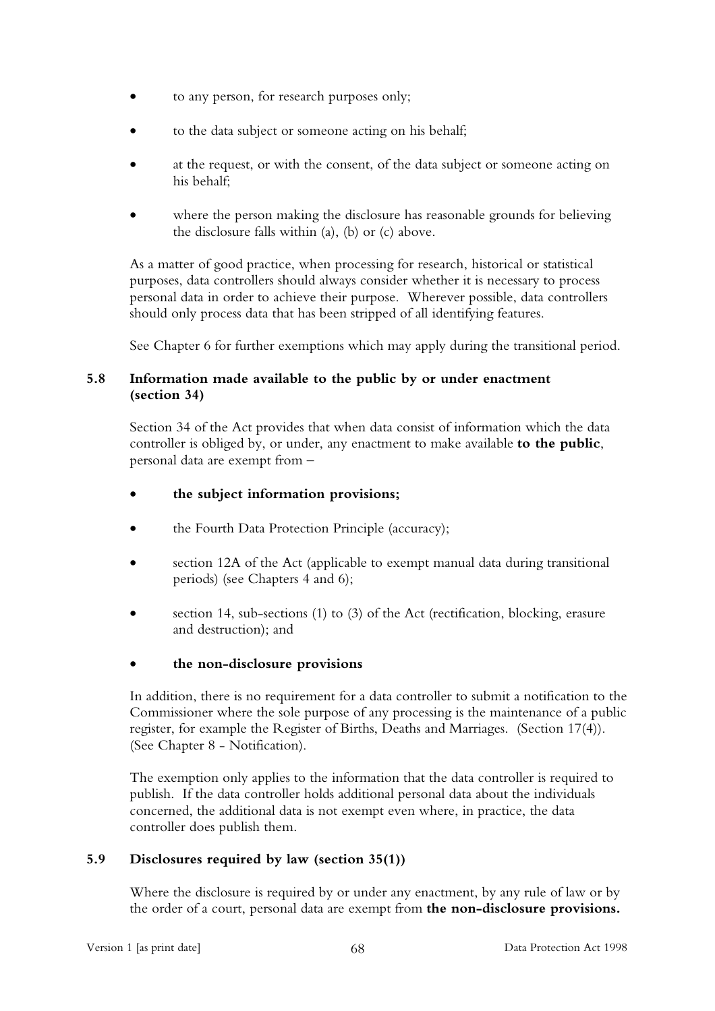- $\bullet$ to any person, for research purposes only;
- $\bullet$ to the data subject or someone acting on his behalf;
- $\bullet$ at the request, or with the consent, of the data subject or someone acting on his behalf;
- $\bullet$ where the person making the disclosure has reasonable grounds for believing the disclosure falls within (a), (b) or (c) above.

As a matter of good practice, when processing for research, historical or statistical purposes, data controllers should always consider whether it is necessary to process personal data in order to achieve their purpose. Wherever possible, data controllers should only process data that has been stripped of all identifying features.

See Chapter 6 for further exemptions which may apply during the transitional period.

## **5.8 Information made available to the public by or under enactment (section 34)**

Section 34 of the Act provides that when data consist of information which the data controller is obliged by, or under, any enactment to make available **to the public**, personal data are exempt from –

- $\bullet$ **the subject information provisions;**
- $\bullet$ the Fourth Data Protection Principle (accuracy);
- $\bullet$ section 12A of the Act (applicable to exempt manual data during transitional periods) (see Chapters 4 and 6);
- $\bullet$ section 14, sub-sections (1) to (3) of the Act (rectification, blocking, erasure and destruction); and
- $\bullet$ **the non-disclosure provisions**

In addition, there is no requirement for a data controller to submit a notification to the Commissioner where the sole purpose of any processing is the maintenance of a public register, for example the Register of Births, Deaths and Marriages. (Section 17(4)). (See Chapter 8 - Notification).

The exemption only applies to the information that the data controller is required to publish. If the data controller holds additional personal data about the individuals concerned, the additional data is not exempt even where, in practice, the data controller does publish them.

#### **5.9 Disclosures required by law (section 35(1))**

Where the disclosure is required by or under any enactment, by any rule of law or by the order of a court, personal data are exempt from **the non-disclosure provisions.**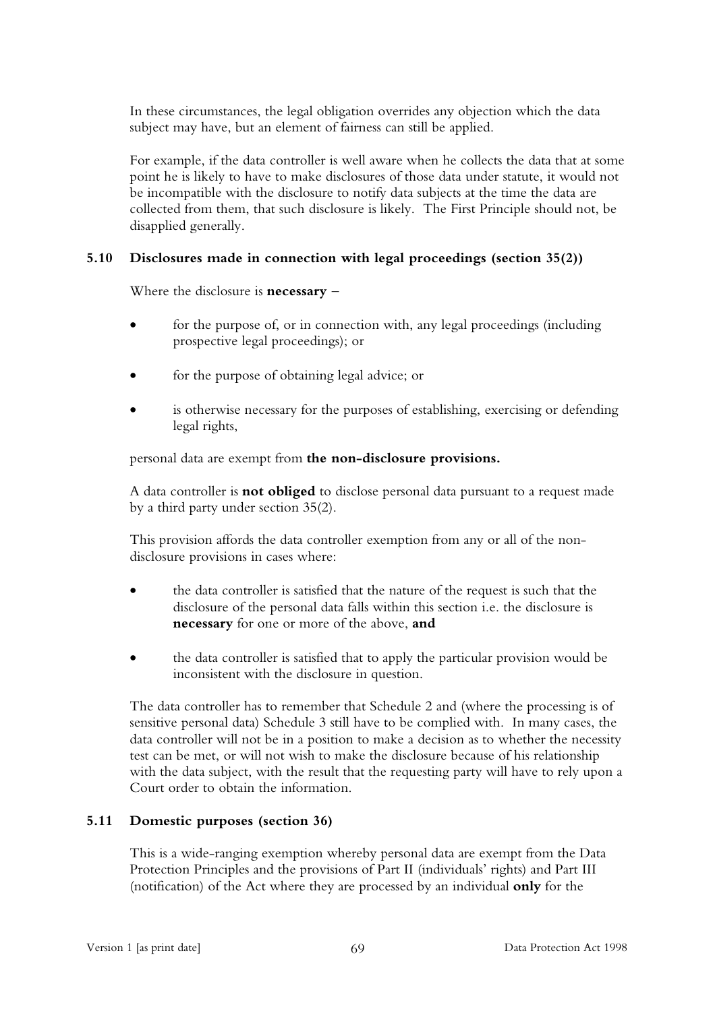In these circumstances, the legal obligation overrides any objection which the data subject may have, but an element of fairness can still be applied.

For example, if the data controller is well aware when he collects the data that at some point he is likely to have to make disclosures of those data under statute, it would not be incompatible with the disclosure to notify data subjects at the time the data are collected from them, that such disclosure is likely. The First Principle should not, be disapplied generally.

#### **5.10 Disclosures made in connection with legal proceedings (section 35(2))**

Where the disclosure is **necessary** –

- $\bullet$ for the purpose of, or in connection with, any legal proceedings (including prospective legal proceedings); or
- $\bullet$ for the purpose of obtaining legal advice; or
- $\bullet$ is otherwise necessary for the purposes of establishing, exercising or defending legal rights,

personal data are exempt from **the non-disclosure provisions.** 

A data controller is **not obliged** to disclose personal data pursuant to a request made by a third party under section 35(2).

This provision affords the data controller exemption from any or all of the nondisclosure provisions in cases where:

- $\bullet$ the data controller is satisfied that the nature of the request is such that the disclosure of the personal data falls within this section i.e. the disclosure is **necessary** for one or more of the above, **and**
- $\bullet$ the data controller is satisfied that to apply the particular provision would be inconsistent with the disclosure in question.

The data controller has to remember that Schedule 2 and (where the processing is of sensitive personal data) Schedule 3 still have to be complied with. In many cases, the data controller will not be in a position to make a decision as to whether the necessity test can be met, or will not wish to make the disclosure because of his relationship with the data subject, with the result that the requesting party will have to rely upon a Court order to obtain the information.

#### **5.11 Domestic purposes (section 36)**

This is a wide-ranging exemption whereby personal data are exempt from the Data Protection Principles and the provisions of Part II (individuals' rights) and Part III (notification) of the Act where they are processed by an individual **only** for the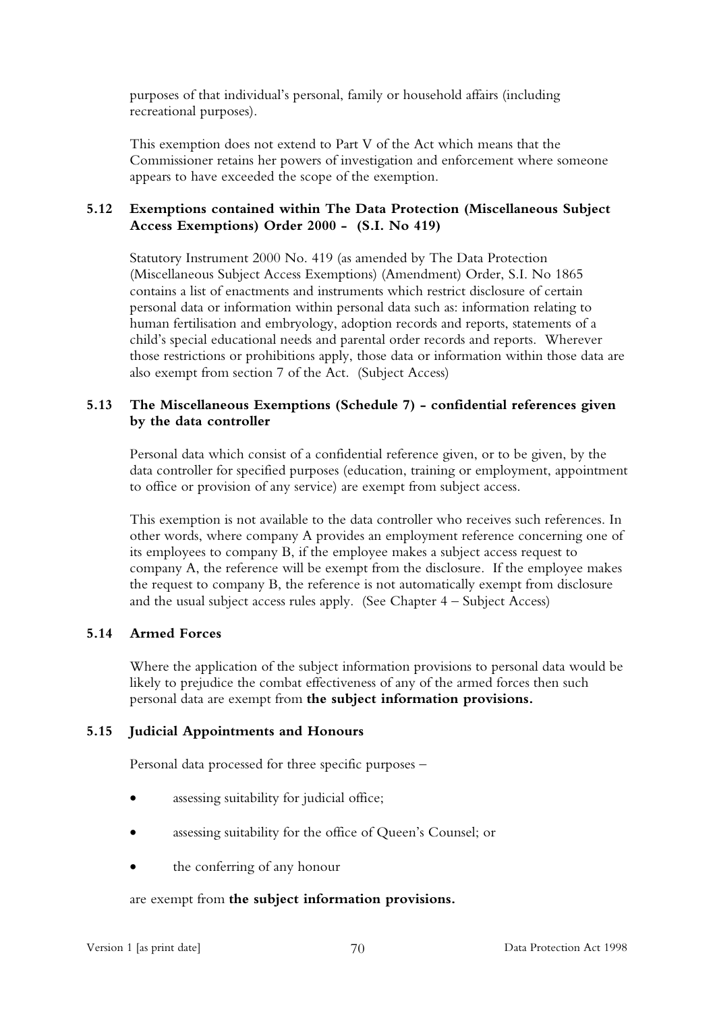purposes of that individual's personal, family or household affairs (including recreational purposes).

This exemption does not extend to Part V of the Act which means that the Commissioner retains her powers of investigation and enforcement where someone appears to have exceeded the scope of the exemption.

## **5.12 Exemptions contained within The Data Protection (Miscellaneous Subject Access Exemptions) Order 2000 - (S.I. No 419)**

Statutory Instrument 2000 No. 419 (as amended by The Data Protection (Miscellaneous Subject Access Exemptions) (Amendment) Order, S.I. No 1865 contains a list of enactments and instruments which restrict disclosure of certain personal data or information within personal data such as: information relating to human fertilisation and embryology, adoption records and reports, statements of a child's special educational needs and parental order records and reports. Wherever those restrictions or prohibitions apply, those data or information within those data are also exempt from section 7 of the Act. (Subject Access)

#### **5.13 The Miscellaneous Exemptions (Schedule 7) - confidential references given by the data controller**

Personal data which consist of a confidential reference given, or to be given, by the data controller for specified purposes (education, training or employment, appointment to office or provision of any service) are exempt from subject access.

This exemption is not available to the data controller who receives such references. In other words, where company A provides an employment reference concerning one of its employees to company B, if the employee makes a subject access request to company A, the reference will be exempt from the disclosure. If the employee makes the request to company B, the reference is not automatically exempt from disclosure and the usual subject access rules apply. (See Chapter  $4 -$  Subject Access)

#### **5.14 Armed Forces**

Where the application of the subject information provisions to personal data would be likely to prejudice the combat effectiveness of any of the armed forces then such personal data are exempt from **the subject information provisions.**

#### **5.15 Judicial Appointments and Honours**

Personal data processed for three specific purposes –

- $\bullet$ assessing suitability for judicial office;
- $\bullet$ assessing suitability for the office of Queen's Counsel; or
- $\bullet$ the conferring of any honour

#### are exempt from **the subject information provisions.**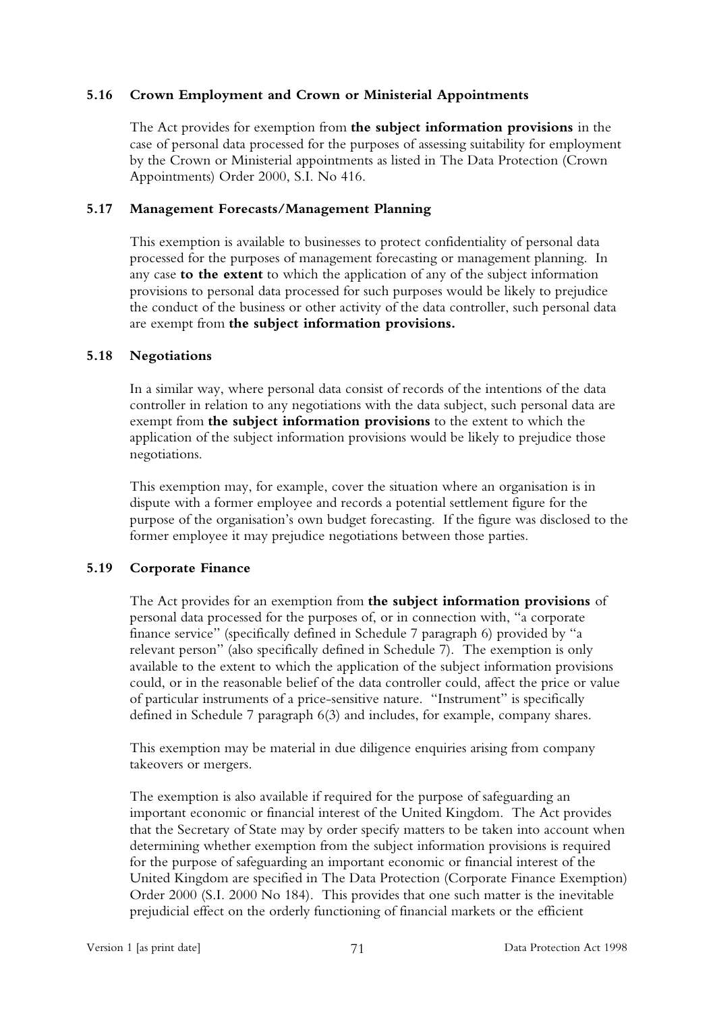#### **5.16 Crown Employment and Crown or Ministerial Appointments**

The Act provides for exemption from **the subject information provisions** in the case of personal data processed for the purposes of assessing suitability for employment by the Crown or Ministerial appointments as listed in The Data Protection (Crown Appointments) Order 2000, S.I. No 416.

#### **5.17 Management Forecasts/Management Planning**

This exemption is available to businesses to protect confidentiality of personal data processed for the purposes of management forecasting or management planning. In any case **to the extent** to which the application of any of the subject information provisions to personal data processed for such purposes would be likely to prejudice the conduct of the business or other activity of the data controller, such personal data are exempt from **the subject information provisions.**

#### **5.18 Negotiations**

In a similar way, where personal data consist of records of the intentions of the data controller in relation to any negotiations with the data subject, such personal data are exempt from **the subject information provisions** to the extent to which the application of the subject information provisions would be likely to prejudice those negotiations.

This exemption may, for example, cover the situation where an organisation is in dispute with a former employee and records a potential settlement figure for the purpose of the organisation's own budget forecasting. If the figure was disclosed to the former employee it may prejudice negotiations between those parties.

# **5.19 Corporate Finance**

The Act provides for an exemption from **the subject information provisions** of personal data processed for the purposes of, or in connection with, "a corporate finance service" (specifically defined in Schedule 7 paragraph 6) provided by "a relevant person" (also specifically defined in Schedule 7). The exemption is only available to the extent to which the application of the subject information provisions could, or in the reasonable belief of the data controller could, affect the price or value of particular instruments of a price-sensitive nature. "Instrument" is specifically defined in Schedule 7 paragraph 6(3) and includes, for example, company shares.

This exemption may be material in due diligence enquiries arising from company takeovers or mergers.

The exemption is also available if required for the purpose of safeguarding an important economic or financial interest of the United Kingdom. The Act provides that the Secretary of State may by order specify matters to be taken into account when determining whether exemption from the subject information provisions is required for the purpose of safeguarding an important economic or financial interest of the United Kingdom are specified in The Data Protection (Corporate Finance Exemption) Order 2000 (S.I. 2000 No 184). This provides that one such matter is the inevitable prejudicial effect on the orderly functioning of financial markets or the efficient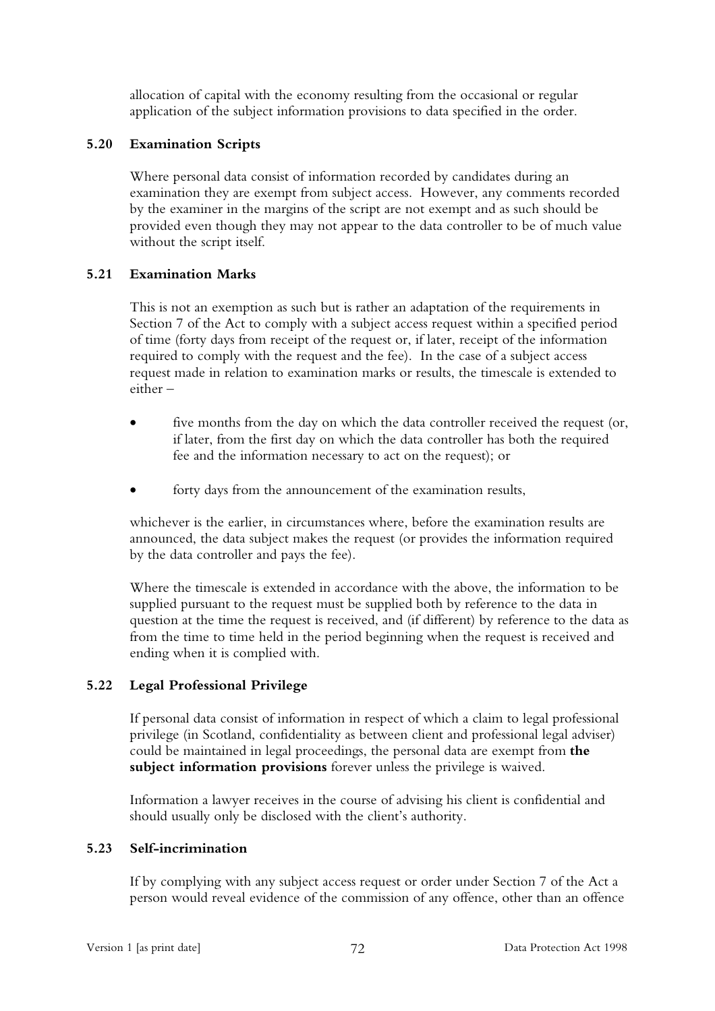allocation of capital with the economy resulting from the occasional or regular application of the subject information provisions to data specified in the order.

#### **5.20 Examination Scripts**

Where personal data consist of information recorded by candidates during an examination they are exempt from subject access. However, any comments recorded by the examiner in the margins of the script are not exempt and as such should be provided even though they may not appear to the data controller to be of much value without the script itself.

## **5.21 Examination Marks**

This is not an exemption as such but is rather an adaptation of the requirements in Section 7 of the Act to comply with a subject access request within a specified period of time (forty days from receipt of the request or, if later, receipt of the information required to comply with the request and the fee). In the case of a subject access request made in relation to examination marks or results, the timescale is extended to either –

- $\bullet$ five months from the day on which the data controller received the request (or, if later, from the first day on which the data controller has both the required fee and the information necessary to act on the request); or
- $\bullet$ forty days from the announcement of the examination results,

whichever is the earlier, in circumstances where, before the examination results are announced, the data subject makes the request (or provides the information required by the data controller and pays the fee).

Where the timescale is extended in accordance with the above, the information to be supplied pursuant to the request must be supplied both by reference to the data in question at the time the request is received, and (if different) by reference to the data as from the time to time held in the period beginning when the request is received and ending when it is complied with.

# **5.22 Legal Professional Privilege**

If personal data consist of information in respect of which a claim to legal professional privilege (in Scotland, confidentiality as between client and professional legal adviser) could be maintained in legal proceedings, the personal data are exempt from **the subject information provisions** forever unless the privilege is waived.

Information a lawyer receives in the course of advising his client is confidential and should usually only be disclosed with the client's authority.

#### **5.23 Self-incrimination**

If by complying with any subject access request or order under Section 7 of the Act a person would reveal evidence of the commission of any offence, other than an offence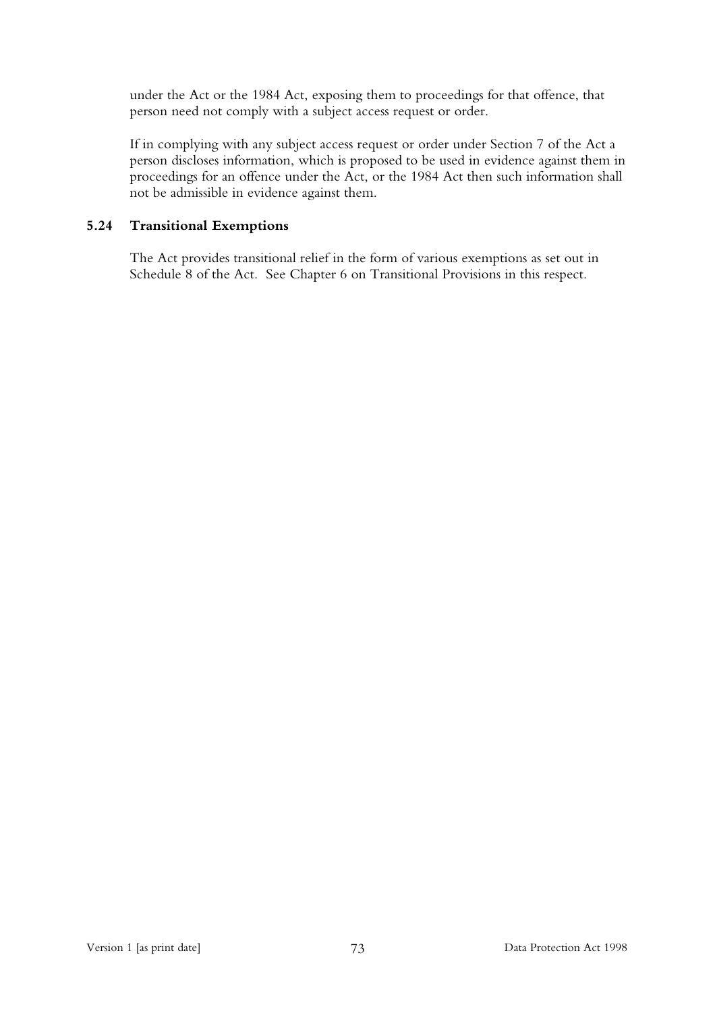under the Act or the 1984 Act, exposing them to proceedings for that offence, that person need not comply with a subject access request or order.

If in complying with any subject access request or order under Section 7 of the Act a person discloses information, which is proposed to be used in evidence against them in proceedings for an offence under the Act, or the 1984 Act then such information shall not be admissible in evidence against them.

#### **5.24 Transitional Exemptions**

The Act provides transitional relief in the form of various exemptions as set out in Schedule 8 of the Act. See Chapter 6 on Transitional Provisions in this respect.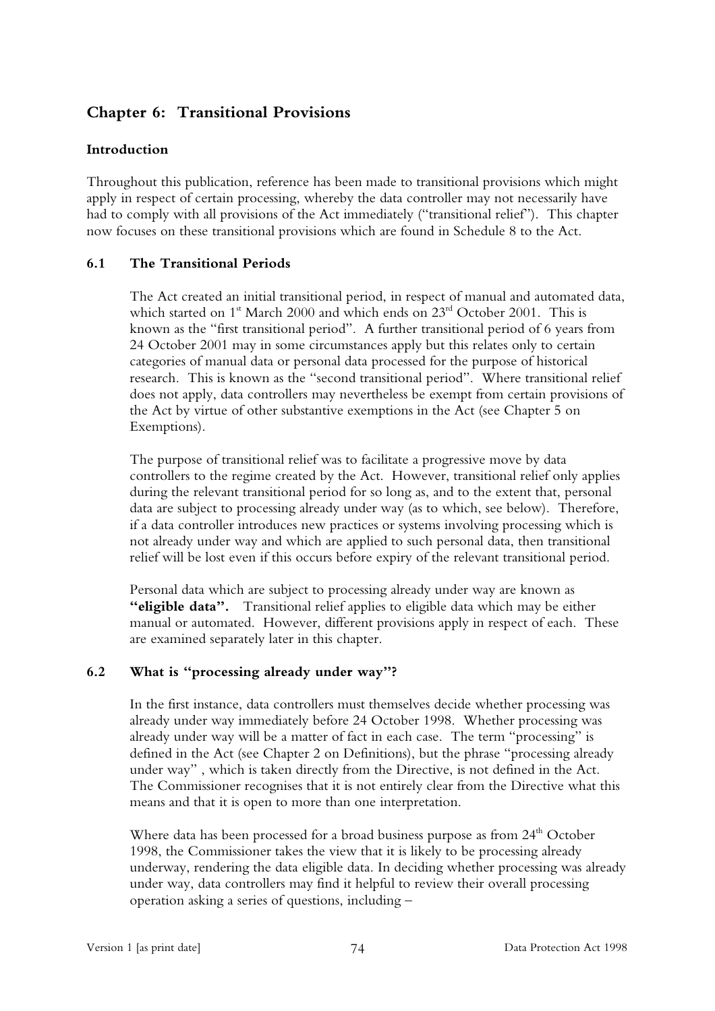# **Chapter 6: Transitional Provisions**

# **Introduction**

Throughout this publication, reference has been made to transitional provisions which might apply in respect of certain processing, whereby the data controller may not necessarily have had to comply with all provisions of the Act immediately ("transitional relief"). This chapter now focuses on these transitional provisions which are found in Schedule 8 to the Act.

### **6.1 The Transitional Periods**

The Act created an initial transitional period, in respect of manual and automated data, which started on  $1^{\text{st}}$  March 2000 and which ends on  $23^{\text{rd}}$  October 2001. This is known as the "first transitional period". A further transitional period of 6 years from 24 October 2001 may in some circumstances apply but this relates only to certain categories of manual data or personal data processed for the purpose of historical research. This is known as the "second transitional period". Where transitional relief does not apply, data controllers may nevertheless be exempt from certain provisions of the Act by virtue of other substantive exemptions in the Act (see Chapter 5 on Exemptions).

The purpose of transitional relief was to facilitate a progressive move by data controllers to the regime created by the Act. However, transitional relief only applies during the relevant transitional period for so long as, and to the extent that, personal data are subject to processing already under way (as to which, see below). Therefore, if a data controller introduces new practices or systems involving processing which is not already under way and which are applied to such personal data, then transitional relief will be lost even if this occurs before expiry of the relevant transitional period.

Personal data which are subject to processing already under way are known as **"eligible data".** Transitional relief applies to eligible data which may be either manual or automated. However, different provisions apply in respect of each. These are examined separately later in this chapter.

# **6.2 What is "processing already under way"?**

In the first instance, data controllers must themselves decide whether processing was already under way immediately before 24 October 1998. Whether processing was already under way will be a matter of fact in each case. The term "processing" is defined in the Act (see Chapter 2 on Definitions), but the phrase "processing already under way" , which is taken directly from the Directive, is not defined in the Act. The Commissioner recognises that it is not entirely clear from the Directive what this means and that it is open to more than one interpretation.

Where data has been processed for a broad business purpose as from  $24<sup>th</sup>$  October 1998, the Commissioner takes the view that it is likely to be processing already underway, rendering the data eligible data. In deciding whether processing was already under way, data controllers may find it helpful to review their overall processing operation asking a series of questions, including –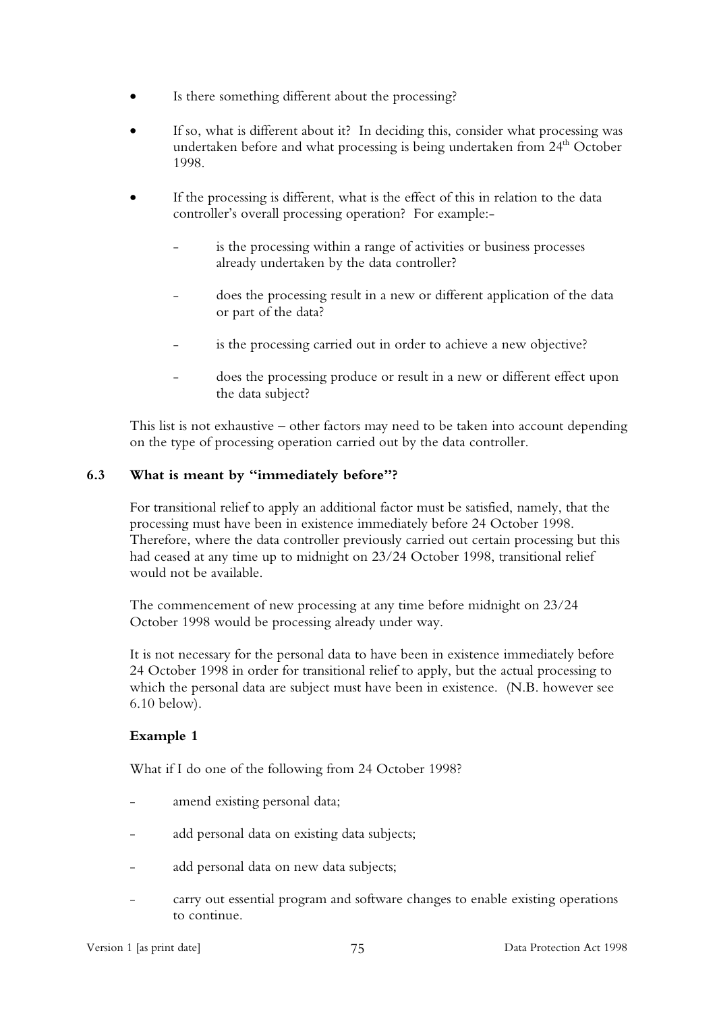- $\bullet$ Is there something different about the processing?
- $\bullet$ If so, what is different about it? In deciding this, consider what processing was undertaken before and what processing is being undertaken from 24<sup>th</sup> October 1998.
- $\bullet$ If the processing is different, what is the effect of this in relation to the data controller's overall processing operation? For example:
	- is the processing within a range of activities or business processes already undertaken by the data controller?
	- does the processing result in a new or different application of the data or part of the data?
	- is the processing carried out in order to achieve a new objective?
	- does the processing produce or result in a new or different effect upon the data subject?

This list is not exhaustive – other factors may need to be taken into account depending on the type of processing operation carried out by the data controller.

#### **6.3 What is meant by "immediately before"?**

For transitional relief to apply an additional factor must be satisfied, namely, that the processing must have been in existence immediately before 24 October 1998. Therefore, where the data controller previously carried out certain processing but this had ceased at any time up to midnight on 23/24 October 1998, transitional relief would not be available.

The commencement of new processing at any time before midnight on 23/24 October 1998 would be processing already under way.

It is not necessary for the personal data to have been in existence immediately before 24 October 1998 in order for transitional relief to apply, but the actual processing to which the personal data are subject must have been in existence. (N.B. however see 6.10 below).

#### **Example 1**

What if I do one of the following from 24 October 1998?

- amend existing personal data;
- add personal data on existing data subjects;
- add personal data on new data subjects;
- carry out essential program and software changes to enable existing operations to continue.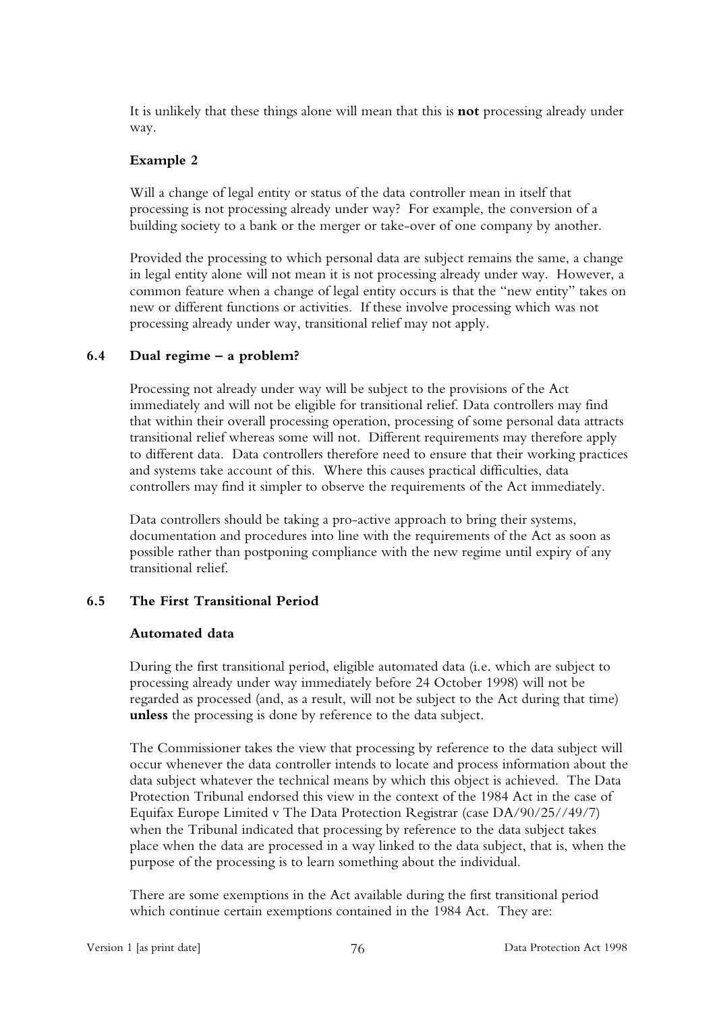It is unlikely that these things alone will mean that this is **not** processing already under way.

#### **Example 2**

Will a change of legal entity or status of the data controller mean in itself that processing is not processing already under way? For example, the conversion of a building society to a bank or the merger or take-over of one company by another.

Provided the processing to which personal data are subject remains the same, a change in legal entity alone will not mean it is not processing already under way. However, a common feature when a change of legal entity occurs is that the "new entity" takes on new or different functions or activities. If these involve processing which was not processing already under way, transitional relief may not apply.

#### **6.4 Dual regime – a problem?**

Processing not already under way will be subject to the provisions of the Act immediately and will not be eligible for transitional relief. Data controllers may find that within their overall processing operation, processing of some personal data attracts transitional relief whereas some will not. Different requirements may therefore apply to different data. Data controllers therefore need to ensure that their working practices and systems take account of this. Where this causes practical difficulties, data controllers may find it simpler to observe the requirements of the Act immediately.

Data controllers should be taking a pro-active approach to bring their systems, documentation and procedures into line with the requirements of the Act as soon as possible rather than postponing compliance with the new regime until expiry of any transitional relief.

#### **6.5 The First Transitional Period**

#### **Automated data**

During the first transitional period, eligible automated data (i.e. which are subject to processing already under way immediately before 24 October 1998) will not be regarded as processed (and, as a result, will not be subject to the Act during that time) **unless** the processing is done by reference to the data subject.

The Commissioner takes the view that processing by reference to the data subject will occur whenever the data controller intends to locate and process information about the data subject whatever the technical means by which this object is achieved. The Data Protection Tribunal endorsed this view in the context of the 1984 Act in the case of Equifax Europe Limited v The Data Protection Registrar (case DA/90/25//49/7) when the Tribunal indicated that processing by reference to the data subject takes place when the data are processed in a way linked to the data subject, that is, when the purpose of the processing is to learn something about the individual.

There are some exemptions in the Act available during the first transitional period which continue certain exemptions contained in the 1984 Act. They are: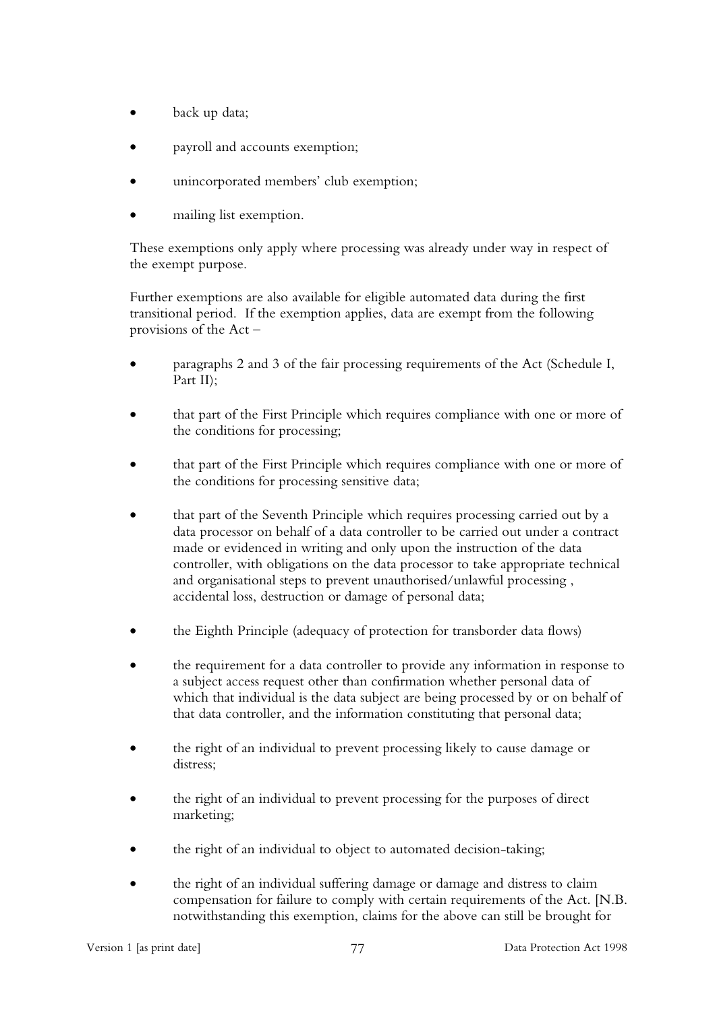- $\bullet$ back up data;
- $\bullet$ payroll and accounts exemption;
- $\bullet$ unincorporated members' club exemption;
- $\bullet$ mailing list exemption.

These exemptions only apply where processing was already under way in respect of the exempt purpose.

Further exemptions are also available for eligible automated data during the first transitional period. If the exemption applies, data are exempt from the following provisions of the Act –

- $\bullet$ paragraphs 2 and 3 of the fair processing requirements of the Act (Schedule I, Part II);
- $\bullet$ that part of the First Principle which requires compliance with one or more of the conditions for processing;
- $\bullet$ that part of the First Principle which requires compliance with one or more of the conditions for processing sensitive data;
- $\bullet$ that part of the Seventh Principle which requires processing carried out by a data processor on behalf of a data controller to be carried out under a contract made or evidenced in writing and only upon the instruction of the data controller, with obligations on the data processor to take appropriate technical and organisational steps to prevent unauthorised/unlawful processing , accidental loss, destruction or damage of personal data;
- $\bullet$ the Eighth Principle (adequacy of protection for transborder data flows)
- $\bullet$ the requirement for a data controller to provide any information in response to a subject access request other than confirmation whether personal data of which that individual is the data subject are being processed by or on behalf of that data controller, and the information constituting that personal data;
- $\bullet$ the right of an individual to prevent processing likely to cause damage or distress;
- $\bullet$ the right of an individual to prevent processing for the purposes of direct marketing;
- $\bullet$ the right of an individual to object to automated decision-taking;
- $\bullet$ the right of an individual suffering damage or damage and distress to claim compensation for failure to comply with certain requirements of the Act. [N.B. notwithstanding this exemption, claims for the above can still be brought for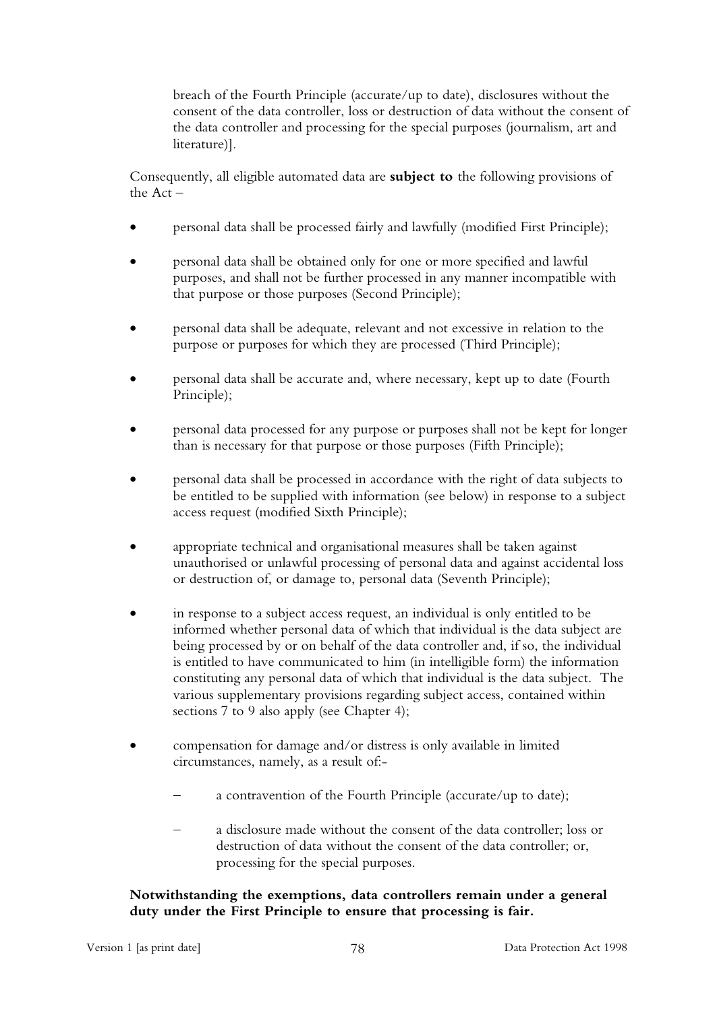breach of the Fourth Principle (accurate/up to date), disclosures without the consent of the data controller, loss or destruction of data without the consent of the data controller and processing for the special purposes (journalism, art and literature)].

Consequently, all eligible automated data are **subject to** the following provisions of the Act –

- $\bullet$ personal data shall be processed fairly and lawfully (modified First Principle);
- $\bullet$ personal data shall be obtained only for one or more specified and lawful purposes, and shall not be further processed in any manner incompatible with that purpose or those purposes (Second Principle);
- $\bullet$ personal data shall be adequate, relevant and not excessive in relation to the purpose or purposes for which they are processed (Third Principle);
- $\bullet$ personal data shall be accurate and, where necessary, kept up to date (Fourth Principle);
- $\bullet$ personal data processed for any purpose or purposes shall not be kept for longer than is necessary for that purpose or those purposes (Fifth Principle);
- $\bullet$ personal data shall be processed in accordance with the right of data subjects to be entitled to be supplied with information (see below) in response to a subject access request (modified Sixth Principle);
- $\bullet$ appropriate technical and organisational measures shall be taken against unauthorised or unlawful processing of personal data and against accidental loss or destruction of, or damage to, personal data (Seventh Principle);
- $\bullet$ in response to a subject access request, an individual is only entitled to be informed whether personal data of which that individual is the data subject are being processed by or on behalf of the data controller and, if so, the individual is entitled to have communicated to him (in intelligible form) the information constituting any personal data of which that individual is the data subject. The various supplementary provisions regarding subject access, contained within sections 7 to 9 also apply (see Chapter 4);
- $\bullet$ compensation for damage and/or distress is only available in limited circumstances, namely, as a result of:
	- a contravention of the Fourth Principle (accurate/up to date);
	- a disclosure made without the consent of the data controller; loss or destruction of data without the consent of the data controller; or, processing for the special purposes.

#### **Notwithstanding the exemptions, data controllers remain under a general duty under the First Principle to ensure that processing is fair.**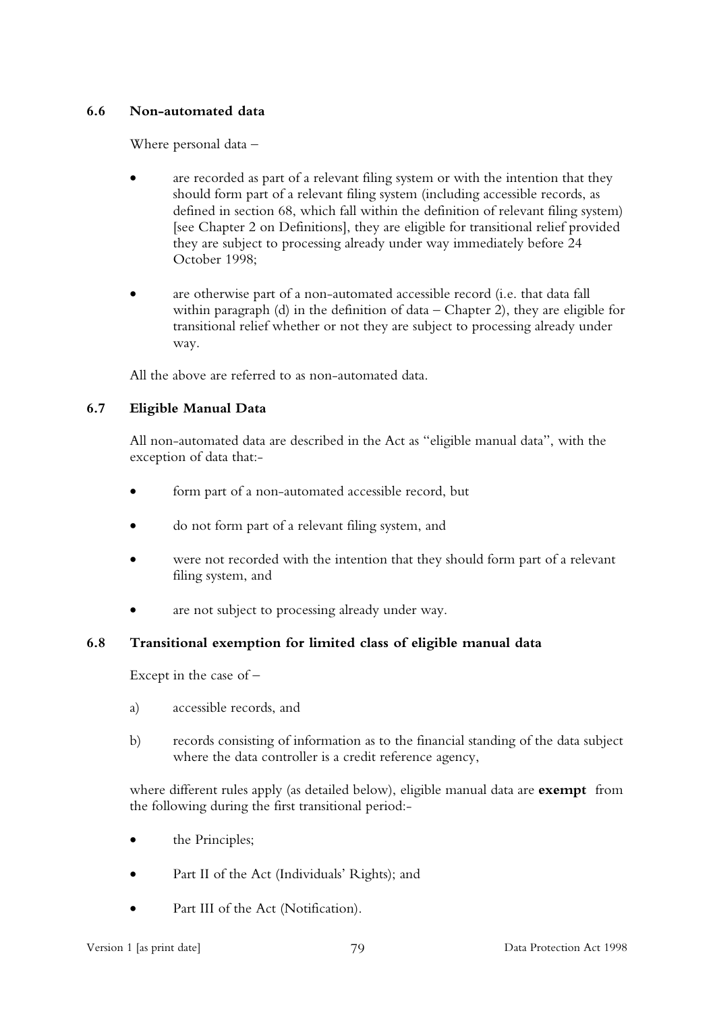#### **6.6 Non-automated data**

Where personal data –

- $\bullet$ are recorded as part of a relevant filing system or with the intention that they should form part of a relevant filing system (including accessible records, as defined in section 68, which fall within the definition of relevant filing system) [see Chapter 2 on Definitions], they are eligible for transitional relief provided they are subject to processing already under way immediately before 24 October 1998;
- $\bullet$ are otherwise part of a non-automated accessible record (i.e. that data fall within paragraph (d) in the definition of data – Chapter 2), they are eligible for transitional relief whether or not they are subject to processing already under way.

All the above are referred to as non-automated data.

### **6.7 Eligible Manual Data**

All non-automated data are described in the Act as "eligible manual data", with the exception of data that:-

- $\bullet$ form part of a non-automated accessible record, but
- $\bullet$ do not form part of a relevant filing system, and
- $\bullet$ were not recorded with the intention that they should form part of a relevant filing system, and
- $\bullet$ are not subject to processing already under way.

# **6.8 Transitional exemption for limited class of eligible manual data**

Except in the case of –

- a) accessible records, and
- b) records consisting of information as to the financial standing of the data subject where the data controller is a credit reference agency,

where different rules apply (as detailed below), eligible manual data are **exempt** from the following during the first transitional period:-

- $\bullet$ the Principles;
- $\bullet$ Part II of the Act (Individuals' Rights); and
- $\bullet$ Part III of the Act (Notification).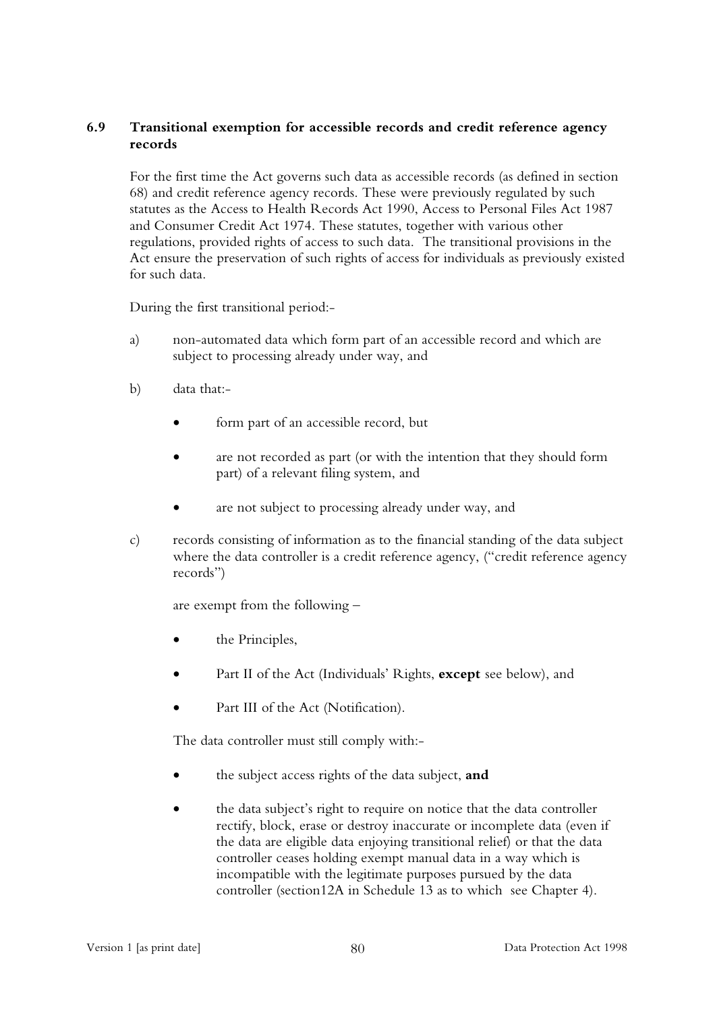### **6.9 Transitional exemption for accessible records and credit reference agency records**

For the first time the Act governs such data as accessible records (as defined in section 68) and credit reference agency records. These were previously regulated by such statutes as the Access to Health Records Act 1990, Access to Personal Files Act 1987 and Consumer Credit Act 1974. These statutes, together with various other regulations, provided rights of access to such data. The transitional provisions in the Act ensure the preservation of such rights of access for individuals as previously existed for such data.

During the first transitional period:-

- a) non-automated data which form part of an accessible record and which are subject to processing already under way, and
- b) data that:-
	- $\bullet$ form part of an accessible record, but
	- $\bullet$ are not recorded as part (or with the intention that they should form part) of a relevant filing system, and
	- $\bullet$ are not subject to processing already under way, and
- c) records consisting of information as to the financial standing of the data subject where the data controller is a credit reference agency, ("credit reference agency records")

are exempt from the following –

- $\bullet$ the Principles,
- $\bullet$ Part II of the Act (Individuals' Rights, **except** see below), and
- $\bullet$ Part III of the Act (Notification).

The data controller must still comply with:-

- $\bullet$ the subject access rights of the data subject, **and**
- $\bullet$ the data subject's right to require on notice that the data controller rectify, block, erase or destroy inaccurate or incomplete data (even if the data are eligible data enjoying transitional relief) or that the data controller ceases holding exempt manual data in a way which is incompatible with the legitimate purposes pursued by the data controller (section12A in Schedule 13 as to which see Chapter 4).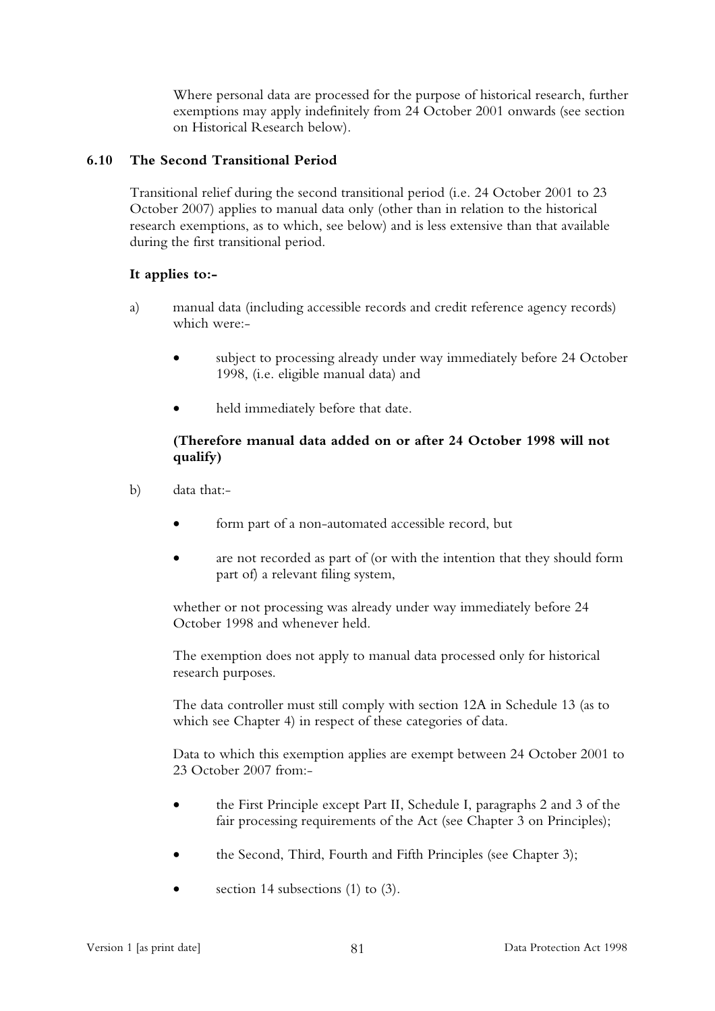Where personal data are processed for the purpose of historical research, further exemptions may apply indefinitely from 24 October 2001 onwards (see section on Historical Research below).

#### **6.10 The Second Transitional Period**

Transitional relief during the second transitional period (i.e. 24 October 2001 to 23 October 2007) applies to manual data only (other than in relation to the historical research exemptions, as to which, see below) and is less extensive than that available during the first transitional period.

### **It applies to:-**

- a) manual data (including accessible records and credit reference agency records) which were:-
	- $\bullet$ subject to processing already under way immediately before 24 October 1998, (i.e. eligible manual data) and
	- $\bullet$ held immediately before that date.

# **(Therefore manual data added on or after 24 October 1998 will not qualify)**

- b) data that:-
	- $\bullet$ form part of a non-automated accessible record, but
	- $\bullet$ are not recorded as part of (or with the intention that they should form part of) a relevant filing system,

whether or not processing was already under way immediately before 24 October 1998 and whenever held.

The exemption does not apply to manual data processed only for historical research purposes.

The data controller must still comply with section 12A in Schedule 13 (as to which see Chapter 4) in respect of these categories of data.

Data to which this exemption applies are exempt between 24 October 2001 to 23 October 2007 from:-

- $\bullet$ the First Principle except Part II, Schedule I, paragraphs 2 and 3 of the fair processing requirements of the Act (see Chapter 3 on Principles);
- $\bullet$ the Second, Third, Fourth and Fifth Principles (see Chapter 3);
- $\bullet$ section 14 subsections (1) to (3).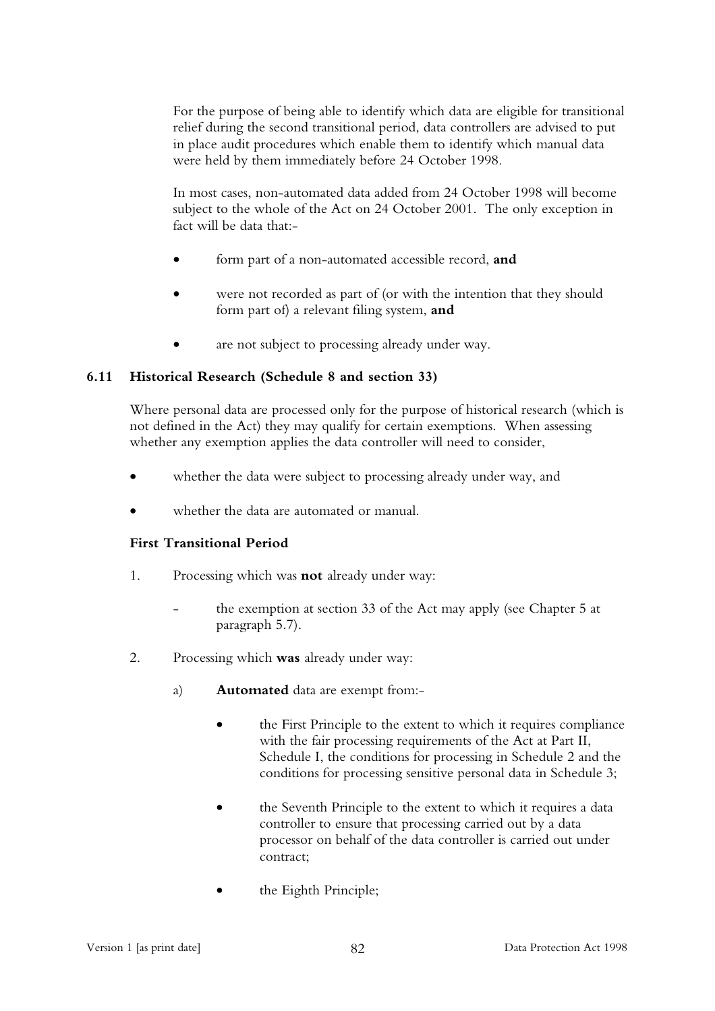For the purpose of being able to identify which data are eligible for transitional relief during the second transitional period, data controllers are advised to put in place audit procedures which enable them to identify which manual data were held by them immediately before 24 October 1998.

In most cases, non-automated data added from 24 October 1998 will become subject to the whole of the Act on 24 October 2001. The only exception in fact will be data that:-

- $\bullet$ form part of a non-automated accessible record, **and**
- $\bullet$ were not recorded as part of (or with the intention that they should form part of) a relevant filing system, **and**
- $\bullet$ are not subject to processing already under way.

### **6.11 Historical Research (Schedule 8 and section 33)**

Where personal data are processed only for the purpose of historical research (which is not defined in the Act) they may qualify for certain exemptions. When assessing whether any exemption applies the data controller will need to consider,

- $\bullet$ whether the data were subject to processing already under way, and
- $\bullet$ whether the data are automated or manual.

# **First Transitional Period**

- 1. Processing which was **not** already under way:
	- the exemption at section 33 of the Act may apply (see Chapter 5 at paragraph 5.7).
- 2. Processing which **was** already under way:
	- a) **Automated** data are exempt from:-
		- $\bullet$ the First Principle to the extent to which it requires compliance with the fair processing requirements of the Act at Part II, Schedule I, the conditions for processing in Schedule 2 and the conditions for processing sensitive personal data in Schedule 3;
		- $\bullet$ the Seventh Principle to the extent to which it requires a data controller to ensure that processing carried out by a data processor on behalf of the data controller is carried out under contract;
		- $\bullet$ the Eighth Principle;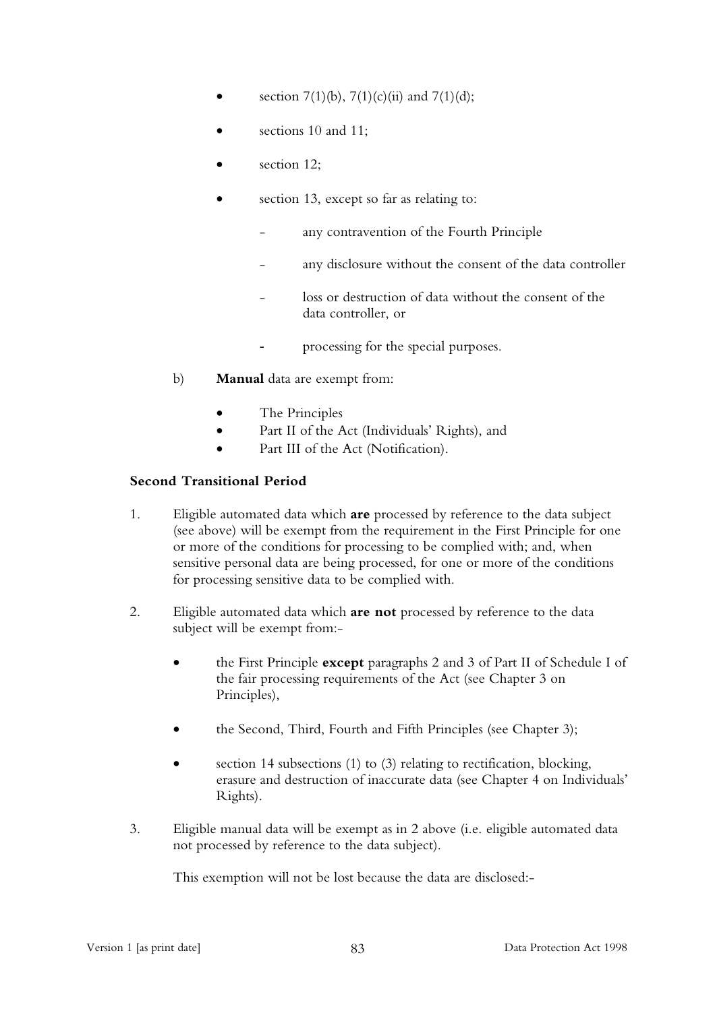- $\bullet$ section 7(1)(b), 7(1)(c)(ii) and 7(1)(d);
- $\bullet$ sections 10 and 11;
- $\bullet$ section 12;
- $\bullet$ section 13, except so far as relating to:
	- any contravention of the Fourth Principle
	- any disclosure without the consent of the data controller
	- loss or destruction of data without the consent of the data controller, or
	- processing for the special purposes.
- b) **Manual** data are exempt from:
	- $\bullet$ The Principles
	- $\bullet$ Part II of the Act (Individuals' Rights), and
	- $\bullet$ Part III of the Act (Notification).

#### **Second Transitional Period**

- 1. Eligible automated data which **are** processed by reference to the data subject (see above) will be exempt from the requirement in the First Principle for one or more of the conditions for processing to be complied with; and, when sensitive personal data are being processed, for one or more of the conditions for processing sensitive data to be complied with.
- 2. Eligible automated data which **are not** processed by reference to the data subject will be exempt from:-
	- $\bullet$ the First Principle **except** paragraphs 2 and 3 of Part II of Schedule I of the fair processing requirements of the Act (see Chapter 3 on Principles),
	- $\bullet$ the Second, Third, Fourth and Fifth Principles (see Chapter 3);
	- $\bullet$ section 14 subsections (1) to (3) relating to rectification, blocking, erasure and destruction of inaccurate data (see Chapter 4 on Individuals' Rights).
- 3. Eligible manual data will be exempt as in 2 above (i.e. eligible automated data not processed by reference to the data subject).

This exemption will not be lost because the data are disclosed:-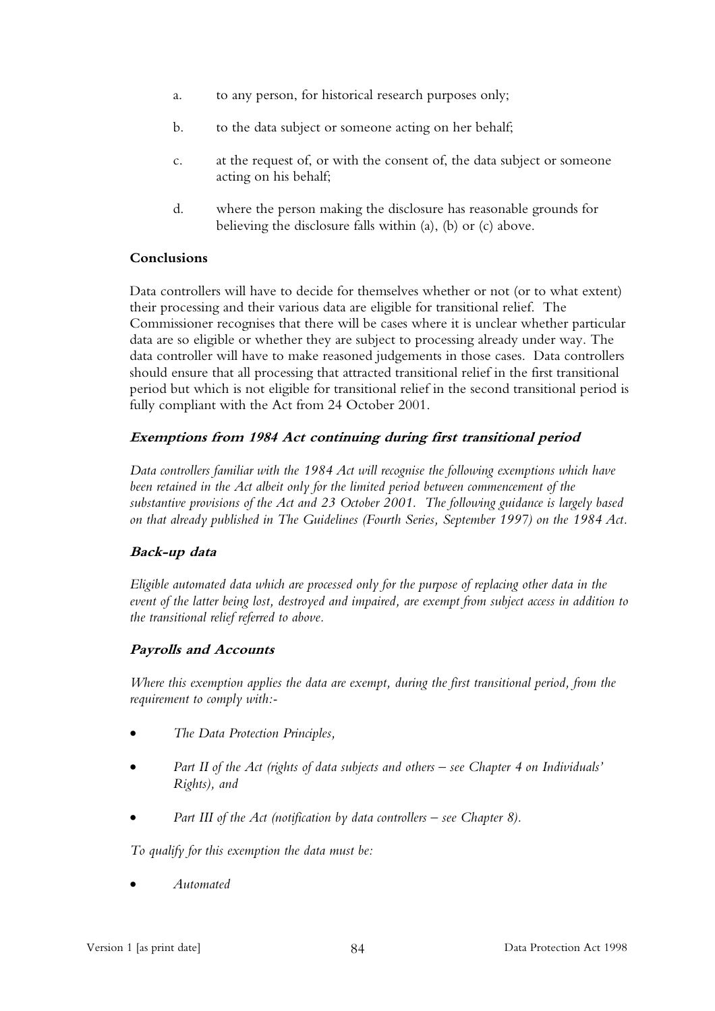- a. to any person, for historical research purposes only;
- b. to the data subject or someone acting on her behalf;
- c. at the request of, or with the consent of, the data subject or someone acting on his behalf;
- d. where the person making the disclosure has reasonable grounds for believing the disclosure falls within (a), (b) or (c) above.

#### **Conclusions**

Data controllers will have to decide for themselves whether or not (or to what extent) their processing and their various data are eligible for transitional relief. The Commissioner recognises that there will be cases where it is unclear whether particular data are so eligible or whether they are subject to processing already under way. The data controller will have to make reasoned judgements in those cases. Data controllers should ensure that all processing that attracted transitional relief in the first transitional period but which is not eligible for transitional relief in the second transitional period is fully compliant with the Act from 24 October 2001.

#### **Exemptions from 1984 Act continuing during first transitional period**

*Data controllers familiar with the 1984 Act will recognise the following exemptions which have been retained in the Act albeit only for the limited period between commencement of the substantive provisions of the Act and 23 October 2001. The following guidance is largely based on that already published in The Guidelines (Fourth Series, September 1997) on the 1984 Act.* 

#### **Back-up data**

*Eligible automated data which are processed only for the purpose of replacing other data in the event of the latter being lost, destroyed and impaired, are exempt from subject access in addition to the transitional relief referred to above.* 

#### **Payrolls and Accounts**

*Where this exemption applies the data are exempt, during the first transitional period, from the requirement to comply with:-* 

- $\bullet$ *The Data Protection Principles,*
- $\bullet$ *Part II of the Act (rights of data subjects and others – see Chapter 4 on Individuals' Rights), and*
- $\bullet$ *Part III of the Act (notification by data controllers – see Chapter 8).*

*To qualify for this exemption the data must be:* 

 $\bullet$ *Automated*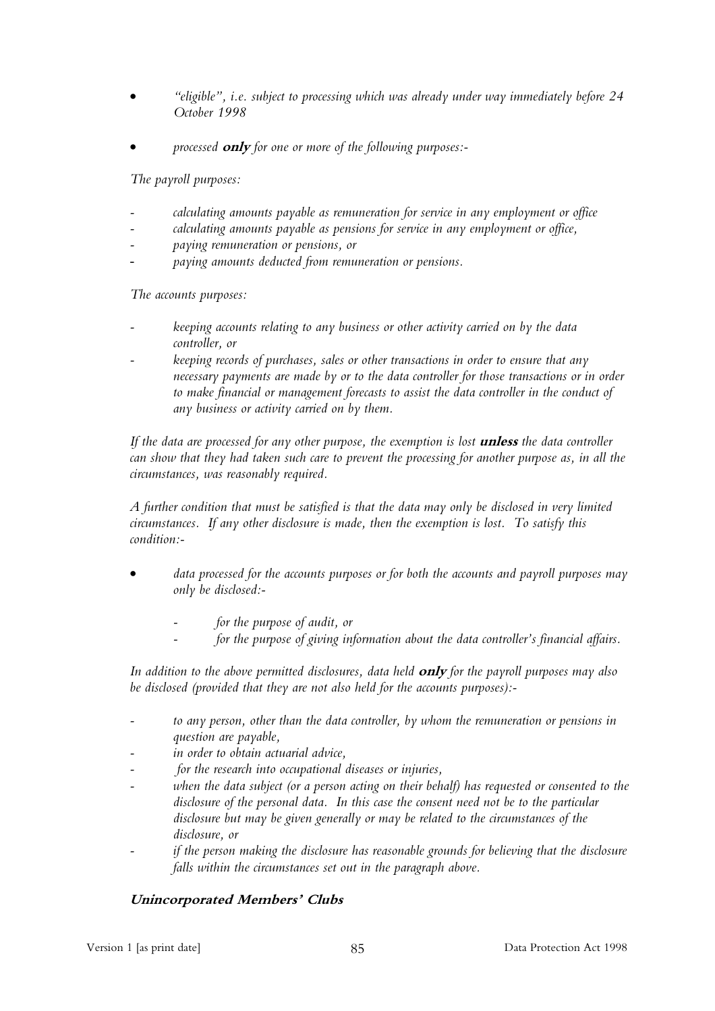- $\bullet$ *"eligible", i.e. subject to processing which was already under way immediately before 24 October 1998*
- $\bullet$ *processed* **only** *for one or more of the following purposes:-*

*The payroll purposes:* 

- *calculating amounts payable as remuneration for service in any employment or office*
- *calculating amounts payable as pensions for service in any employment or office,*
- *paying remuneration or pensions, or*
- *paying amounts deducted from remuneration or pensions.*

*The accounts purposes:* 

- *keeping accounts relating to any business or other activity carried on by the data controller, or*
- *keeping records of purchases, sales or other transactions in order to ensure that any necessary payments are made by or to the data controller for those transactions or in order to make financial or management forecasts to assist the data controller in the conduct of any business or activity carried on by them.*

If the data are processed for any other purpose, the exemption is lost **unless** the data controller *can show that they had taken such care to prevent the processing for another purpose as, in all the circumstances, was reasonably required.* 

*A further condition that must be satisfied is that the data may only be disclosed in very limited circumstances. If any other disclosure is made, then the exemption is lost. To satisfy this condition:-*

- $\bullet$ *data processed for the accounts purposes or for both the accounts and payroll purposes may only be disclosed:-* 
	- *for the purpose of audit, or*
	- *for the purpose of giving information about the data controller's financial affairs.*

*In addition to the above permitted disclosures, data held* **only** *for the payroll purposes may also be disclosed (provided that they are not also held for the accounts purposes):-* 

- *to any person, other than the data controller, by whom the remuneration or pensions in question are payable,*
- *in order to obtain actuarial advice,*
- *for the research into occupational diseases or injuries,*
- *when the data subject (or a person acting on their behalf) has requested or consented to the disclosure of the personal data. In this case the consent need not be to the particular disclosure but may be given generally or may be related to the circumstances of the disclosure, or*
- *if the person making the disclosure has reasonable grounds for believing that the disclosure falls within the circumstances set out in the paragraph above.*

#### **Unincorporated Members' Clubs**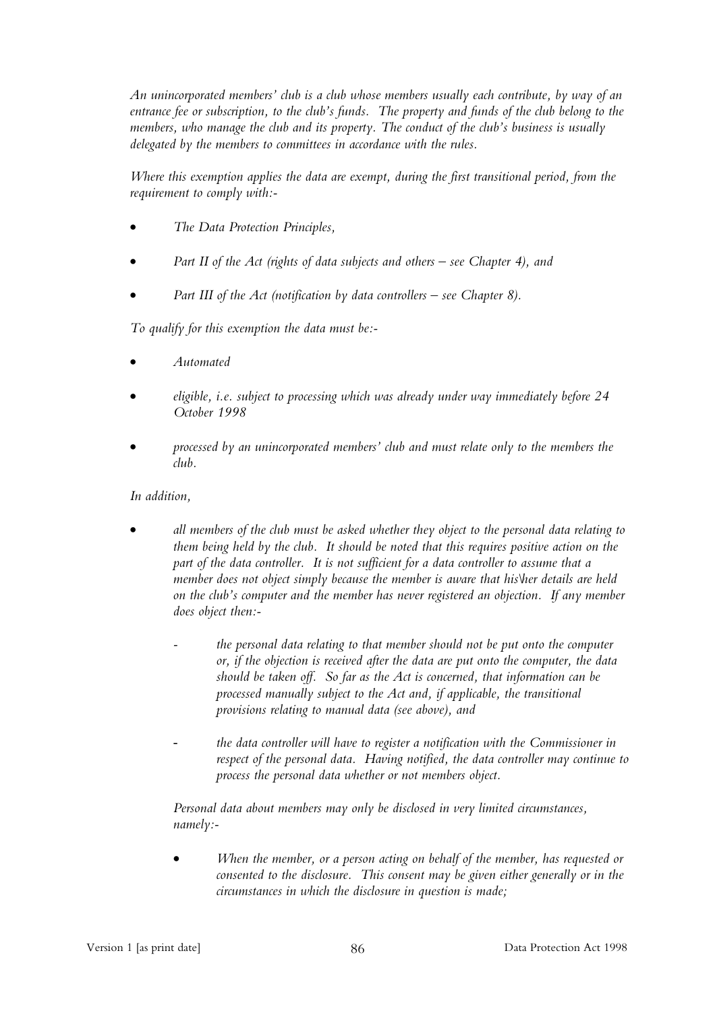*An unincorporated members' club is a club whose members usually each contribute, by way of an entrance fee or subscription, to the club's funds. The property and funds of the club belong to the members, who manage the club and its property. The conduct of the club's business is usually delegated by the members to committees in accordance with the rules.* 

*Where this exemption applies the data are exempt, during the first transitional period, from the requirement to comply with:-* 

- $\bullet$ *The Data Protection Principles,*
- $\bullet$ *Part II of the Act (rights of data subjects and others – see Chapter 4), and*
- $\bullet$ *Part III of the Act (notification by data controllers – see Chapter 8).*

*To qualify for this exemption the data must be:-* 

- $\bullet$ *Automated*
- $\bullet$ *eligible, i.e. subject to processing which was already under way immediately before 24 October 1998*
- $\bullet$ *processed by an unincorporated members' club and must relate only to the members the club.*

### *In addition,*

- $\bullet$ *all members of the club must be asked whether they object to the personal data relating to them being held by the club. It should be noted that this requires positive action on the part of the data controller. It is not sufficient for a data controller to assume that a member does not object simply because the member is aware that his\her details are held on the club's computer and the member has never registered an objection. If any member does object then:-* 
	- *the personal data relating to that member should not be put onto the computer or, if the objection is received after the data are put onto the computer, the data should be taken off. So far as the Act is concerned, that information can be processed manually subject to the Act and, if applicable, the transitional provisions relating to manual data (see above), and*
	- *the data controller will have to register a notification with the Commissioner in respect of the personal data. Having notified, the data controller may continue to process the personal data whether or not members object.*

*Personal data about members may only be disclosed in very limited circumstances, namely:-*

 $\bullet$ *When the member, or a person acting on behalf of the member, has requested or consented to the disclosure. This consent may be given either generally or in the circumstances in which the disclosure in question is made;*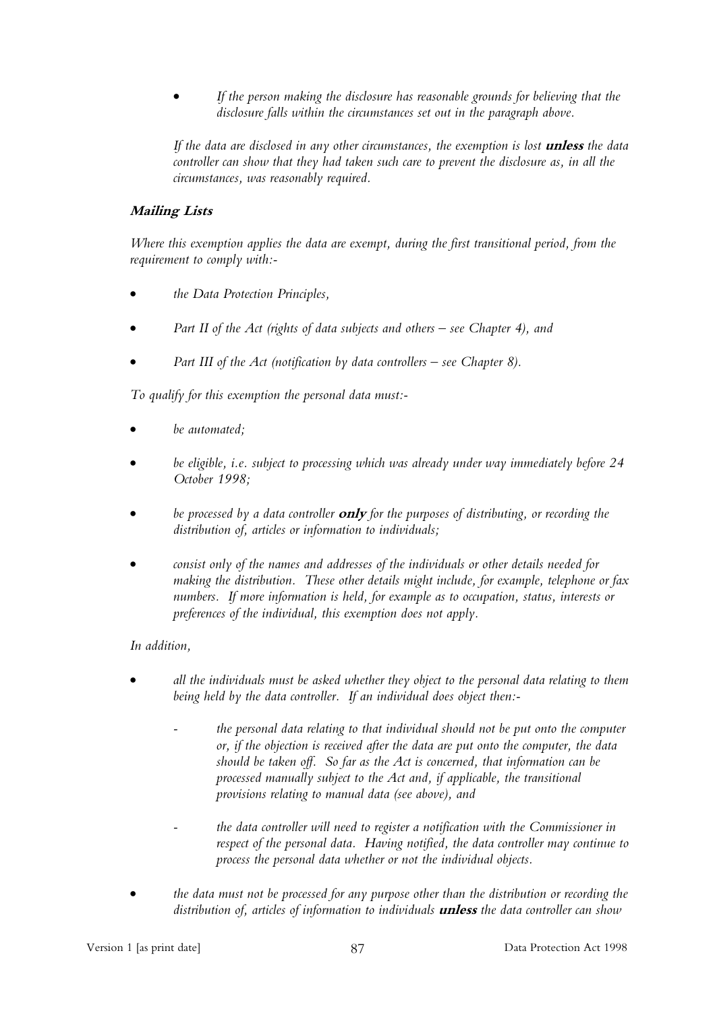$\bullet$ *If the person making the disclosure has reasonable grounds for believing that the disclosure falls within the circumstances set out in the paragraph above.* 

*If the data are disclosed in any other circumstances, the exemption is lost* **unless** *the data controller can show that they had taken such care to prevent the disclosure as, in all the circumstances, was reasonably required.* 

### **Mailing Lists**

*Where this exemption applies the data are exempt, during the first transitional period, from the requirement to comply with:-* 

- $\bullet$ *the Data Protection Principles,*
- $\bullet$ *Part II of the Act (rights of data subjects and others – see Chapter 4), and*
- $\bullet$ *Part III of the Act (notification by data controllers – see Chapter 8).*

*To qualify for this exemption the personal data must:-* 

- $\bullet$ *be automated;*
- $\bullet$ *be eligible, i.e. subject to processing which was already under way immediately before 24 October 1998;*
- $\bullet$ *be processed by a data controller* **only** *for the purposes of distributing, or recording the distribution of, articles or information to individuals;*
- $\bullet$ *consist only of the names and addresses of the individuals or other details needed for making the distribution. These other details might include, for example, telephone or fax numbers. If more information is held, for example as to occupation, status, interests or preferences of the individual, this exemption does not apply.*

#### *In addition,*

- $\bullet$ *all the individuals must be asked whether they object to the personal data relating to them being held by the data controller. If an individual does object then:-* 
	- *the personal data relating to that individual should not be put onto the computer or, if the objection is received after the data are put onto the computer, the data should be taken off. So far as the Act is concerned, that information can be processed manually subject to the Act and, if applicable, the transitional provisions relating to manual data (see above), and*
	- *the data controller will need to register a notification with the Commissioner in respect of the personal data. Having notified, the data controller may continue to process the personal data whether or not the individual objects.*
- $\bullet$ *the data must not be processed for any purpose other than the distribution or recording the distribution of, articles of information to individuals* **unless** *the data controller can show*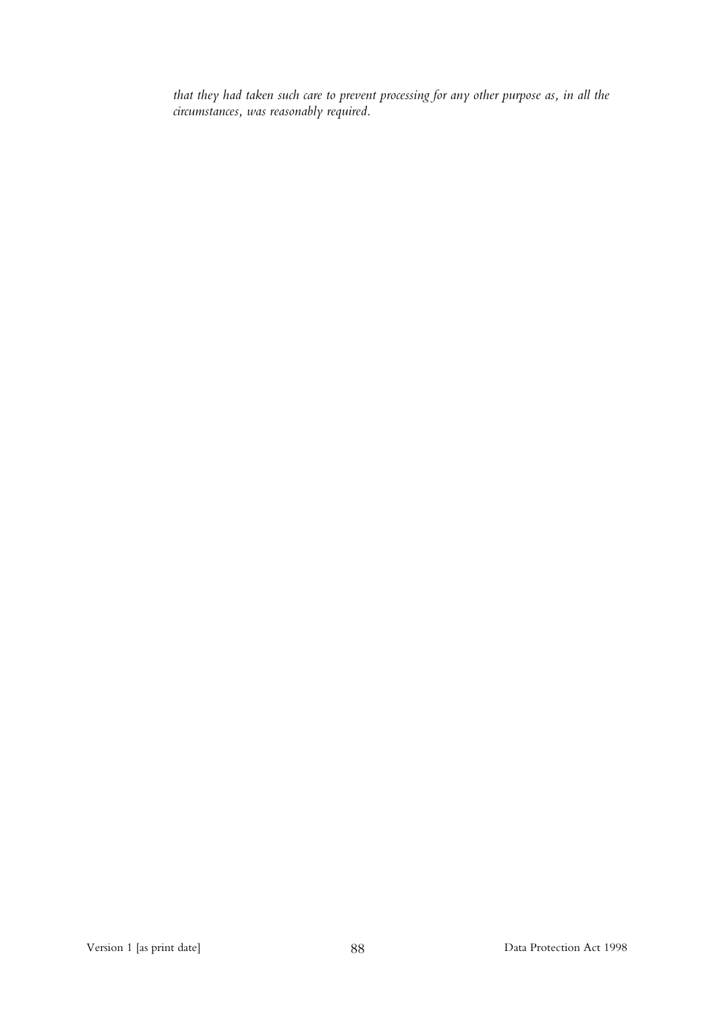*that they had taken such care to prevent processing for any other purpose as, in all the circumstances, was reasonably required.*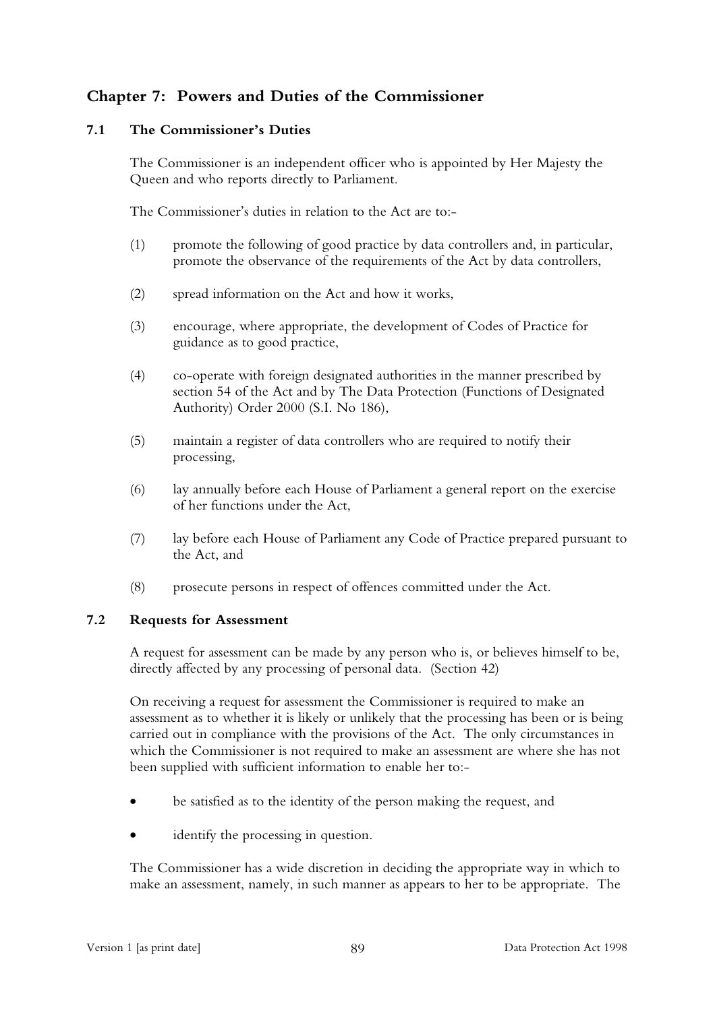# **Chapter 7: Powers and Duties of the Commissioner**

#### **7.1 The Commissioner's Duties**

The Commissioner is an independent officer who is appointed by Her Majesty the Queen and who reports directly to Parliament.

The Commissioner's duties in relation to the Act are to:-

- (1) promote the following of good practice by data controllers and, in particular, promote the observance of the requirements of the Act by data controllers,
- (2) spread information on the Act and how it works,
- (3) encourage, where appropriate, the development of Codes of Practice for guidance as to good practice,
- (4) co-operate with foreign designated authorities in the manner prescribed by section 54 of the Act and by The Data Protection (Functions of Designated Authority) Order 2000 (S.I. No 186),
- (5) maintain a register of data controllers who are required to notify their processing,
- (6) lay annually before each House of Parliament a general report on the exercise of her functions under the Act,
- (7) lay before each House of Parliament any Code of Practice prepared pursuant to the Act, and
- (8) prosecute persons in respect of offences committed under the Act.

#### **7.2 Requests for Assessment**

A request for assessment can be made by any person who is, or believes himself to be, directly affected by any processing of personal data. (Section 42)

On receiving a request for assessment the Commissioner is required to make an assessment as to whether it is likely or unlikely that the processing has been or is being carried out in compliance with the provisions of the Act. The only circumstances in which the Commissioner is not required to make an assessment are where she has not been supplied with sufficient information to enable her to:-

- be satisfied as to the identity of the person making the request, and
- identify the processing in question.

The Commissioner has a wide discretion in deciding the appropriate way in which to make an assessment, namely, in such manner as appears to her to be appropriate. The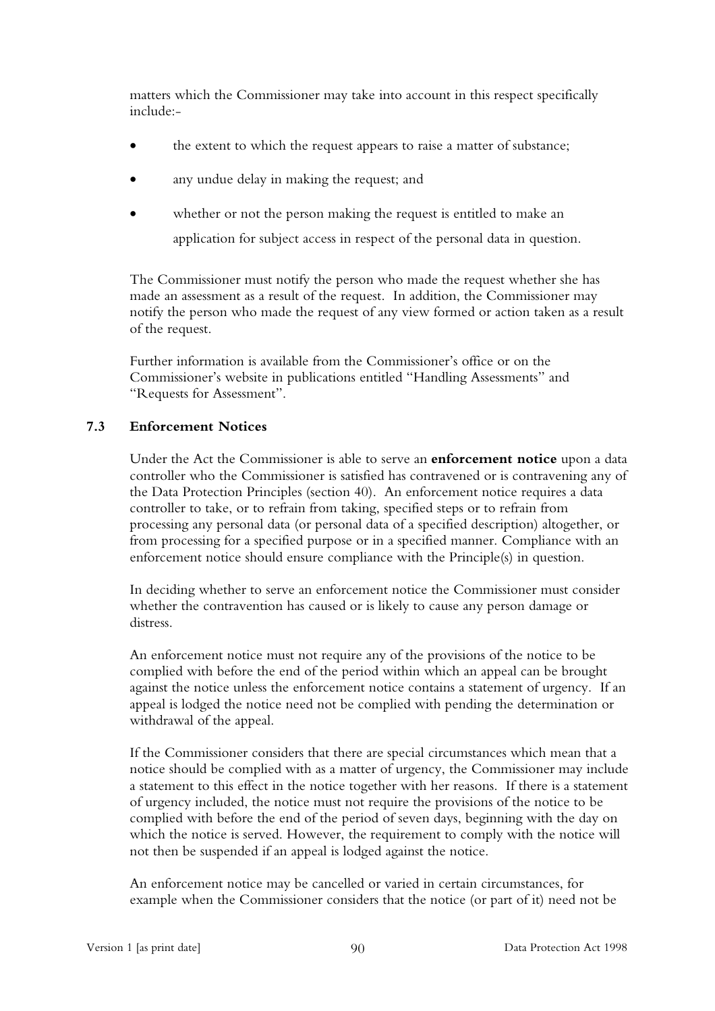matters which the Commissioner may take into account in this respect specifically include:-

- the extent to which the request appears to raise a matter of substance;
- any undue delay in making the request; and
- whether or not the person making the request is entitled to make an

application for subject access in respect of the personal data in question.

The Commissioner must notify the person who made the request whether she has made an assessment as a result of the request. In addition, the Commissioner may notify the person who made the request of any view formed or action taken as a result of the request.

Further information is available from the Commissioner's office or on the Commissioner's website in publications entitled "Handling Assessments" and "Requests for Assessment".

#### **7.3 Enforcement Notices**

Under the Act the Commissioner is able to serve an **enforcement notice** upon a data controller who the Commissioner is satisfied has contravened or is contravening any of the Data Protection Principles (section 40). An enforcement notice requires a data controller to take, or to refrain from taking, specified steps or to refrain from processing any personal data (or personal data of a specified description) altogether, or from processing for a specified purpose or in a specified manner. Compliance with an enforcement notice should ensure compliance with the Principle(s) in question.

In deciding whether to serve an enforcement notice the Commissioner must consider whether the contravention has caused or is likely to cause any person damage or distress.

An enforcement notice must not require any of the provisions of the notice to be complied with before the end of the period within which an appeal can be brought against the notice unless the enforcement notice contains a statement of urgency. If an appeal is lodged the notice need not be complied with pending the determination or withdrawal of the appeal.

If the Commissioner considers that there are special circumstances which mean that a notice should be complied with as a matter of urgency, the Commissioner may include a statement to this effect in the notice together with her reasons. If there is a statement of urgency included, the notice must not require the provisions of the notice to be complied with before the end of the period of seven days, beginning with the day on which the notice is served. However, the requirement to comply with the notice will not then be suspended if an appeal is lodged against the notice.

An enforcement notice may be cancelled or varied in certain circumstances, for example when the Commissioner considers that the notice (or part of it) need not be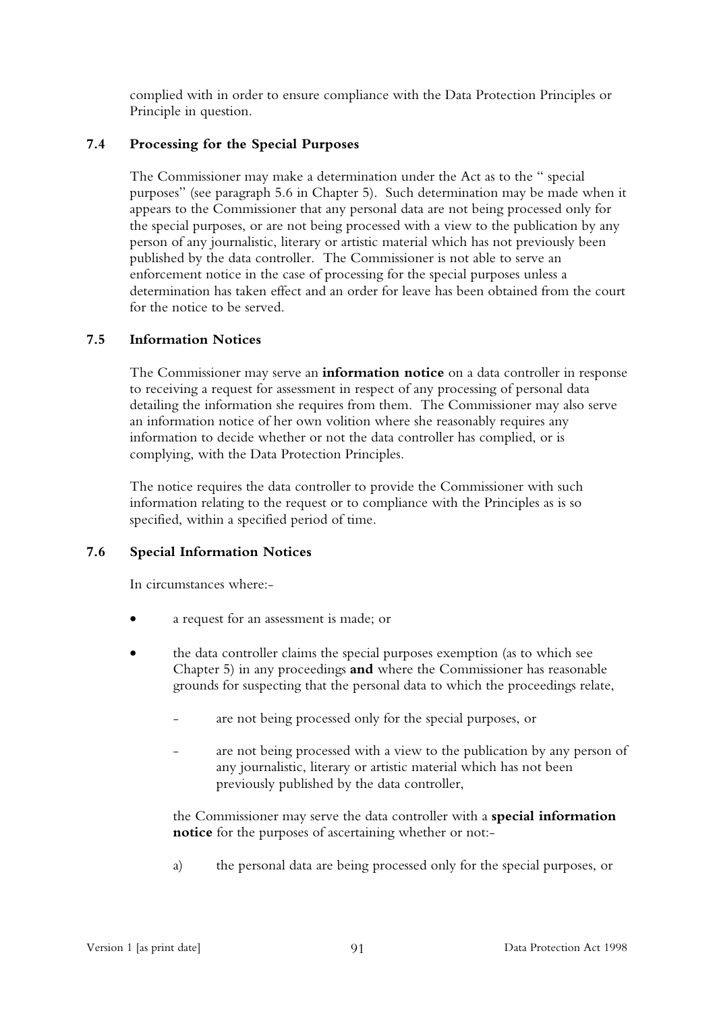complied with in order to ensure compliance with the Data Protection Principles or Principle in question.

#### **7.4 Processing for the Special Purposes**

The Commissioner may make a determination under the Act as to the " special purposes" (see paragraph 5.6 in Chapter 5). Such determination may be made when it appears to the Commissioner that any personal data are not being processed only for the special purposes, or are not being processed with a view to the publication by any person of any journalistic, literary or artistic material which has not previously been published by the data controller. The Commissioner is not able to serve an enforcement notice in the case of processing for the special purposes unless a determination has taken effect and an order for leave has been obtained from the court for the notice to be served.

### **7.5 Information Notices**

The Commissioner may serve an **information notice** on a data controller in response to receiving a request for assessment in respect of any processing of personal data detailing the information she requires from them. The Commissioner may also serve an information notice of her own volition where she reasonably requires any information to decide whether or not the data controller has complied, or is complying, with the Data Protection Principles.

The notice requires the data controller to provide the Commissioner with such information relating to the request or to compliance with the Principles as is so specified, within a specified period of time.

#### **7.6 Special Information Notices**

In circumstances where:-

- x a request for an assessment is made; or
- the data controller claims the special purposes exemption (as to which see Chapter 5) in any proceedings **and** where the Commissioner has reasonable grounds for suspecting that the personal data to which the proceedings relate,
	- are not being processed only for the special purposes, or
	- are not being processed with a view to the publication by any person of any journalistic, literary or artistic material which has not been previously published by the data controller,

the Commissioner may serve the data controller with a **special information notice** for the purposes of ascertaining whether or not:-

a) the personal data are being processed only for the special purposes, or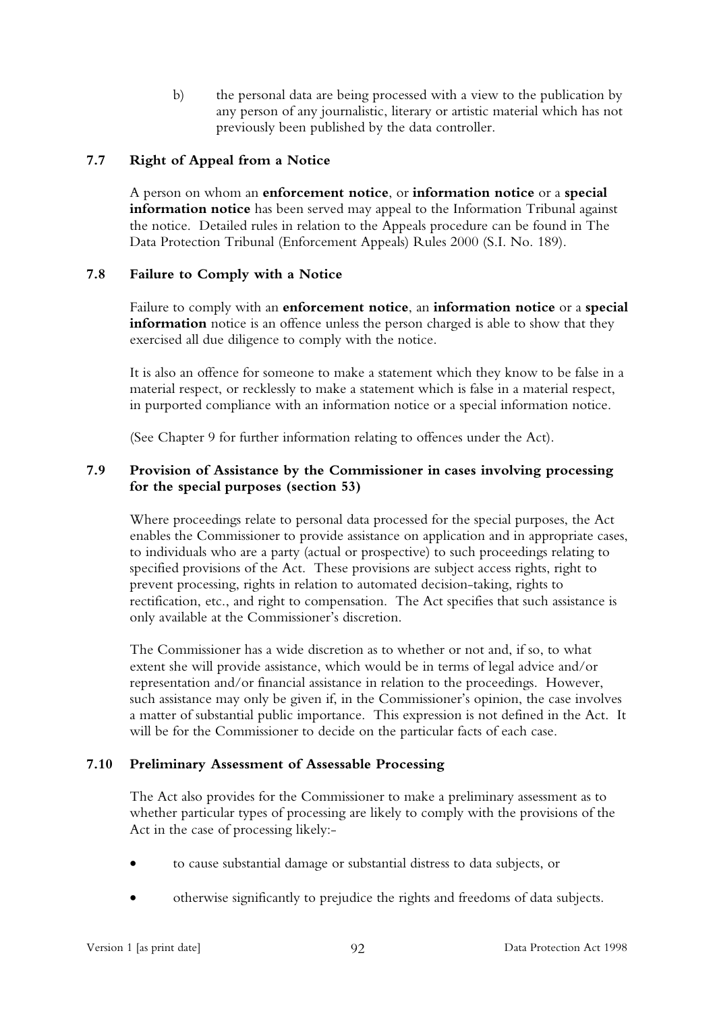b) the personal data are being processed with a view to the publication by any person of any journalistic, literary or artistic material which has not previously been published by the data controller.

#### **7.7 Right of Appeal from a Notice**

A person on whom an **enforcement notice**, or **information notice** or a **special information notice** has been served may appeal to the Information Tribunal against the notice. Detailed rules in relation to the Appeals procedure can be found in The Data Protection Tribunal (Enforcement Appeals) Rules 2000 (S.I. No. 189).

### **7.8 Failure to Comply with a Notice**

Failure to comply with an **enforcement notice**, an **information notice** or a **special information** notice is an offence unless the person charged is able to show that they exercised all due diligence to comply with the notice.

It is also an offence for someone to make a statement which they know to be false in a material respect, or recklessly to make a statement which is false in a material respect, in purported compliance with an information notice or a special information notice.

(See Chapter 9 for further information relating to offences under the Act).

# **7.9 Provision of Assistance by the Commissioner in cases involving processing for the special purposes (section 53)**

Where proceedings relate to personal data processed for the special purposes, the Act enables the Commissioner to provide assistance on application and in appropriate cases, to individuals who are a party (actual or prospective) to such proceedings relating to specified provisions of the Act. These provisions are subject access rights, right to prevent processing, rights in relation to automated decision-taking, rights to rectification, etc., and right to compensation. The Act specifies that such assistance is only available at the Commissioner's discretion.

The Commissioner has a wide discretion as to whether or not and, if so, to what extent she will provide assistance, which would be in terms of legal advice and/or representation and/or financial assistance in relation to the proceedings. However, such assistance may only be given if, in the Commissioner's opinion, the case involves a matter of substantial public importance. This expression is not defined in the Act. It will be for the Commissioner to decide on the particular facts of each case.

#### **7.10 Preliminary Assessment of Assessable Processing**

The Act also provides for the Commissioner to make a preliminary assessment as to whether particular types of processing are likely to comply with the provisions of the Act in the case of processing likely:-

- $\bullet$ to cause substantial damage or substantial distress to data subjects, or
- $\bullet$ otherwise significantly to prejudice the rights and freedoms of data subjects.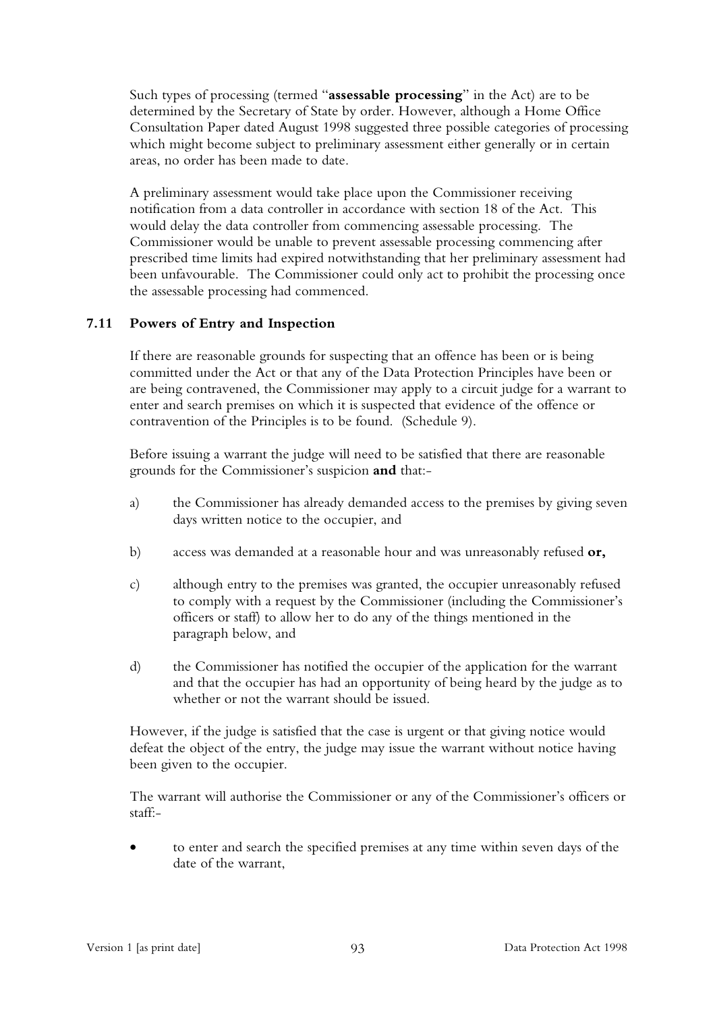Such types of processing (termed "**assessable processing**" in the Act) are to be determined by the Secretary of State by order. However, although a Home Office Consultation Paper dated August 1998 suggested three possible categories of processing which might become subject to preliminary assessment either generally or in certain areas, no order has been made to date.

A preliminary assessment would take place upon the Commissioner receiving notification from a data controller in accordance with section 18 of the Act. This would delay the data controller from commencing assessable processing. The Commissioner would be unable to prevent assessable processing commencing after prescribed time limits had expired notwithstanding that her preliminary assessment had been unfavourable. The Commissioner could only act to prohibit the processing once the assessable processing had commenced.

### **7.11 Powers of Entry and Inspection**

If there are reasonable grounds for suspecting that an offence has been or is being committed under the Act or that any of the Data Protection Principles have been or are being contravened, the Commissioner may apply to a circuit judge for a warrant to enter and search premises on which it is suspected that evidence of the offence or contravention of the Principles is to be found. (Schedule 9).

Before issuing a warrant the judge will need to be satisfied that there are reasonable grounds for the Commissioner's suspicion **and** that:-

- a) the Commissioner has already demanded access to the premises by giving seven days written notice to the occupier, and
- b) access was demanded at a reasonable hour and was unreasonably refused **or,**
- c) although entry to the premises was granted, the occupier unreasonably refused to comply with a request by the Commissioner (including the Commissioner's officers or staff) to allow her to do any of the things mentioned in the paragraph below, and
- d) the Commissioner has notified the occupier of the application for the warrant and that the occupier has had an opportunity of being heard by the judge as to whether or not the warrant should be issued.

However, if the judge is satisfied that the case is urgent or that giving notice would defeat the object of the entry, the judge may issue the warrant without notice having been given to the occupier.

The warrant will authorise the Commissioner or any of the Commissioner's officers or staff:-

to enter and search the specified premises at any time within seven days of the date of the warrant,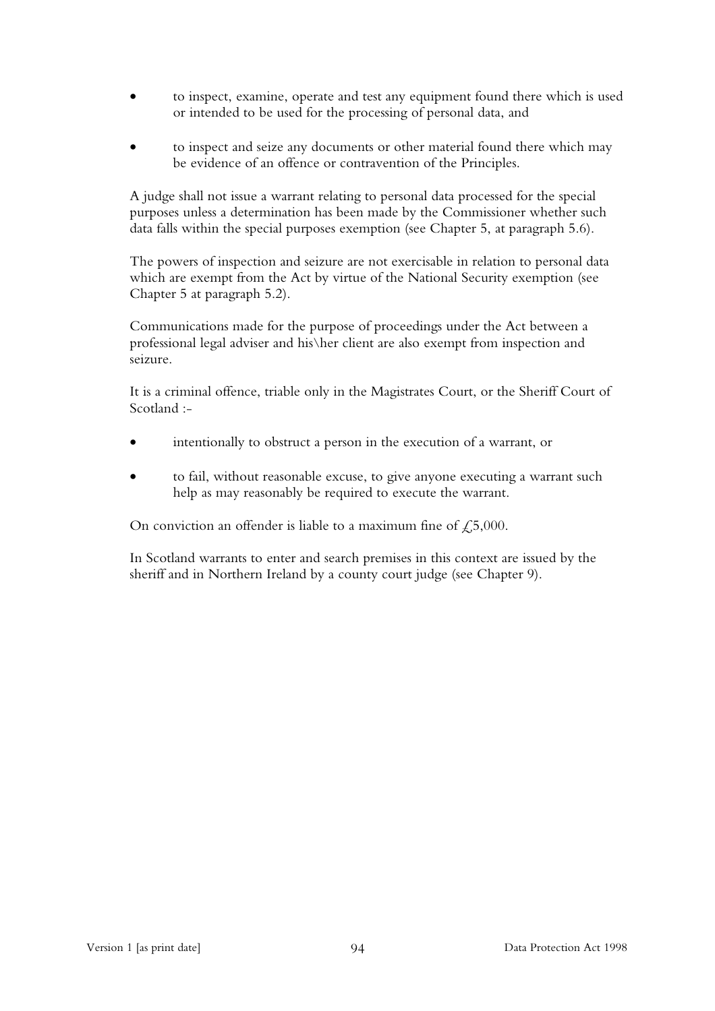- $\bullet$ to inspect, examine, operate and test any equipment found there which is used or intended to be used for the processing of personal data, and
- $\bullet$ to inspect and seize any documents or other material found there which may be evidence of an offence or contravention of the Principles.

A judge shall not issue a warrant relating to personal data processed for the special purposes unless a determination has been made by the Commissioner whether such data falls within the special purposes exemption (see Chapter 5, at paragraph 5.6).

The powers of inspection and seizure are not exercisable in relation to personal data which are exempt from the Act by virtue of the National Security exemption (see Chapter 5 at paragraph 5.2).

Communications made for the purpose of proceedings under the Act between a professional legal adviser and his\her client are also exempt from inspection and seizure.

It is a criminal offence, triable only in the Magistrates Court, or the Sheriff Court of Scotland :-

- $\bullet$ intentionally to obstruct a person in the execution of a warrant, or
- $\bullet$ to fail, without reasonable excuse, to give anyone executing a warrant such help as may reasonably be required to execute the warrant.

On conviction an offender is liable to a maximum fine of  $\text{\textsterling},5,000$ .

In Scotland warrants to enter and search premises in this context are issued by the sheriff and in Northern Ireland by a county court judge (see Chapter 9).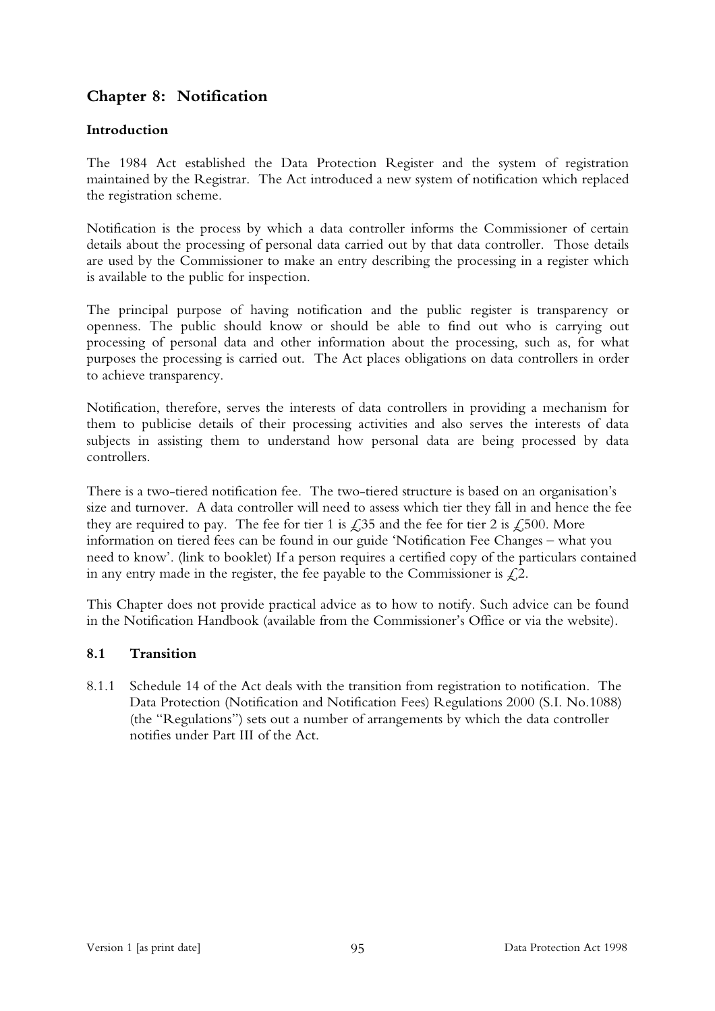# **Chapter 8: Notification**

# **Introduction**

The 1984 Act established the Data Protection Register and the system of registration maintained by the Registrar. The Act introduced a new system of notification which replaced the registration scheme.

Notification is the process by which a data controller informs the Commissioner of certain details about the processing of personal data carried out by that data controller. Those details are used by the Commissioner to make an entry describing the processing in a register which is available to the public for inspection.

The principal purpose of having notification and the public register is transparency or openness. The public should know or should be able to find out who is carrying out processing of personal data and other information about the processing, such as, for what purposes the processing is carried out. The Act places obligations on data controllers in order to achieve transparency.

Notification, therefore, serves the interests of data controllers in providing a mechanism for them to publicise details of their processing activities and also serves the interests of data subjects in assisting them to understand how personal data are being processed by data controllers.

There is a two-tiered notification fee. The two-tiered structure is based on an organisation's size and turnover. A data controller will need to assess which tier they fall in and hence the fee they are required to pay. The fee for tier 1 is  $\zeta$ , 35 and the fee for tier 2 is  $\zeta$ , 500. More information on tiered fees can be found in our guide 'Notification Fee Changes – what you need to know'. (link to booklet) If a person requires a certified copy of the particulars contained in any entry made in the register, the fee payable to the Commissioner is  $\mathcal{L}2$ .

This Chapter does not provide practical advice as to how to notify. Such advice can be found in the Notification Handbook (available from the Commissioner's Office or via the website).

#### **8.1 Transition**

8.1.1 Schedule 14 of the Act deals with the transition from registration to notification. The Data Protection (Notification and Notification Fees) Regulations 2000 (S.I. No.1088) (the "Regulations") sets out a number of arrangements by which the data controller notifies under Part III of the Act.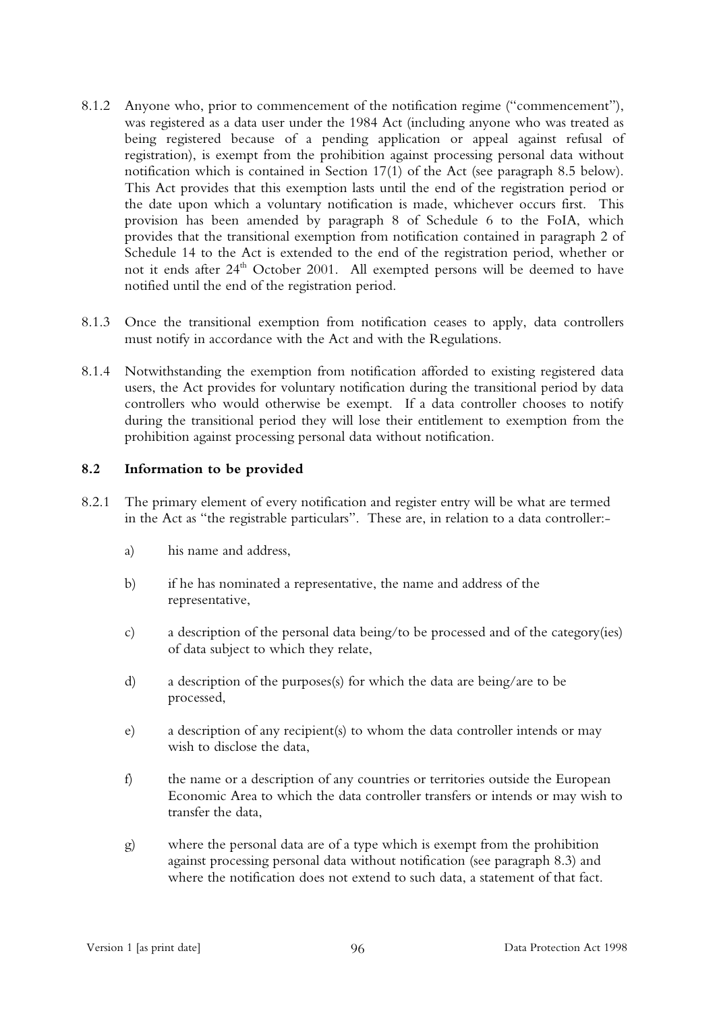- 8.1.2 Anyone who, prior to commencement of the notification regime ("commencement"), was registered as a data user under the 1984 Act (including anyone who was treated as being registered because of a pending application or appeal against refusal of registration), is exempt from the prohibition against processing personal data without notification which is contained in Section 17(1) of the Act (see paragraph 8.5 below). This Act provides that this exemption lasts until the end of the registration period or the date upon which a voluntary notification is made, whichever occurs first. This provision has been amended by paragraph 8 of Schedule 6 to the FoIA, which provides that the transitional exemption from notification contained in paragraph 2 of Schedule 14 to the Act is extended to the end of the registration period, whether or not it ends after 24<sup>th</sup> October 2001. All exempted persons will be deemed to have notified until the end of the registration period.
- 8.1.3 Once the transitional exemption from notification ceases to apply, data controllers must notify in accordance with the Act and with the Regulations.
- 8.1.4 Notwithstanding the exemption from notification afforded to existing registered data users, the Act provides for voluntary notification during the transitional period by data controllers who would otherwise be exempt. If a data controller chooses to notify during the transitional period they will lose their entitlement to exemption from the prohibition against processing personal data without notification.

#### **8.2 Information to be provided**

- 8.2.1 The primary element of every notification and register entry will be what are termed in the Act as "the registrable particulars". These are, in relation to a data controller:
	- a) his name and address,
	- b) if he has nominated a representative, the name and address of the representative,
	- c) a description of the personal data being/to be processed and of the category(ies) of data subject to which they relate,
	- d) a description of the purposes(s) for which the data are being/are to be processed,
	- e) a description of any recipient(s) to whom the data controller intends or may wish to disclose the data,
	- f) the name or a description of any countries or territories outside the European Economic Area to which the data controller transfers or intends or may wish to transfer the data,
	- g) where the personal data are of a type which is exempt from the prohibition against processing personal data without notification (see paragraph 8.3) and where the notification does not extend to such data, a statement of that fact.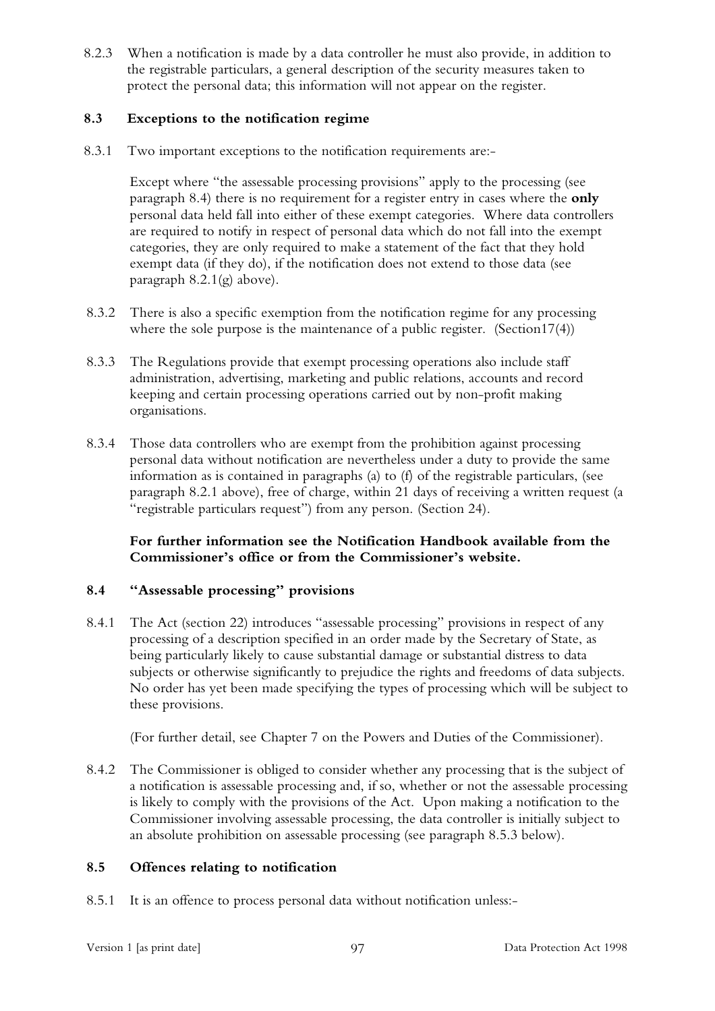8.2.3 When a notification is made by a data controller he must also provide, in addition to the registrable particulars, a general description of the security measures taken to protect the personal data; this information will not appear on the register.

#### **8.3 Exceptions to the notification regime**

8.3.1 Two important exceptions to the notification requirements are:-

Except where "the assessable processing provisions" apply to the processing (see paragraph 8.4) there is no requirement for a register entry in cases where the **only** personal data held fall into either of these exempt categories. Where data controllers are required to notify in respect of personal data which do not fall into the exempt categories, they are only required to make a statement of the fact that they hold exempt data (if they do), if the notification does not extend to those data (see paragraph 8.2.1(g) above).

- 8.3.2 There is also a specific exemption from the notification regime for any processing where the sole purpose is the maintenance of a public register. (Section17(4))
- 8.3.3 The Regulations provide that exempt processing operations also include staff administration, advertising, marketing and public relations, accounts and record keeping and certain processing operations carried out by non-profit making organisations.
- 8.3.4 Those data controllers who are exempt from the prohibition against processing personal data without notification are nevertheless under a duty to provide the same information as is contained in paragraphs (a) to (f) of the registrable particulars, (see paragraph 8.2.1 above), free of charge, within 21 days of receiving a written request (a "registrable particulars request") from any person. (Section 24).

### **For further information see the Notification Handbook available from the Commissioner's office or from the Commissioner's website.**

#### **8.4 "Assessable processing" provisions**

8.4.1 The Act (section 22) introduces "assessable processing" provisions in respect of any processing of a description specified in an order made by the Secretary of State, as being particularly likely to cause substantial damage or substantial distress to data subjects or otherwise significantly to prejudice the rights and freedoms of data subjects. No order has yet been made specifying the types of processing which will be subject to these provisions.

(For further detail, see Chapter 7 on the Powers and Duties of the Commissioner).

8.4.2 The Commissioner is obliged to consider whether any processing that is the subject of a notification is assessable processing and, if so, whether or not the assessable processing is likely to comply with the provisions of the Act. Upon making a notification to the Commissioner involving assessable processing, the data controller is initially subject to an absolute prohibition on assessable processing (see paragraph 8.5.3 below).

#### **8.5 Offences relating to notification**

8.5.1 It is an offence to process personal data without notification unless:-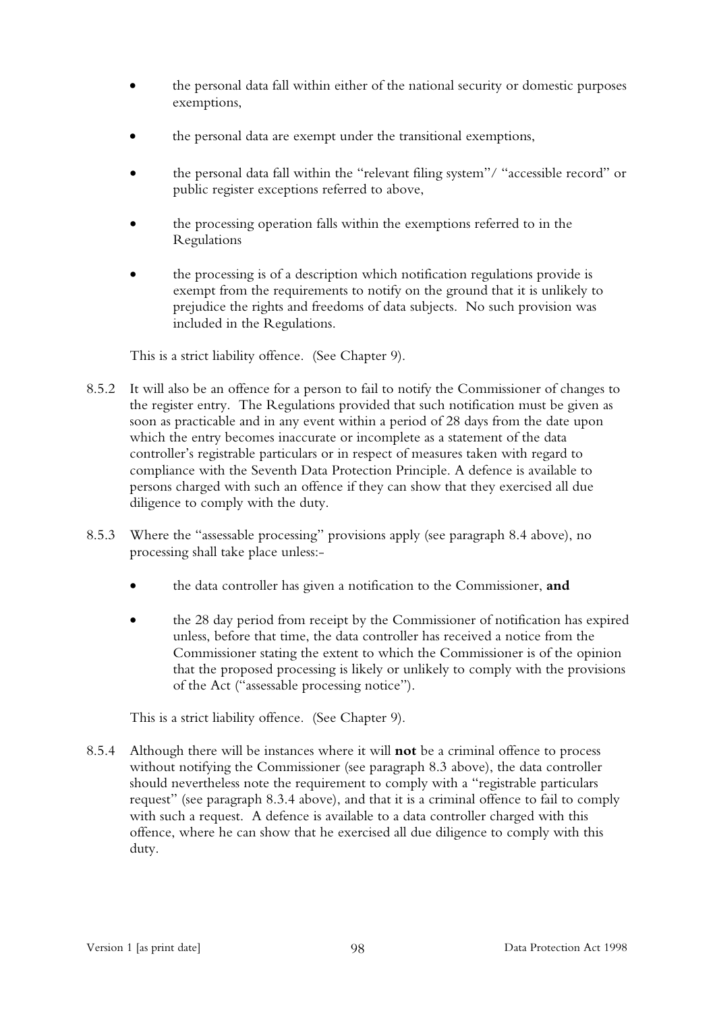- $\bullet$ the personal data fall within either of the national security or domestic purposes exemptions,
- $\bullet$ the personal data are exempt under the transitional exemptions,
- $\bullet$ the personal data fall within the "relevant filing system"/ "accessible record" or public register exceptions referred to above,
- $\bullet$ the processing operation falls within the exemptions referred to in the Regulations
- $\bullet$ the processing is of a description which notification regulations provide is exempt from the requirements to notify on the ground that it is unlikely to prejudice the rights and freedoms of data subjects. No such provision was included in the Regulations.

This is a strict liability offence. (See Chapter 9).

- 8.5.2 It will also be an offence for a person to fail to notify the Commissioner of changes to the register entry. The Regulations provided that such notification must be given as soon as practicable and in any event within a period of 28 days from the date upon which the entry becomes inaccurate or incomplete as a statement of the data controller's registrable particulars or in respect of measures taken with regard to compliance with the Seventh Data Protection Principle. A defence is available to persons charged with such an offence if they can show that they exercised all due diligence to comply with the duty.
- 8.5.3 Where the "assessable processing" provisions apply (see paragraph 8.4 above), no processing shall take place unless:-
	- $\bullet$ the data controller has given a notification to the Commissioner, **and**
	- $\bullet$ the 28 day period from receipt by the Commissioner of notification has expired unless, before that time, the data controller has received a notice from the Commissioner stating the extent to which the Commissioner is of the opinion that the proposed processing is likely or unlikely to comply with the provisions of the Act ("assessable processing notice").

This is a strict liability offence. (See Chapter 9).

8.5.4 Although there will be instances where it will **not** be a criminal offence to process without notifying the Commissioner (see paragraph 8.3 above), the data controller should nevertheless note the requirement to comply with a "registrable particulars request" (see paragraph 8.3.4 above), and that it is a criminal offence to fail to comply with such a request. A defence is available to a data controller charged with this offence, where he can show that he exercised all due diligence to comply with this duty.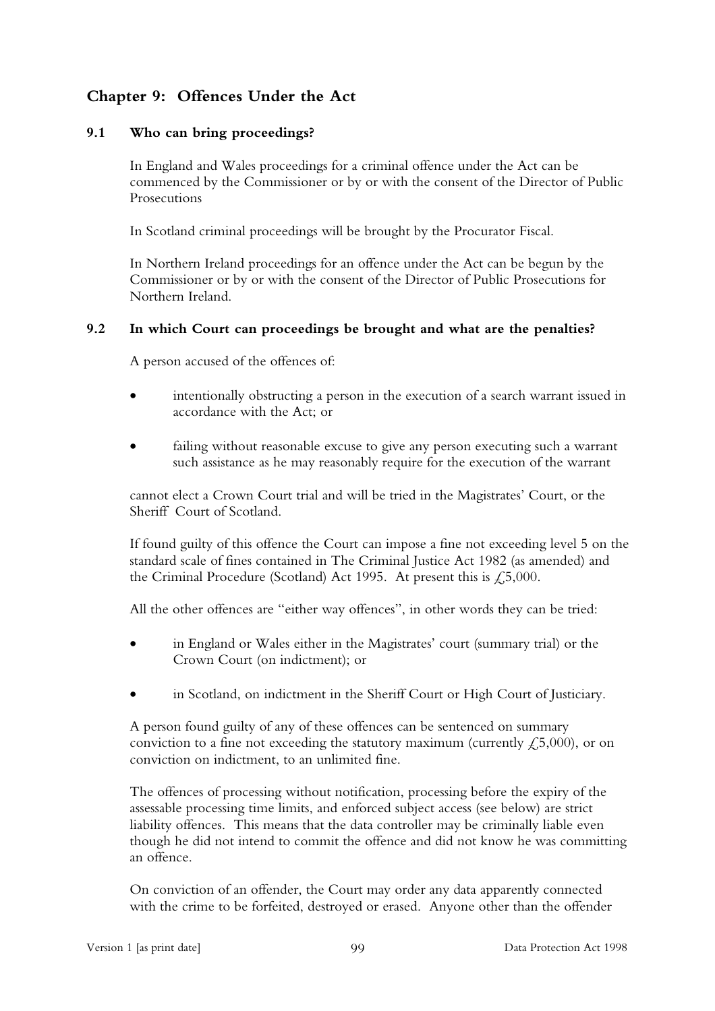# **Chapter 9: Offences Under the Act**

#### **9.1 Who can bring proceedings?**

In England and Wales proceedings for a criminal offence under the Act can be commenced by the Commissioner or by or with the consent of the Director of Public Prosecutions

In Scotland criminal proceedings will be brought by the Procurator Fiscal.

In Northern Ireland proceedings for an offence under the Act can be begun by the Commissioner or by or with the consent of the Director of Public Prosecutions for Northern Ireland.

#### **9.2 In which Court can proceedings be brought and what are the penalties?**

A person accused of the offences of:

- $\bullet$ intentionally obstructing a person in the execution of a search warrant issued in accordance with the Act; or
- $\bullet$ failing without reasonable excuse to give any person executing such a warrant such assistance as he may reasonably require for the execution of the warrant

cannot elect a Crown Court trial and will be tried in the Magistrates' Court, or the Sheriff Court of Scotland.

If found guilty of this offence the Court can impose a fine not exceeding level 5 on the standard scale of fines contained in The Criminal Justice Act 1982 (as amended) and the Criminal Procedure (Scotland) Act 1995. At present this is  $\zeta$ , 5,000.

All the other offences are "either way offences", in other words they can be tried:

- $\bullet$ in England or Wales either in the Magistrates' court (summary trial) or the Crown Court (on indictment); or
- $\bullet$ in Scotland, on indictment in the Sheriff Court or High Court of Justiciary.

A person found guilty of any of these offences can be sentenced on summary conviction to a fine not exceeding the statutory maximum (currently  $\sqrt{(5,000)}$ , or on conviction on indictment, to an unlimited fine.

The offences of processing without notification, processing before the expiry of the assessable processing time limits, and enforced subject access (see below) are strict liability offences. This means that the data controller may be criminally liable even though he did not intend to commit the offence and did not know he was committing an offence.

On conviction of an offender, the Court may order any data apparently connected with the crime to be forfeited, destroyed or erased. Anyone other than the offender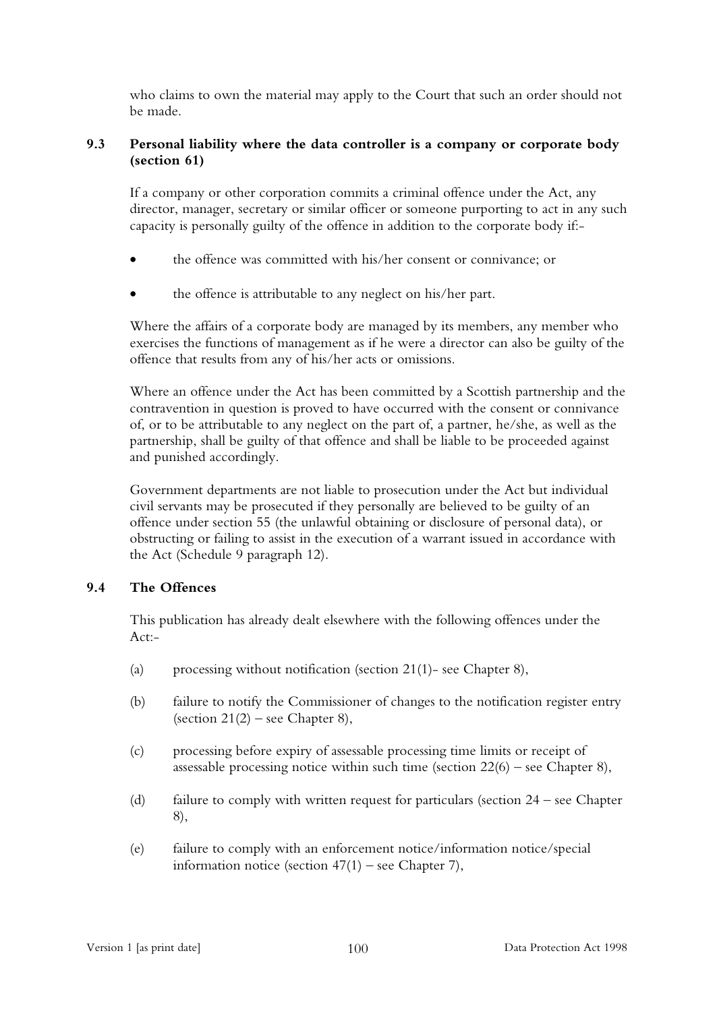who claims to own the material may apply to the Court that such an order should not be made.

# **9.3 Personal liability where the data controller is a company or corporate body (section 61)**

If a company or other corporation commits a criminal offence under the Act, any director, manager, secretary or similar officer or someone purporting to act in any such capacity is personally guilty of the offence in addition to the corporate body if:-

- $\bullet$ the offence was committed with his/her consent or connivance; or
- $\bullet$ the offence is attributable to any neglect on his/her part.

Where the affairs of a corporate body are managed by its members, any member who exercises the functions of management as if he were a director can also be guilty of the offence that results from any of his/her acts or omissions.

Where an offence under the Act has been committed by a Scottish partnership and the contravention in question is proved to have occurred with the consent or connivance of, or to be attributable to any neglect on the part of, a partner, he/she, as well as the partnership, shall be guilty of that offence and shall be liable to be proceeded against and punished accordingly.

Government departments are not liable to prosecution under the Act but individual civil servants may be prosecuted if they personally are believed to be guilty of an offence under section 55 (the unlawful obtaining or disclosure of personal data), or obstructing or failing to assist in the execution of a warrant issued in accordance with the Act (Schedule 9 paragraph 12).

# **9.4 The Offences**

This publication has already dealt elsewhere with the following offences under the Act:-

- (a) processing without notification (section 21(1)- see Chapter 8),
- (b) failure to notify the Commissioner of changes to the notification register entry (section  $21(2)$  – see Chapter 8),
- (c) processing before expiry of assessable processing time limits or receipt of assessable processing notice within such time (section  $22(6)$  – see Chapter 8),
- (d) failure to comply with written request for particulars (section 24 see Chapter 8),
- (e) failure to comply with an enforcement notice/information notice/special information notice (section  $47(1)$  – see Chapter 7),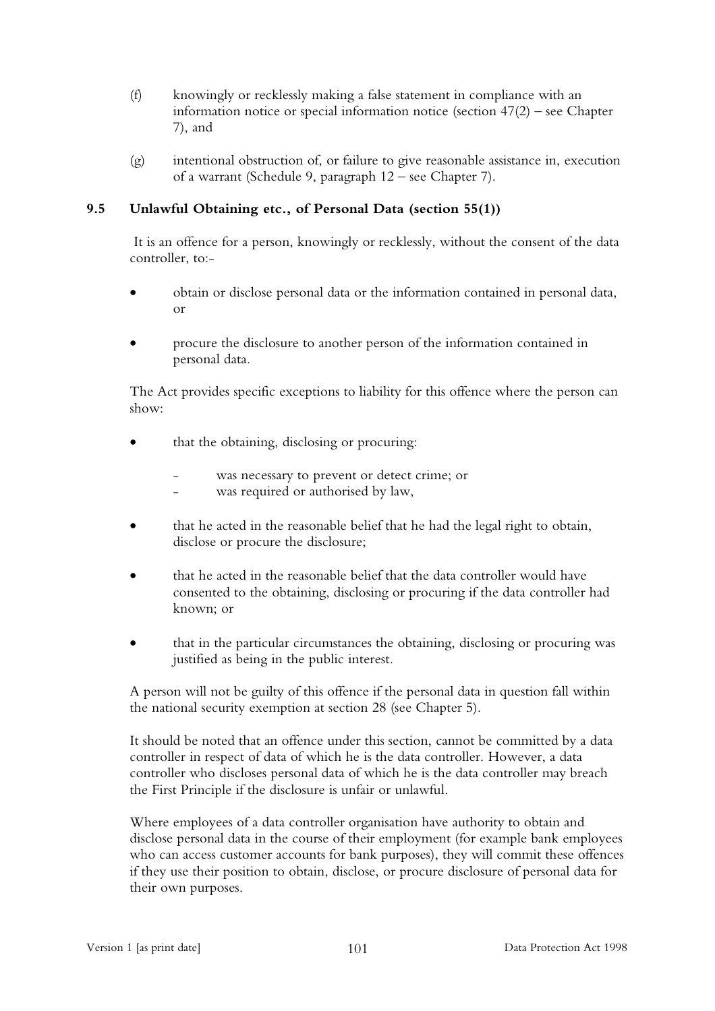- (f) knowingly or recklessly making a false statement in compliance with an information notice or special information notice (section 47(2) – see Chapter 7), and
- (g) intentional obstruction of, or failure to give reasonable assistance in, execution of a warrant (Schedule 9, paragraph 12 – see Chapter 7).

# **9.5 Unlawful Obtaining etc., of Personal Data (section 55(1))**

 It is an offence for a person, knowingly or recklessly, without the consent of the data controller, to:-

- $\bullet$ obtain or disclose personal data or the information contained in personal data, or
- $\bullet$ procure the disclosure to another person of the information contained in personal data.

The Act provides specific exceptions to liability for this offence where the person can show:

- $\bullet$ that the obtaining, disclosing or procuring:
	- was necessary to prevent or detect crime; or
	- was required or authorised by law,
- $\bullet$ that he acted in the reasonable belief that he had the legal right to obtain, disclose or procure the disclosure;
- $\bullet$ that he acted in the reasonable belief that the data controller would have consented to the obtaining, disclosing or procuring if the data controller had known; or
- $\bullet$ that in the particular circumstances the obtaining, disclosing or procuring was justified as being in the public interest.

A person will not be guilty of this offence if the personal data in question fall within the national security exemption at section 28 (see Chapter 5).

It should be noted that an offence under this section, cannot be committed by a data controller in respect of data of which he is the data controller. However, a data controller who discloses personal data of which he is the data controller may breach the First Principle if the disclosure is unfair or unlawful.

Where employees of a data controller organisation have authority to obtain and disclose personal data in the course of their employment (for example bank employees who can access customer accounts for bank purposes), they will commit these offences if they use their position to obtain, disclose, or procure disclosure of personal data for their own purposes.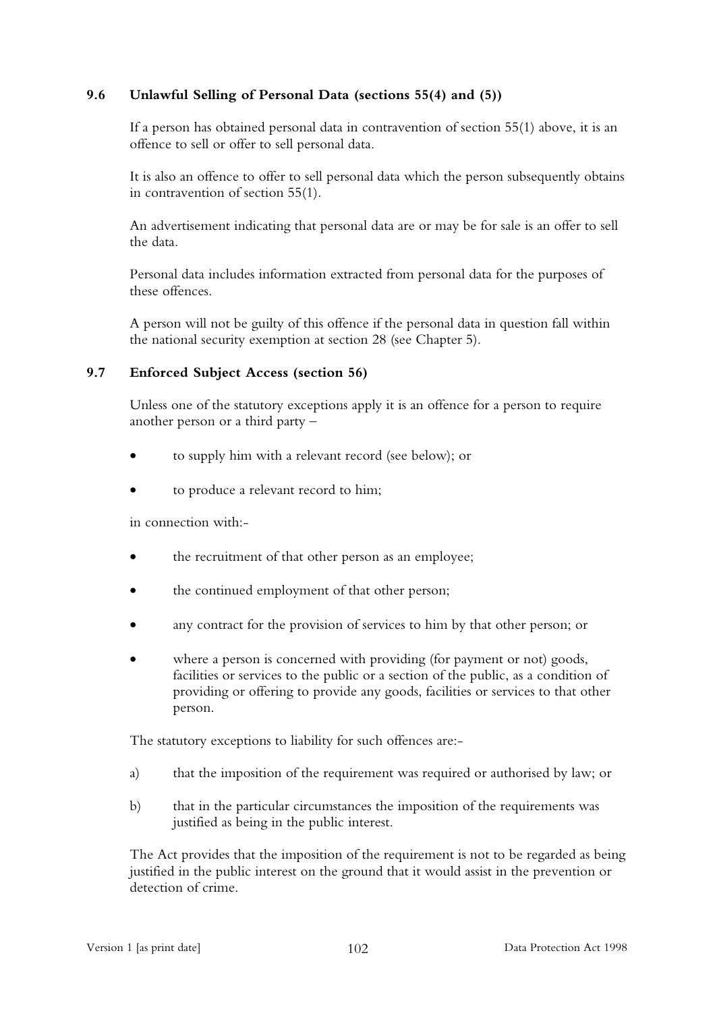### **9.6 Unlawful Selling of Personal Data (sections 55(4) and (5))**

If a person has obtained personal data in contravention of section 55(1) above, it is an offence to sell or offer to sell personal data.

It is also an offence to offer to sell personal data which the person subsequently obtains in contravention of section 55(1).

An advertisement indicating that personal data are or may be for sale is an offer to sell the data.

Personal data includes information extracted from personal data for the purposes of these offences.

A person will not be guilty of this offence if the personal data in question fall within the national security exemption at section 28 (see Chapter 5).

### **9.7 Enforced Subject Access (section 56)**

Unless one of the statutory exceptions apply it is an offence for a person to require another person or a third party –

- $\bullet$ to supply him with a relevant record (see below); or
- $\bullet$ to produce a relevant record to him;

in connection with:-

- $\bullet$ the recruitment of that other person as an employee;
- $\bullet$ the continued employment of that other person;
- $\bullet$ any contract for the provision of services to him by that other person; or
- $\bullet$ where a person is concerned with providing (for payment or not) goods, facilities or services to the public or a section of the public, as a condition of providing or offering to provide any goods, facilities or services to that other person.

The statutory exceptions to liability for such offences are:-

- a) that the imposition of the requirement was required or authorised by law; or
- b) that in the particular circumstances the imposition of the requirements was justified as being in the public interest.

The Act provides that the imposition of the requirement is not to be regarded as being justified in the public interest on the ground that it would assist in the prevention or detection of crime.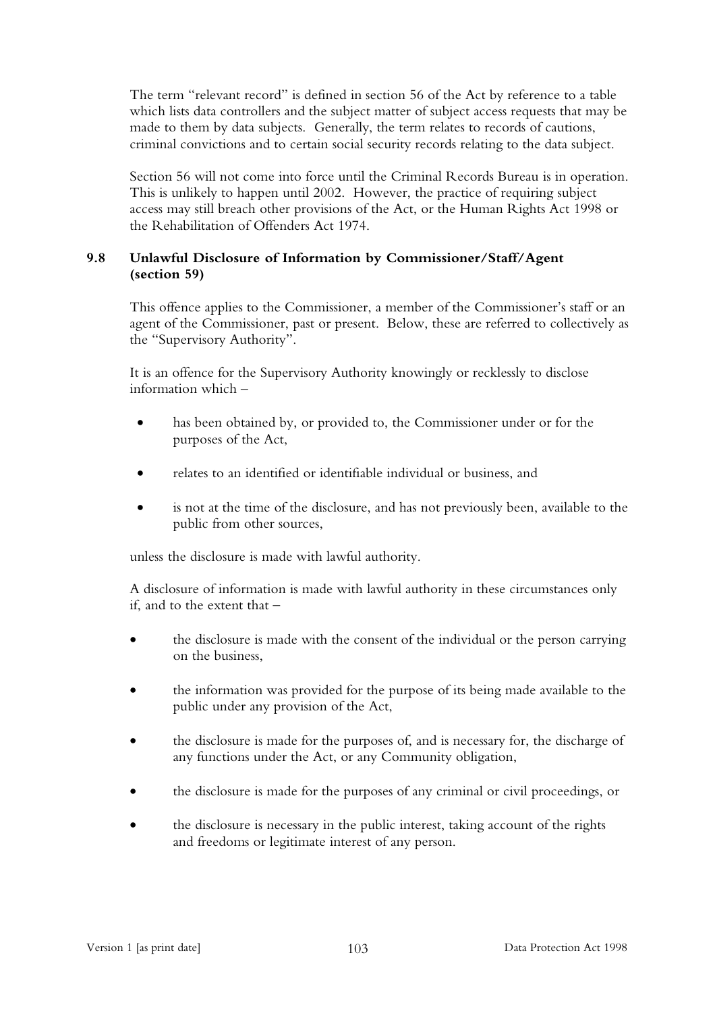The term "relevant record" is defined in section 56 of the Act by reference to a table which lists data controllers and the subject matter of subject access requests that may be made to them by data subjects. Generally, the term relates to records of cautions, criminal convictions and to certain social security records relating to the data subject.

Section 56 will not come into force until the Criminal Records Bureau is in operation. This is unlikely to happen until 2002. However, the practice of requiring subject access may still breach other provisions of the Act, or the Human Rights Act 1998 or the Rehabilitation of Offenders Act 1974.

### **9.8 Unlawful Disclosure of Information by Commissioner/Staff/Agent (section 59)**

This offence applies to the Commissioner, a member of the Commissioner's staff or an agent of the Commissioner, past or present. Below, these are referred to collectively as the "Supervisory Authority".

It is an offence for the Supervisory Authority knowingly or recklessly to disclose information which –

- $\bullet$ has been obtained by, or provided to, the Commissioner under or for the purposes of the Act,
- $\bullet$ relates to an identified or identifiable individual or business, and
- $\bullet$ is not at the time of the disclosure, and has not previously been, available to the public from other sources,

unless the disclosure is made with lawful authority.

A disclosure of information is made with lawful authority in these circumstances only if, and to the extent that –

- $\bullet$ the disclosure is made with the consent of the individual or the person carrying on the business,
- $\bullet$ the information was provided for the purpose of its being made available to the public under any provision of the Act,
- $\bullet$ the disclosure is made for the purposes of, and is necessary for, the discharge of any functions under the Act, or any Community obligation,
- $\bullet$ the disclosure is made for the purposes of any criminal or civil proceedings, or
- $\bullet$ the disclosure is necessary in the public interest, taking account of the rights and freedoms or legitimate interest of any person.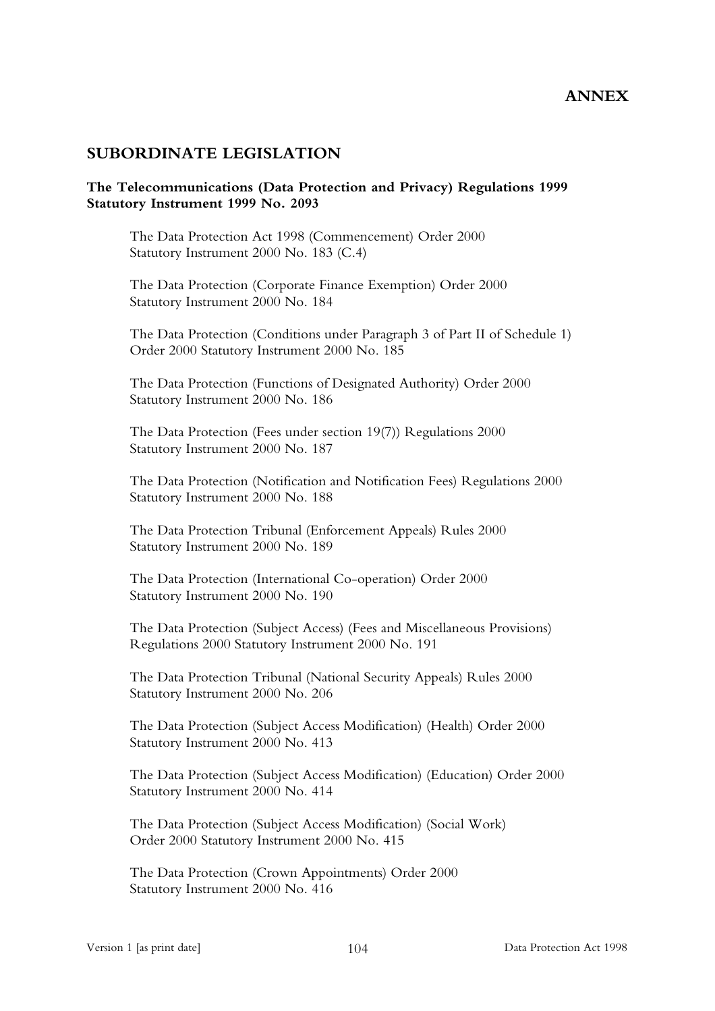# **ANNEX**

# **SUBORDINATE LEGISLATION**

#### **The Telecommunications (Data Protection and Privacy) Regulations 1999 Statutory Instrument 1999 No. 2093**

The Data Protection Act 1998 (Commencement) Order 2000 Statutory Instrument 2000 No. 183 (C.4)

The Data Protection (Corporate Finance Exemption) Order 2000 Statutory Instrument 2000 No. 184

The Data Protection (Conditions under Paragraph 3 of Part II of Schedule 1) Order 2000 Statutory Instrument 2000 No. 185

The Data Protection (Functions of Designated Authority) Order 2000 Statutory Instrument 2000 No. 186

The Data Protection (Fees under section 19(7)) Regulations 2000 Statutory Instrument 2000 No. 187

The Data Protection (Notification and Notification Fees) Regulations 2000 Statutory Instrument 2000 No. 188

The Data Protection Tribunal (Enforcement Appeals) Rules 2000 Statutory Instrument 2000 No. 189

The Data Protection (International Co-operation) Order 2000 Statutory Instrument 2000 No. 190

The Data Protection (Subject Access) (Fees and Miscellaneous Provisions) Regulations 2000 Statutory Instrument 2000 No. 191

The Data Protection Tribunal (National Security Appeals) Rules 2000 Statutory Instrument 2000 No. 206

The Data Protection (Subject Access Modification) (Health) Order 2000 Statutory Instrument 2000 No. 413

The Data Protection (Subject Access Modification) (Education) Order 2000 Statutory Instrument 2000 No. 414

The Data Protection (Subject Access Modification) (Social Work) Order 2000 Statutory Instrument 2000 No. 415

The Data Protection (Crown Appointments) Order 2000 Statutory Instrument 2000 No. 416